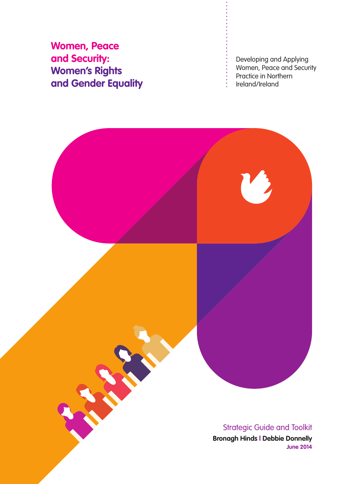**Women, Peace and Security: Women's Rights and Gender Equality**

Developing and Applying Women, Peace and Security Practice in Northern Ireland/Ireland

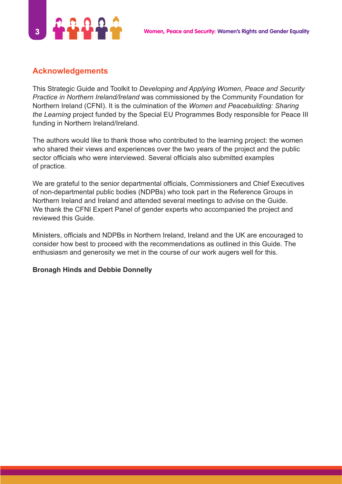

## **Acknowledgements**

This Strategic Guide and Toolkit to *Developing and Applying Women, Peace and Security Practice in Northern Ireland/Ireland* was commissioned by the Community Foundation for Northern Ireland (CFNI). It is the culmination of the *Women and Peacebuilding: Sharing the Learning* project funded by the Special EU Programmes Body responsible for Peace III funding in Northern Ireland/Ireland.

The authors would like to thank those who contributed to the learning project: the women who shared their views and experiences over the two years of the project and the public sector officials who were interviewed. Several officials also submitted examples of practice.

We are grateful to the senior departmental officials, Commissioners and Chief Executives of non-departmental public bodies (NDPBs) who took part in the Reference Groups in Northern Ireland and Ireland and attended several meetings to advise on the Guide. We thank the CFNI Expert Panel of gender experts who accompanied the project and reviewed this Guide.

Ministers, officials and NDPBs in Northern Ireland, Ireland and the UK are encouraged to consider how best to proceed with the recommendations as outlined in this Guide. The enthusiasm and generosity we met in the course of our work augers well for this.

## **Bronagh Hinds and Debbie Donnelly**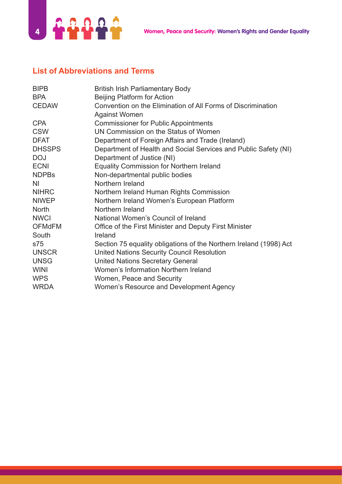

# **List of Abbreviations and Terms**

| <b>BIPB</b>   | <b>British Irish Parliamentary Body</b>                            |
|---------------|--------------------------------------------------------------------|
| <b>BPA</b>    | <b>Beijing Platform for Action</b>                                 |
| <b>CEDAW</b>  | Convention on the Elimination of All Forms of Discrimination       |
|               | <b>Against Women</b>                                               |
| <b>CPA</b>    | <b>Commissioner for Public Appointments</b>                        |
| <b>CSW</b>    | UN Commission on the Status of Women                               |
| <b>DFAT</b>   | Department of Foreign Affairs and Trade (Ireland)                  |
| <b>DHSSPS</b> | Department of Health and Social Services and Public Safety (NI)    |
| <b>DOJ</b>    | Department of Justice (NI)                                         |
| <b>ECNI</b>   | Equality Commission for Northern Ireland                           |
| <b>NDPBs</b>  | Non-departmental public bodies                                     |
| NI.           | Northern Ireland                                                   |
| <b>NIHRC</b>  | Northern Ireland Human Rights Commission                           |
| <b>NIWEP</b>  | Northern Ireland Women's European Platform                         |
| <b>North</b>  | Northern Ireland                                                   |
| <b>NWCI</b>   | National Women's Council of Ireland                                |
| <b>OFMdFM</b> | Office of the First Minister and Deputy First Minister             |
| South         | Ireland                                                            |
| s75           | Section 75 equality obligations of the Northern Ireland (1998) Act |
| <b>UNSCR</b>  | <b>United Nations Security Council Resolution</b>                  |
| <b>UNSG</b>   | <b>United Nations Secretary General</b>                            |
| <b>WINI</b>   | Women's Information Northern Ireland                               |
| <b>WPS</b>    | Women, Peace and Security                                          |
| <b>WRDA</b>   | Women's Resource and Development Agency                            |
|               |                                                                    |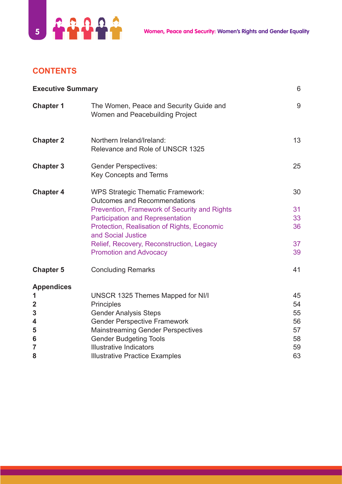

# **CONTENTS**

| <b>Executive Summary</b>                                                            |                                                                                                                                                                                                                                                                                                                              | 6                                            |
|-------------------------------------------------------------------------------------|------------------------------------------------------------------------------------------------------------------------------------------------------------------------------------------------------------------------------------------------------------------------------------------------------------------------------|----------------------------------------------|
| <b>Chapter 1</b>                                                                    | The Women, Peace and Security Guide and<br>Women and Peacebuilding Project                                                                                                                                                                                                                                                   | 9                                            |
| <b>Chapter 2</b>                                                                    | Northern Ireland/Ireland:<br>Relevance and Role of UNSCR 1325                                                                                                                                                                                                                                                                | 13                                           |
| <b>Chapter 3</b>                                                                    | <b>Gender Perspectives:</b><br><b>Key Concepts and Terms</b>                                                                                                                                                                                                                                                                 | 25                                           |
| <b>Chapter 4</b>                                                                    | <b>WPS Strategic Thematic Framework:</b><br><b>Outcomes and Recommendations</b><br>Prevention, Framework of Security and Rights<br><b>Participation and Representation</b><br>Protection, Realisation of Rights, Economic<br>and Social Justice<br>Relief, Recovery, Reconstruction, Legacy<br><b>Promotion and Advocacy</b> | 30<br>31<br>33<br>36<br>37<br>39             |
| <b>Chapter 5</b>                                                                    | <b>Concluding Remarks</b>                                                                                                                                                                                                                                                                                                    | 41                                           |
| <b>Appendices</b><br>1<br>$\overline{2}$<br>3<br>4<br>5<br>6<br>$\overline{7}$<br>8 | UNSCR 1325 Themes Mapped for NI/I<br><b>Principles</b><br><b>Gender Analysis Steps</b><br><b>Gender Perspective Framework</b><br><b>Mainstreaming Gender Perspectives</b><br><b>Gender Budgeting Tools</b><br><b>Illustrative Indicators</b><br><b>Illustrative Practice Examples</b>                                        | 45<br>54<br>55<br>56<br>57<br>58<br>59<br>63 |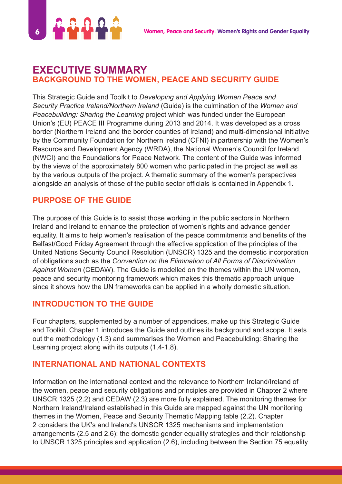

# **EXECUTIVE SUMMARY BACKGROUND TO THE WOMEN, PEACE AND SECURITY GUIDE**

This Strategic Guide and Toolkit to *Developing and Applying Women Peace and Security Practice Ireland/Northern Ireland* (Guide) is the culmination of the *Women and Peacebuilding: Sharing the Learning* project which was funded under the European Union's (EU) PEACE III Programme during 2013 and 2014. It was developed as a cross border (Northern Ireland and the border counties of Ireland) and multi-dimensional initiative by the Community Foundation for Northern Ireland (CFNI) in partnership with the Women's Resource and Development Agency (WRDA), the National Women's Council for Ireland (NWCI) and the Foundations for Peace Network. The content of the Guide was informed by the views of the approximately 800 women who participated in the project as well as by the various outputs of the project. A thematic summary of the women's perspectives alongside an analysis of those of the public sector officials is contained in Appendix 1.

# **PURPOSE OF THE GUIDE**

The purpose of this Guide is to assist those working in the public sectors in Northern Ireland and Ireland to enhance the protection of women's rights and advance gender equality. It aims to help women's realisation of the peace commitments and benefits of the Belfast/Good Friday Agreement through the effective application of the principles of the United Nations Security Council Resolution (UNSCR) 1325 and the domestic incorporation of obligations such as the *Convention on the Elimination of All Forms of Discrimination Against Women* (CEDAW). The Guide is modelled on the themes within the UN women, peace and security monitoring framework which makes this thematic approach unique since it shows how the UN frameworks can be applied in a wholly domestic situation.

## **INTRODUCTION TO THE GUIDE**

Four chapters, supplemented by a number of appendices, make up this Strategic Guide and Toolkit. Chapter 1 introduces the Guide and outlines its background and scope. It sets out the methodology (1.3) and summarises the Women and Peacebuilding: Sharing the Learning project along with its outputs (1.4-1.8).

## **INTERNATIONAL AND NATIONAL CONTEXTS**

Information on the international context and the relevance to Northern Ireland/Ireland of the women, peace and security obligations and principles are provided in Chapter 2 where UNSCR 1325 (2.2) and CEDAW (2.3) are more fully explained. The monitoring themes for Northern Ireland/Ireland established in this Guide are mapped against the UN monitoring themes in the Women, Peace and Security Thematic Mapping table (2.2). Chapter 2 considers the UK's and Ireland's UNSCR 1325 mechanisms and implementation arrangements (2.5 and 2.6); the domestic gender equality strategies and their relationship to UNSCR 1325 principles and application (2.6), including between the Section 75 equality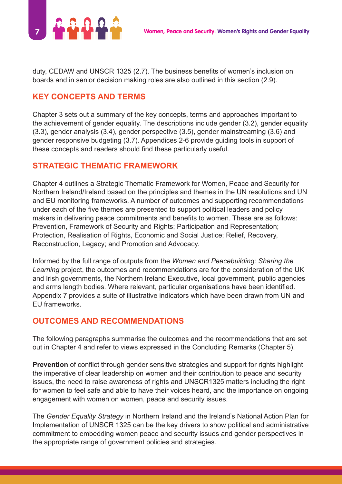

duty, CEDAW and UNSCR 1325 (2.7). The business benefits of women's inclusion on boards and in senior decision making roles are also outlined in this section (2.9).

# **KEY CONCEPTS AND TERMS**

Chapter 3 sets out a summary of the key concepts, terms and approaches important to the achievement of gender equality. The descriptions include gender (3.2), gender equality (3.3), gender analysis (3.4), gender perspective (3.5), gender mainstreaming (3.6) and gender responsive budgeting (3.7). Appendices 2-6 provide guiding tools in support of these concepts and readers should find these particularly useful.

# **STRATEGIC THEMATIC FRAMEWORK**

Chapter 4 outlines a Strategic Thematic Framework for Women, Peace and Security for Northern Ireland/Ireland based on the principles and themes in the UN resolutions and UN and EU monitoring frameworks. A number of outcomes and supporting recommendations under each of the five themes are presented to support political leaders and policy makers in delivering peace commitments and benefits to women. These are as follows: Prevention, Framework of Security and Rights; Participation and Representation; Protection, Realisation of Rights, Economic and Social Justice; Relief, Recovery, Reconstruction, Legacy; and Promotion and Advocacy.

Informed by the full range of outputs from the *Women and Peacebuilding: Sharing the Learning* project, the outcomes and recommendations are for the consideration of the UK and Irish governments, the Northern Ireland Executive, local government, public agencies and arms length bodies. Where relevant, particular organisations have been identified. Appendix 7 provides a suite of illustrative indicators which have been drawn from UN and EU frameworks.

# **OUTCOMES AND RECOMMENDATIONS**

The following paragraphs summarise the outcomes and the recommendations that are set out in Chapter 4 and refer to views expressed in the Concluding Remarks (Chapter 5).

**Prevention** of conflict through gender sensitive strategies and support for rights highlight the imperative of clear leadership on women and their contribution to peace and security issues, the need to raise awareness of rights and UNSCR1325 matters including the right for women to feel safe and able to have their voices heard, and the importance on ongoing engagement with women on women, peace and security issues.

The *Gender Equality Strategy* in Northern Ireland and the Ireland's National Action Plan for Implementation of UNSCR 1325 can be the key drivers to show political and administrative commitment to embedding women peace and security issues and gender perspectives in the appropriate range of government policies and strategies.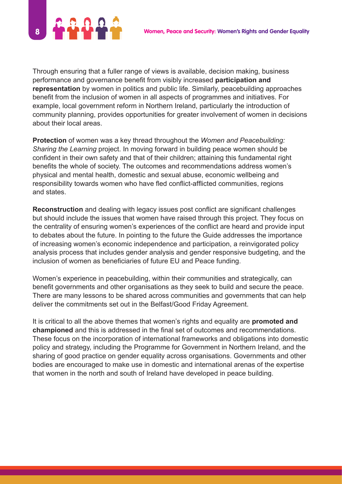

Through ensuring that a fuller range of views is available, decision making, business performance and governance benefit from visibly increased **participation and representation** by women in politics and public life. Similarly, peacebuilding approaches benefit from the inclusion of women in all aspects of programmes and initiatives. For example, local government reform in Northern Ireland, particularly the introduction of community planning, provides opportunities for greater involvement of women in decisions about their local areas.

**Protection** of women was a key thread throughout the *Women and Peacebuilding: Sharing the Learning* project. In moving forward in building peace women should be confident in their own safety and that of their children; attaining this fundamental right benefits the whole of society. The outcomes and recommendations address women's physical and mental health, domestic and sexual abuse, economic wellbeing and responsibility towards women who have fled conflict-afflicted communities, regions and states.

**Reconstruction** and dealing with legacy issues post conflict are significant challenges but should include the issues that women have raised through this project. They focus on the centrality of ensuring women's experiences of the conflict are heard and provide input to debates about the future. In pointing to the future the Guide addresses the importance of increasing women's economic independence and participation, a reinvigorated policy analysis process that includes gender analysis and gender responsive budgeting, and the inclusion of women as beneficiaries of future EU and Peace funding.

Women's experience in peacebuilding, within their communities and strategically, can benefit governments and other organisations as they seek to build and secure the peace. There are many lessons to be shared across communities and governments that can help deliver the commitments set out in the Belfast/Good Friday Agreement.

It is critical to all the above themes that women's rights and equality are **promoted and championed** and this is addressed in the final set of outcomes and recommendations. These focus on the incorporation of international frameworks and obligations into domestic policy and strategy, including the Programme for Government in Northern Ireland, and the sharing of good practice on gender equality across organisations. Governments and other bodies are encouraged to make use in domestic and international arenas of the expertise that women in the north and south of Ireland have developed in peace building.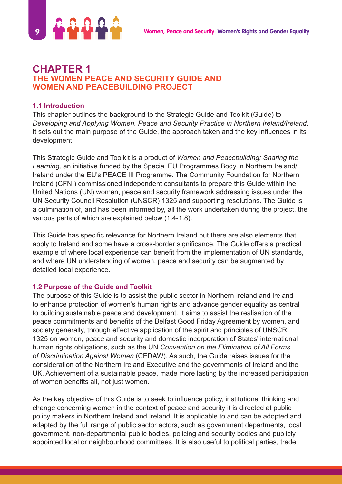

## **CHAPTER 1 THE WOMEN PEACE AND SECURITY GUIDE AND WOMEN AND PEACEBUILDING PROJECT**

#### **1.1 Introduction**

This chapter outlines the background to the Strategic Guide and Toolkit (Guide) to *Developing and Applying Women, Peace and Security Practice in Northern Ireland/Ireland.*  It sets out the main purpose of the Guide, the approach taken and the key influences in its development.

This Strategic Guide and Toolkit is a product of *Women and Peacebuilding: Sharing the Learning,* an initiative funded by the Special EU Programmes Body in Northern Ireland/ Ireland under the EU's PEACE III Programme. The Community Foundation for Northern Ireland (CFNI) commissioned independent consultants to prepare this Guide within the United Nations (UN) women, peace and security framework addressing issues under the UN Security Council Resolution (UNSCR) 1325 and supporting resolutions. The Guide is a culmination of, and has been informed by, all the work undertaken during the project, the various parts of which are explained below (1.4-1.8).

This Guide has specific relevance for Northern Ireland but there are also elements that apply to Ireland and some have a cross-border significance. The Guide offers a practical example of where local experience can benefit from the implementation of UN standards, and where UN understanding of women, peace and security can be augmented by detailed local experience.

#### **1.2 Purpose of the Guide and Toolkit**

The purpose of this Guide is to assist the public sector in Northern Ireland and Ireland to enhance protection of women's human rights and advance gender equality as central to building sustainable peace and development. It aims to assist the realisation of the peace commitments and benefits of the Belfast Good Friday Agreement by women, and society generally, through effective application of the spirit and principles of UNSCR 1325 on women, peace and security and domestic incorporation of States' international human rights obligations, such as the UN *Convention on the Elimination of All Forms of Discrimination Against Women* (CEDAW). As such, the Guide raises issues for the consideration of the Northern Ireland Executive and the governments of Ireland and the UK. Achievement of a sustainable peace, made more lasting by the increased participation of women benefits all, not just women.

As the key objective of this Guide is to seek to influence policy, institutional thinking and change concerning women in the context of peace and security it is directed at public policy makers in Northern Ireland and Ireland. It is applicable to and can be adopted and adapted by the full range of public sector actors, such as government departments, local government, non-departmental public bodies, policing and security bodies and publicly appointed local or neighbourhood committees. It is also useful to political parties, trade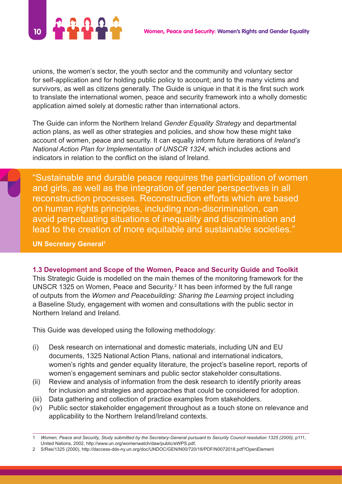

unions, the women's sector, the youth sector and the community and voluntary sector for self-application and for holding public policy to account; and to the many victims and survivors, as well as citizens generally. The Guide is unique in that it is the first such work to translate the international women, peace and security framework into a wholly domestic application aimed solely at domestic rather than international actors.

The Guide can inform the Northern Ireland *Gender Equality Strategy* and departmental action plans, as well as other strategies and policies, and show how these might take account of women, peace and security. It can equally inform future iterations of *Ireland's National Action Plan for Implementation of UNSCR 1324*, which includes actions and indicators in relation to the conflict on the island of Ireland.

"Sustainable and durable peace requires the participation of women and girls, as well as the integration of gender perspectives in all reconstruction processes. Reconstruction efforts which are based on human rights principles, including non-discrimination, can avoid perpetuating situations of inequality and discrimination and lead to the creation of more equitable and sustainable societies."

**UN Secretary General<sup>1</sup>** 

**1.3 Development and Scope of the Women, Peace and Security Guide and Toolkit** This Strategic Guide is modelled on the main themes of the monitoring framework for the UNSCR 1325 on Women, Peace and Security.<sup>2</sup> It has been informed by the full range of outputs from the *Women and Peacebuilding: Sharing the Learning* project including a Baseline Study, engagement with women and consultations with the public sector in Northern Ireland and Ireland.

This Guide was developed using the following methodology:

- (i) Desk research on international and domestic materials, including UN and EU documents, 1325 National Action Plans, national and international indicators, women's rights and gender equality literature, the project's baseline report, reports of women's engagement seminars and public sector stakeholder consultations.
- (ii) Review and analysis of information from the desk research to identify priority areas for inclusion and strategies and approaches that could be considered for adoption.
- (iii) Data gathering and collection of practice examples from stakeholders.
- (iv) Public sector stakeholder engagement throughout as a touch stone on relevance and applicability to the Northern Ireland/Ireland contexts.

<sup>1</sup> *Women, Peace and Security, Study submitted by the Secretary-General pursuant to Security Council resolution 1325 (2000),* p111, United Nations, 2002, http://www.un.org/womenwatch/daw/public/eWPS.pdf,

<sup>2</sup> S/Res/1325 (2000), http://daccess-dds-ny.un.org/doc/UNDOC/GEN/N00/720/18/PDF/N0072018.pdf?OpenElement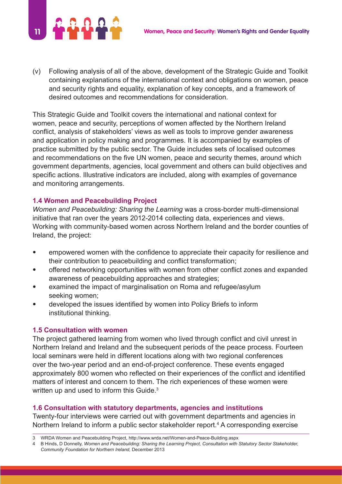

(v) Following analysis of all of the above, development of the Strategic Guide and Toolkit containing explanations of the international context and obligations on women, peace and security rights and equality, explanation of key concepts, and a framework of desired outcomes and recommendations for consideration.

This Strategic Guide and Toolkit covers the international and national context for women, peace and security, perceptions of women affected by the Northern Ireland conflict, analysis of stakeholders' views as well as tools to improve gender awareness and application in policy making and programmes. It is accompanied by examples of practice submitted by the public sector. The Guide includes sets of localised outcomes and recommendations on the five UN women, peace and security themes, around which government departments, agencies, local government and others can build objectives and specific actions. Illustrative indicators are included, along with examples of governance and monitoring arrangements.

#### **1.4 Women and Peacebuilding Project**

*Women and Peacebuilding: Sharing the Learning* was a cross-border multi-dimensional initiative that ran over the years 2012-2014 collecting data, experiences and views. Working with community-based women across Northern Ireland and the border counties of Ireland, the project:

- empowered women with the confidence to appreciate their capacity for resilience and their contribution to peacebuilding and conflict transformation;
- offered networking opportunities with women from other conflict zones and expanded awareness of peacebuilding approaches and strategies;
- examined the impact of marginalisation on Roma and refugee/asylum seeking women;
- developed the issues identified by women into Policy Briefs to inform institutional thinking.

#### **1.5 Consultation with women**

The project gathered learning from women who lived through conflict and civil unrest in Northern Ireland and Ireland and the subsequent periods of the peace process. Fourteen local seminars were held in different locations along with two regional conferences over the two-year period and an end-of-project conference. These events engaged approximately 800 women who reflected on their experiences of the conflict and identified matters of interest and concern to them. The rich experiences of these women were written up and used to inform this Guide.<sup>3</sup>

#### **1.6 Consultation with statutory departments, agencies and institutions**

Twenty-four interviews were carried out with government departments and agencies in Northern Ireland to inform a public sector stakeholder report.<sup>4</sup> A corresponding exercise

<sup>3</sup> WRDA Women and Peacebuilding Project, http://www.wrda.net/Women-and-Peace-Building.aspx

<sup>4</sup> B Hinds, D Donnelly, *Women and Peacebuilding: Sharing the Learning Project, Consultation with Statutory Sector Stakeholder, Community Foundation for Northern Ireland,* December 2013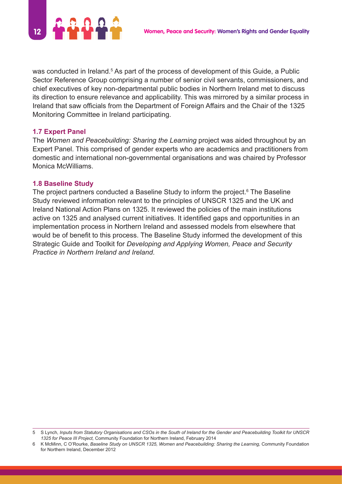

was conducted in Ireland.<sup>5</sup> As part of the process of development of this Guide, a Public Sector Reference Group comprising a number of senior civil servants, commissioners, and chief executives of key non-departmental public bodies in Northern Ireland met to discuss its direction to ensure relevance and applicability. This was mirrored by a similar process in Ireland that saw officials from the Department of Foreign Affairs and the Chair of the 1325 Monitoring Committee in Ireland participating.

#### **1.7 Expert Panel**

The *Women and Peacebuilding: Sharing the Learning* project was aided throughout by an Expert Panel. This comprised of gender experts who are academics and practitioners from domestic and international non-governmental organisations and was chaired by Professor Monica McWilliams.

#### **1.8 Baseline Study**

The project partners conducted a Baseline Study to inform the project.<sup>6</sup> The Baseline Study reviewed information relevant to the principles of UNSCR 1325 and the UK and Ireland National Action Plans on 1325. It reviewed the policies of the main institutions active on 1325 and analysed current initiatives. It identified gaps and opportunities in an implementation process in Northern Ireland and assessed models from elsewhere that would be of benefit to this process. The Baseline Study informed the development of this Strategic Guide and Toolkit for *Developing and Applying Women, Peace and Security Practice in Northern Ireland and Ireland*.

<sup>5</sup> S Lynch, *Inputs from Statutory Organisations and CSOs in the South of Ireland for the Gender and Peacebuilding Toolkit for UNSCR 1325 for Peace III Project,* Community Foundation for Northern Ireland, February 2014

<sup>6</sup> K McMinn, C O'Rourke, *Baseline Study on UNSCR 1325, Women and Peacebuilding: Sharing the Learning,* Community Foundation for Northern Ireland, December 2012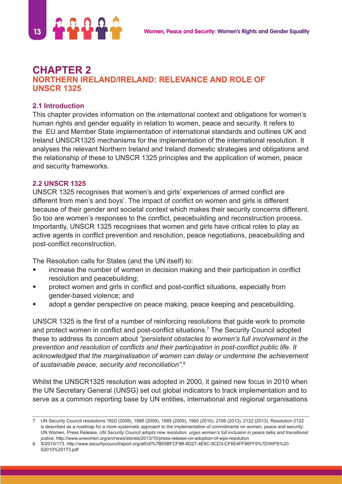

# **CHAPTER 2 NORTHERN IRELAND/IRELAND: RELEVANCE AND ROLE OF UNSCR 1325**

## **2.1 Introduction**

This chapter provides information on the international context and obligations for women's human rights and gender equality in relation to women, peace and security. It refers to the EU and Member State implementation of international standards and outlines UK and Ireland UNSCR1325 mechanisms for the implementation of the international resolution. It analyses the relevant Northern Ireland and Ireland domestic strategies and obligations and the relationship of these to UNSCR 1325 principles and the application of women, peace and security frameworks.

#### **2.2 UNSCR 1325**

UNSCR 1325 recognises that women's and girls' experiences of armed conflict are different from men's and boys'. The impact of conflict on women and girls is different because of their gender and societal context which makes their security concerns different. So too are women's responses to the conflict, peacebuilding and reconstruction process. Importantly, UNSCR 1325 recognises that women and girls have critical roles to play as active agents in conflict prevention and resolution, peace negotiations, peacebuilding and post-conflict reconstruction.

The Resolution calls for States (and the UN itself) to:

- increase the number of women in decision making and their participation in conflict resolution and peacebuilding;
- protect women and girls in conflict and post-conflict situations, especially from gender-based violence; and
- adopt a gender perspective on peace making, peace keeping and peacebuilding.

UNSCR 1325 is the first of a number of reinforcing resolutions that guide work to promote and protect women in conflict and post-conflict situations.<sup>7</sup> The Security Council adopted these to address its concern about *"persistent obstacles to women's full involvement in the prevention and resolution of conflicts and their participation in post-conflict public life. It acknowledged that the marginalisation of women can delay or undermine the achievement of sustainable peace, security and reconciliation"*. 8

Whilst the UNSCR1325 resolution was adopted in 2000, it gained new focus in 2010 when the UN Secretary General (UNSG) set out global indicators to track implementation and to serve as a common reporting base by UN entities, international and regional organisations

<sup>7</sup> UN Security Council resolutions 1820 (2008), 1888 (2009), 1889 (2009), 1960 (2010), 2106 (2013), 2122 (2013). Resolution 2122 is described as a roadmap for a more systematic approach to the implementation of commitments on women, peace and security: UN Women, Press Release, *UN Security Council adopts new resolution, urges women's full inclusion in peace talks and transitional justice,* http://www.unwomen.org/en/news/stories/2013/10/press-release-on-adoption-of-wps-resolution

<sup>8</sup> S/2010/173. http://www.securitycouncilreport.org/atf/cf/%7B65BFCF9B-6D27-4E9C-8CD3-CF6E4FF96FF9%7D/WPS%20 S2010%20173.pdf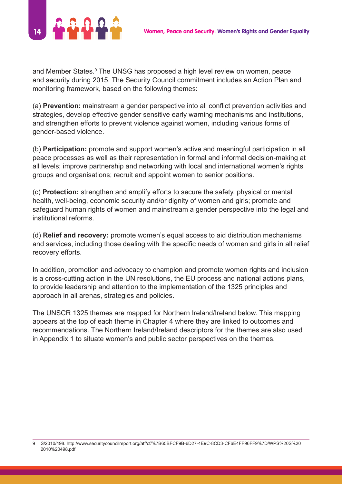

and Member States.<sup>9</sup> The UNSG has proposed a high level review on women, peace and security during 2015. The Security Council commitment includes an Action Plan and monitoring framework, based on the following themes:

(a) **Prevention:** mainstream a gender perspective into all conflict prevention activities and strategies, develop effective gender sensitive early warning mechanisms and institutions, and strengthen efforts to prevent violence against women, including various forms of gender-based violence.

(b) **Participation:** promote and support women's active and meaningful participation in all peace processes as well as their representation in formal and informal decision-making at all levels; improve partnership and networking with local and international women's rights groups and organisations; recruit and appoint women to senior positions.

(c) **Protection:** strengthen and amplify efforts to secure the safety, physical or mental health, well-being, economic security and/or dignity of women and girls; promote and safeguard human rights of women and mainstream a gender perspective into the legal and institutional reforms.

(d) **Relief and recovery:** promote women's equal access to aid distribution mechanisms and services, including those dealing with the specific needs of women and girls in all relief recovery efforts.

In addition, promotion and advocacy to champion and promote women rights and inclusion is a cross-cutting action in the UN resolutions, the EU process and national actions plans, to provide leadership and attention to the implementation of the 1325 principles and approach in all arenas, strategies and policies.

The UNSCR 1325 themes are mapped for Northern Ireland/Ireland below. This mapping appears at the top of each theme in Chapter 4 where they are linked to outcomes and recommendations. The Northern Ireland/Ireland descriptors for the themes are also used in Appendix 1 to situate women's and public sector perspectives on the themes.

<sup>9</sup> S/2010/498. http://www.securitycouncilreport.org/atf/cf/%7B65BFCF9B-6D27-4E9C-8CD3-CF6E4FF96FF9%7D/WPS%20S%20 2010%20498.pdf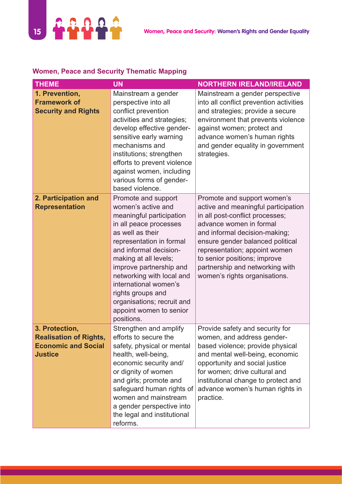

## **Women, Peace and Security Thematic Mapping**

| <b>THEME</b>                                                                                    | <b>UN</b>                                                                                                                                                                                                                                                                                                                                                                       | <b>NORTHERN IRELAND/IRELAND</b>                                                                                                                                                                                                                                                                                                            |
|-------------------------------------------------------------------------------------------------|---------------------------------------------------------------------------------------------------------------------------------------------------------------------------------------------------------------------------------------------------------------------------------------------------------------------------------------------------------------------------------|--------------------------------------------------------------------------------------------------------------------------------------------------------------------------------------------------------------------------------------------------------------------------------------------------------------------------------------------|
| 1. Prevention,<br><b>Framework of</b><br><b>Security and Rights</b>                             | Mainstream a gender<br>perspective into all<br>conflict prevention<br>activities and strategies;<br>develop effective gender-<br>sensitive early warning<br>mechanisms and<br>institutions; strengthen<br>efforts to prevent violence<br>against women, including<br>various forms of gender-<br>based violence.                                                                | Mainstream a gender perspective<br>into all conflict prevention activities<br>and strategies; provide a secure<br>environment that prevents violence<br>against women; protect and<br>advance women's human rights<br>and gender equality in government<br>strategies.                                                                     |
| 2. Participation and<br><b>Representation</b>                                                   | Promote and support<br>women's active and<br>meaningful participation<br>in all peace processes<br>as well as their<br>representation in formal<br>and informal decision-<br>making at all levels;<br>improve partnership and<br>networking with local and<br>international women's<br>rights groups and<br>organisations; recruit and<br>appoint women to senior<br>positions. | Promote and support women's<br>active and meaningful participation<br>in all post-conflict processes;<br>advance women in formal<br>and informal decision-making;<br>ensure gender balanced political<br>representation; appoint women<br>to senior positions; improve<br>partnership and networking with<br>women's rights organisations. |
| 3. Protection,<br><b>Realisation of Rights,</b><br><b>Economic and Social</b><br><b>Justice</b> | Strengthen and amplify<br>efforts to secure the<br>safety, physical or mental<br>health, well-being,<br>economic security and/<br>or dignity of women<br>and girls; promote and<br>safeguard human rights of<br>women and mainstream<br>a gender perspective into<br>the legal and institutional<br>reforms.                                                                    | Provide safety and security for<br>women, and address gender-<br>based violence; provide physical<br>and mental well-being, economic<br>opportunity and social justice<br>for women; drive cultural and<br>institutional change to protect and<br>advance women's human rights in<br>practice.                                             |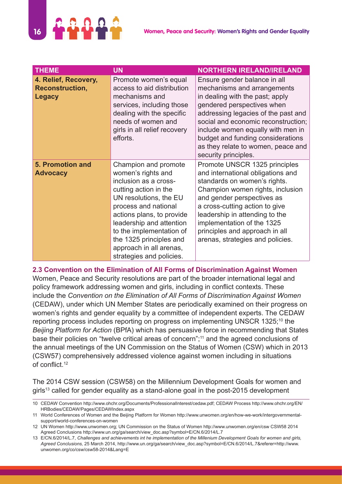

| <b>THEME</b>                                                    | <b>UN</b>                                                                                                                                                                                                                                                                                                             | <b>NORTHERN IRELAND/IRELAND</b>                                                                                                                                                                                                                                                                                                                    |
|-----------------------------------------------------------------|-----------------------------------------------------------------------------------------------------------------------------------------------------------------------------------------------------------------------------------------------------------------------------------------------------------------------|----------------------------------------------------------------------------------------------------------------------------------------------------------------------------------------------------------------------------------------------------------------------------------------------------------------------------------------------------|
| 4. Relief, Recovery,<br><b>Reconstruction,</b><br><b>Legacy</b> | Promote women's equal<br>access to aid distribution<br>mechanisms and<br>services, including those<br>dealing with the specific<br>needs of women and<br>girls in all relief recovery<br>efforts.                                                                                                                     | Ensure gender balance in all<br>mechanisms and arrangements<br>in dealing with the past; apply<br>gendered perspectives when<br>addressing legacies of the past and<br>social and economic reconstruction;<br>include women equally with men in<br>budget and funding considerations<br>as they relate to women, peace and<br>security principles. |
| <b>5. Promotion and</b><br><b>Advocacy</b>                      | Champion and promote<br>women's rights and<br>inclusion as a cross-<br>cutting action in the<br>UN resolutions, the EU<br>process and national<br>actions plans, to provide<br>leadership and attention<br>to the implementation of<br>the 1325 principles and<br>approach in all arenas,<br>strategies and policies. | Promote UNSCR 1325 principles<br>and international obligations and<br>standards on women's rights.<br>Champion women rights, inclusion<br>and gender perspectives as<br>a cross-cutting action to give<br>leadership in attending to the<br>implementation of the 1325<br>principles and approach in all<br>arenas, strategies and policies.       |

#### **2.3 Convention on the Elimination of All Forms of Discrimination Against Women**

Women, Peace and Security resolutions are part of the broader international legal and policy framework addressing women and girls, including in conflict contexts. These include the *Convention on the Elimination of All Forms of Discrimination Against Women* (CEDAW), under which UN Member States are periodically examined on their progress on women's rights and gender equality by a committee of independent experts. The CEDAW reporting process includes reporting on progress on implementing UNSCR 1325;<sup>10</sup> the *Beijing Platform for Action* (BPfA) which has persuasive force in recommending that States base their policies on "twelve critical areas of concern";<sup>11</sup> and the agreed conclusions of the annual meetings of the UN Commission on the Status of Women (CSW) which in 2013 (CSW57) comprehensively addressed violence against women including in situations of conflict.<sup>12</sup>

The 2014 CSW session (CSW58) on the Millennium Development Goals for women and girls<sup>13</sup> called for gender equality as a stand-alone goal in the post-2015 development

<sup>10</sup> CEDAW Convention http://www.ohchr.org/Documents/ProfessionalInterest/cedaw.pdf; CEDAW Process http://www.ohchr.org/EN/ HRBodies/CEDAW/Pages/CEDAWIndex.aspx

<sup>11</sup> World Conferences of Women and the Beijing Platform for Women http://www.unwomen.org/en/how-we-work/intergovernmentalsupport/world-conferences-on-women

<sup>12</sup> UN Women http://www.unwomen.org; UN Commission on the Status of Women http://www.unwomen.org/en/csw CSW58 2014 Agreed Conclusions http://www.un.org/ga/search/view\_doc.asp?symbol=E/CN.6/2014/L.7

<sup>13</sup> E/CN.6/2014/L.7, *Challenges and achievements int he implementation of the Millenium Development Goals for women and girls, Agreed Conclusions,* 25 March 2014, http://www.un.org/ga/search/view\_doc.asp?symbol=E/CN.6/2014/L.7&referer=http://www. unwomen.org/co/csw/csw58-2014&Lang=E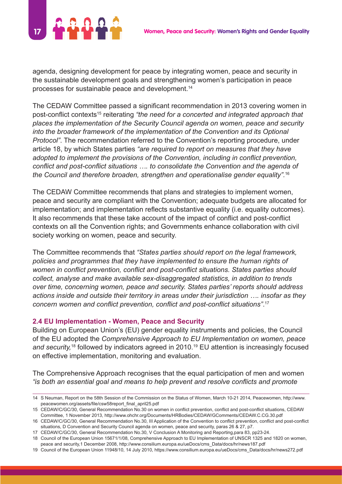

agenda, designing development for peace by integrating women, peace and security in the sustainable development goals and strengthening women's participation in peace processes for sustainable peace and development.14

The CEDAW Committee passed a significant recommendation in 2013 covering women in post-conflict contexts<sup>15</sup> reiterating *"the need for a concerted and integrated approach that places the implementation of the Security Council agenda on women, peace and security into the broader framework of the implementation of the Convention and its Optional Protocol"*. The recommendation referred to the Convention's reporting procedure, under article 18, by which States parties *"are required to report on measures that they have adopted to implement the provisions of the Convention, including in conflict prevention, conflict and post-conflict situations …. to consolidate the Convention and the agenda of the Council and therefore broaden, strengthen and operationalise gender equality".*<sup>16</sup>

The CEDAW Committee recommends that plans and strategies to implement women, peace and security are compliant with the Convention; adequate budgets are allocated for implementation; and implementation reflects substantive equality (i.e. equality outcomes). It also recommends that these take account of the impact of conflict and post-conflict contexts on all the Convention rights; and Governments enhance collaboration with civil society working on women, peace and security.

The Committee recommends that *"States parties should report on the legal framework, policies and programmes that they have implemented to ensure the human rights of women in conflict prevention, conflict and post-conflict situations. States parties should collect, analyse and make available sex-disaggregated statistics, in addition to trends over time, concerning women, peace and security. States parties' reports should address actions inside and outside their territory in areas under their jurisdiction …. insofar as they concern women and conflict prevention, conflict and post-conflict situations"*. 17

#### **2.4 EU Implementation - Women, Peace and Security**

Building on European Union's (EU) gender equality instruments and policies, the Council of the EU adopted the *Comprehensive Approach to EU Implementation on women, peace*  and security,<sup>18</sup> followed by indicators agreed in 2010.<sup>19</sup> EU attention is increasingly focused on effective implementation, monitoring and evaluation.

The Comprehensive Approach recognises that the equal participation of men and women *"is both an essential goal and means to help prevent and resolve conflicts and promote*

<sup>14</sup> S Neuman, Report on the 58th Session of the Commission on the Status of Women, March 10-21 2014, Peacewomen, http://www. peacewomen.org/assets/file/csw58report\_final\_april25.pdf

<sup>15</sup> CEDAW/C/GC/30, General Recommendation No.30 on women in conflict prevention, conflict and post-conflict situations, CEDAW Committee, 1 November 2013, http://www.ohchr.org/Documents/HRBodies/CEDAW/GComments/CEDAW.C.CG.30.pdf

<sup>16</sup> CEDAW/C/GC/30, General Recommendation No.30, III Application of the Convention to conflict prevention, conflict and post-conflict situations, D Convention and Security Council agenda on women, peace and security, paras 26 & 27, p7.

<sup>17</sup> CEDAW/C/GC/30, General Recommendation No.30, V Conclusion A Monitoring and Reporting,para 83, pp23-24.

<sup>18</sup> Council of the European Union 15671/1/08, Comprehensive Approach to EU Implementation of UNSCR 1325 and 1820 on women, peace and security,1 December 2008, http://www.consilium.europa.eu/ueDocs/cms\_Data/docs/hr/news187.pdf

<sup>19</sup> Council of the European Union 11948/10, 14 July 2010, https://www.consilium.europa.eu/ueDocs/cms\_Data/docs/hr/news272.pdf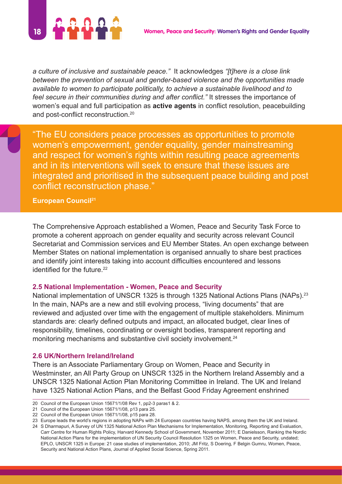

*a culture of inclusive and sustainable peace."* It acknowledges *"[t]here is a close link between the prevention of sexual and gender-based violence and the opportunities made available to women to participate politically, to achieve a sustainable livelihood and to feel secure in their communities during and after conflict."* It stresses the importance of women's equal and full participation as **active agents** in conflict resolution, peacebuilding and post-conflict reconstruction.<sup>20</sup>

"The EU considers peace processes as opportunities to promote women's empowerment, gender equality, gender mainstreaming and respect for women's rights within resulting peace agreements and in its interventions will seek to ensure that these issues are integrated and prioritised in the subsequent peace building and post conflict reconstruction phase."

**European Council21**

The Comprehensive Approach established a Women, Peace and Security Task Force to promote a coherent approach on gender equality and security across relevant Council Secretariat and Commission services and EU Member States. An open exchange between Member States on national implementation is organised annually to share best practices and identify joint interests taking into account difficulties encountered and lessons identified for the future.<sup>22</sup>

#### **2.5 National Implementation - Women, Peace and Security**

National implementation of UNSCR 1325 is through 1325 National Actions Plans (NAPs).<sup>23</sup> In the main, NAPs are a new and still evolving process, "living documents" that are reviewed and adjusted over time with the engagement of multiple stakeholders. Minimum standards are: clearly defined outputs and impact, an allocated budget, clear lines of responsibility, timelines, coordinating or oversight bodies, transparent reporting and monitoring mechanisms and substantive civil society involvement.<sup>24</sup>

#### **2.6 UK/Northern Ireland/Ireland**

There is an Associate Parliamentary Group on Women, Peace and Security in Westminster, an All Party Group on UNSCR 1325 in the Northern Ireland Assembly and a UNSCR 1325 National Action Plan Monitoring Committee in Ireland. The UK and Ireland have 1325 National Action Plans, and the Belfast Good Friday Agreement enshrined

24 S Dharmapuri, A Survey of UN 1325 National Action Plan Mechanisms for Implementation, Monitoring, Reporting and Evaluation, Carr Centre for Human Rights Policy, Harvard Kennedy School of Government, November 2011; E Danielsson, Ranking the Nordic National Action Plans for the implementation of UN Security Council Resolution 1325 on Women, Peace and Security, undated; EPLO, UNSCR 1325 in Europe: 21 case studies of implementation, 2010; JM Fritz, S Doering, F Belgin Gumru, Women, Peace, Security and National Action Plans, Journal of Applied Social Science, Spring 2011.

<sup>20</sup> Council of the European Union 15671/1/08 Rev 1, pp2-3 paras1 & 2.

<sup>21</sup> Council of the European Union 15671/1/08, p13 para 25.

<sup>22</sup> Council of the European Union 15671/1/08, p15 para 28.

<sup>23</sup> Europe leads the world's regions in adopting NAPs with 24 European countries having NAPS, among them the UK and Ireland.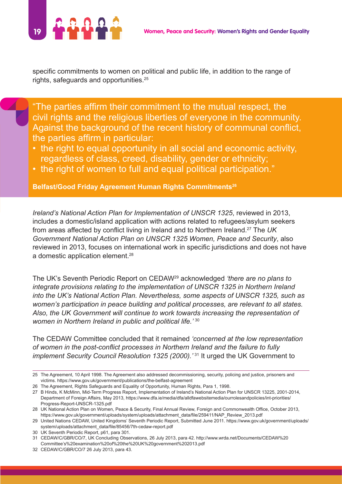

specific commitments to women on political and public life, in addition to the range of rights, safeguards and opportunities.<sup>25</sup>

"The parties affirm their commitment to the mutual respect, the civil rights and the religious liberties of everyone in the community. Against the background of the recent history of communal conflict, the parties affirm in particular:

- the right to equal opportunity in all social and economic activity, regardless of class, creed, disability, gender or ethnicity;
- the right of women to full and equal political participation."

**Belfast/Good Friday Agreement Human Rights Commitments26**

*Ireland's National Action Plan for Implementation of UNSCR 1325*, reviewed in 2013, includes a domestic/island application with actions related to refugees/asylum seekers from areas affected by conflict living in Ireland and to Northern Ireland.27 The *UK Government National Action Plan on UNSCR 1325 Women, Peace and Security*, also reviewed in 2013, focuses on international work in specific jurisdictions and does not have a domestic application element.<sup>28</sup>

The UK's Seventh Periodic Report on CEDAW29 acknowledged *'there are no plans to integrate provisions relating to the implementation of UNSCR 1325 in Northern Ireland into the UK's National Action Plan. Nevertheless, some aspects of UNSCR 1325, such as women's participation in peace building and political processes, are relevant to all states. Also, the UK Government will continue to work towards increasing the representation of women in Northern Ireland in public and political life.'* <sup>30</sup>

The CEDAW Committee concluded that it remained *'concerned at the low representation of women in the post-conflict processes in Northern Ireland and the failure to fully implement Security Council Resolution 1325 (2000).<sup>331</sup> It urged the UK Government to* 

30 UK Seventh Periodic Report, p61, para 301.

<sup>25</sup> The Agreement, 10 April 1998. The Agreement also addressed decommissioning, security, policing and justice, prisoners and victims. https://www.gov.uk/government/publications/the-belfast-agreement

<sup>26</sup> The Agreement, Rights Safeguards and Equality of Opportunity, Human Rights, Para 1, 1998.

<sup>27</sup> B Hinds, K McMinn, Mid-Term Progress Report, Implementation of Ireland's National Action Plan for UNSCR 13225, 2001-2014, Department of Foreign Affairs, May 2013, https://www.dfa.ie/media/dfa/alldfawebsitemedia/ourrolesandpolicies/int-priorities/ Progress-Report-UNSCR-1325.pdf

<sup>28</sup> UK National Action Plan on Women, Peace & Security, Final Annual Review, Foreign and Commonwealth Office, October 2013, https://www.gov.uk/government/uploads/system/uploads/attachment\_data/file/259411/NAP\_Review\_2013.pdf

<sup>29</sup> United Nations CEDAW, United Kingdoms' Seventh Periodic Report, Submitted June 2011. https://www.gov.uk/government/uploads/ system/uploads/attachment\_data/file/85456/7th-cedaw-report.pdf

<sup>31</sup> CEDAW/C/GBR/CO/7, UK Concluding Observations, 26 July 2013, para 42. http://www.wrda.net/Documents/CEDAW%20 Committee's%20examination%20of%20the%20UK%20government%202013.pdf

<sup>32</sup> CEDAW/C/GBR/CO/7 26 July 2013, para 43.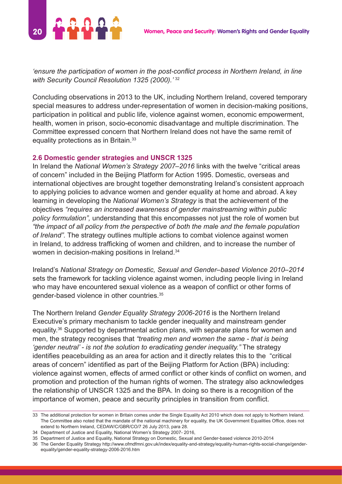

*'ensure the participation of women in the post-conflict process in Northern Ireland, in line with Security Council Resolution 1325 (2000).'* <sup>32</sup>

Concluding observations in 2013 to the UK, including Northern Ireland, covered temporary special measures to address under-representation of women in decision-making positions, participation in political and public life, violence against women, economic empowerment, health, women in prison, socio-economic disadvantage and multiple discrimination. The Committee expressed concern that Northern Ireland does not have the same remit of equality protections as in Britain.<sup>33</sup>

#### **2.6 Domestic gender strategies and UNSCR 1325**

In Ireland the *National Women's Strategy 2007–2016* links with the twelve "critical areas of concern" included in the Beijing Platform for Action 1995. Domestic, overseas and international objectives are brought together demonstrating Ireland's consistent approach to applying policies to advance women and gender equality at home and abroad. A key learning in developing the *National Women's Strategy* is that the achievement of the objectives *"requires an increased awareness of gender mainstreaming within public policy formulation",* understanding that this encompasses not just the role of women but *"the impact of all policy from the perspective of both the male and the female population of Ireland".* The strategy outlines multiple actions to combat violence against women in Ireland, to address trafficking of women and children, and to increase the number of women in decision-making positions in Ireland.<sup>34</sup>

Ireland's *National Strategy on Domestic, Sexual and Gender–based Violence 2010–2014* sets the framework for tackling violence against women, including people living in Ireland who may have encountered sexual violence as a weapon of conflict or other forms of gender-based violence in other countries.35

The Northern Ireland *Gender Equality Strategy 2006-2016* is the Northern Ireland Executive's primary mechanism to tackle gender inequality and mainstream gender equality.36 Supported by departmental action plans, with separate plans for women and men, the strategy recognises that *"treating men and women the same - that is being 'gender neutral' - is not the solution to eradicating gender inequality."* The strategy identifies peacebuilding as an area for action and it directly relates this to the "critical areas of concern" identified as part of the Beijing Platform for Action (BPA) including: violence against women, effects of armed conflict or other kinds of conflict on women, and promotion and protection of the human rights of women. The strategy also acknowledges the relationship of UNSCR 1325 and the BPA. In doing so there is a recognition of the importance of women, peace and security principles in transition from conflict.

<sup>33</sup> The additional protection for women in Britain comes under the Single Equality Act 2010 which does not apply to Northern Ireland. The Committee also noted that the mandate of the national machinery for equality, the UK Government Equalities Office, does not extend to Northern Ireland, CEDAW/C/GBR/CO/7 26 July 2013, para 28.

<sup>34</sup> Department of Justice and Equality, National Women's Strategy 2007- 2016,

<sup>35</sup> Department of Justice and Equality, National Strategy on Domestic, Sexual and Gender-based violence 2010-2014

<sup>36</sup> The Gender Equality Strategy http://www.ofmdfmni.gov.uk/index/equality-and-strategy/equality-human-rights-social-change/genderequality/gender-equality-strategy-2006-2016.htm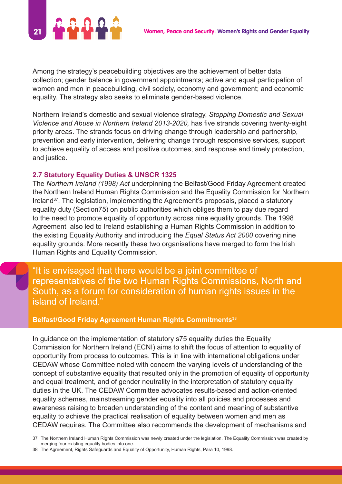

Among the strategy's peacebuilding objectives are the achievement of better data collection; gender balance in government appointments; active and equal participation of women and men in peacebuilding, civil society, economy and government; and economic equality. The strategy also seeks to eliminate gender-based violence.

Northern Ireland's domestic and sexual violence strategy, *Stopping Domestic and Sexual Violence and Abuse in Northern Ireland 2013-2020,* has five strands covering twenty-eight priority areas. The strands focus on driving change through leadership and partnership, prevention and early intervention, delivering change through responsive services, support to achieve equality of access and positive outcomes, and response and timely protection, and justice.

#### **2.7 Statutory Equality Duties & UNSCR 1325**

The *Northern Ireland (1998) Act* underpinning the Belfast/Good Friday Agreement created the Northern Ireland Human Rights Commission and the Equality Commission for Northern Ireland37. The legislation, implementing the Agreement's proposals, placed a statutory equality duty (Section75) on public authorities which obliges them to pay due regard to the need to promote equality of opportunity across nine equality grounds. The 1998 Agreement also led to Ireland establishing a Human Rights Commission in addition to the existing Equality Authority and introducing the *Equal Status Act 2000* covering nine equality grounds. More recently these two organisations have merged to form the Irish Human Rights and Equality Commission.

"It is envisaged that there would be a joint committee of representatives of the two Human Rights Commissions, North and South, as a forum for consideration of human rights issues in the island of Ireland."

#### **Belfast/Good Friday Agreement Human Rights Commitments38**

In guidance on the implementation of statutory s75 equality duties the Equality Commission for Northern Ireland (ECNI) aims to shift the focus of attention to equality of opportunity from process to outcomes. This is in line with international obligations under CEDAW whose Committee noted with concern the varying levels of understanding of the concept of substantive equality that resulted only in the promotion of equality of opportunity and equal treatment, and of gender neutrality in the interpretation of statutory equality duties in the UK. The CEDAW Committee advocates results-based and action-oriented equality schemes, mainstreaming gender equality into all policies and processes and awareness raising to broaden understanding of the content and meaning of substantive equality to achieve the practical realisation of equality between women and men as CEDAW requires. The Committee also recommends the development of mechanisms and

<sup>37</sup> The Northern Ireland Human Rights Commission was newly created under the legislation. The Equality Commission was created by merging four existing equality bodies into one.

<sup>38</sup> The Agreement, Rights Safeguards and Equality of Opportunity, Human Rights, Para 10, 1998.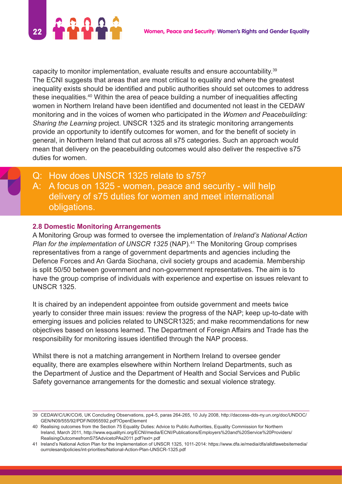

capacity to monitor implementation, evaluate results and ensure accountability.<sup>39</sup> The ECNI suggests that areas that are most critical to equality and where the greatest inequality exists should be identified and public authorities should set outcomes to address these inequalities.40 Within the area of peace building a number of inequalities affecting women in Northern Ireland have been identified and documented not least in the CEDAW monitoring and in the voices of women who participated in the *Women and Peacebuilding: Sharing the Learning* project. UNSCR 1325 and its strategic monitoring arrangements provide an opportunity to identify outcomes for women, and for the benefit of society in general, in Northern Ireland that cut across all s75 categories. Such an approach would mean that delivery on the peacebuilding outcomes would also deliver the respective s75 duties for women.

Q: How does UNSCR 1325 relate to s75? A: A focus on 1325 - women, peace and security - will help delivery of s75 duties for women and meet international obligations.

#### **2.8 Domestic Monitoring Arrangements**

A Monitoring Group was formed to oversee the implementation of *Ireland's National Action Plan for the implementation of UNSCR 1325* (NAP)*.* 41 The Monitoring Group comprises representatives from a range of government departments and agencies including the Defence Forces and An Garda Siochana, civil society groups and academia. Membership is split 50/50 between government and non-government representatives. The aim is to have the group comprise of individuals with experience and expertise on issues relevant to UNSCR 1325.

It is chaired by an independent appointee from outside government and meets twice yearly to consider three main issues: review the progress of the NAP; keep up-to-date with emerging issues and policies related to UNSCR1325; and make recommendations for new objectives based on lessons learned. The Department of Foreign Affairs and Trade has the responsibility for monitoring issues identified through the NAP process.

Whilst there is not a matching arrangement in Northern Ireland to oversee gender equality, there are examples elsewhere within Northern Ireland Departments, such as the Department of Justice and the Department of Health and Social Services and Public Safety governance arrangements for the domestic and sexual violence strategy.

<sup>39</sup> CEDAW/C/UK/CO/6, UK Concluding Observations, pp4-5, paras 264-265, 10 July 2008, http://daccess-dds-ny.un.org/doc/UNDOC/ GEN/N09/555/92/PDF/N0955592.pdf?OpenElement

<sup>40</sup> Realising outcomes from the Section 75 Equality Duties: Advice to Public Authorities, Equality Commission for Northern Ireland, March 2011, http://www.equalityni.org/ECNI/media/ECNI/Publications/Employers%20and%20Service%20Providers/ RealisingOutcomesfromS75AdvicetoPAs2011.pdf?ext=.pdf

<sup>41</sup> Ireland's National Action Plan for the Implementation of UNSCR 1325, 1011-2014: https://www.dfa.ie/media/dfa/alldfawebsitemedia/ ourrolesandpolicies/int-priorities/National-Action-Plan-UNSCR-1325.pdf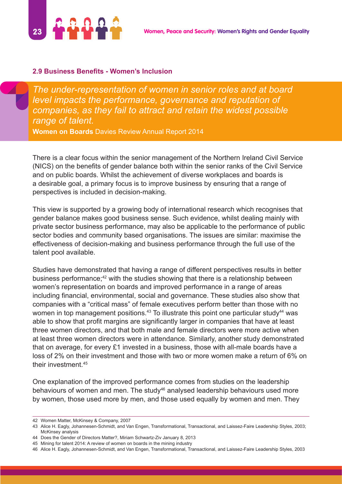

#### **2.9 Business Benefits - Women's Inclusion**

*The under-representation of women in senior roles and at board level impacts the performance, governance and reputation of companies, as they fail to attract and retain the widest possible range of talent.*  **Women on Boards** Davies Review Annual Report 2014

There is a clear focus within the senior management of the Northern Ireland Civil Service (NICS) on the benefits of gender balance both within the senior ranks of the Civil Service and on public boards. Whilst the achievement of diverse workplaces and boards is a desirable goal, a primary focus is to improve business by ensuring that a range of perspectives is included in decision-making.

This view is supported by a growing body of international research which recognises that gender balance makes good business sense. Such evidence, whilst dealing mainly with private sector business performance, may also be applicable to the performance of public sector bodies and community based organisations. The issues are similar: maximise the effectiveness of decision-making and business performance through the full use of the talent pool available.

Studies have demonstrated that having a range of different perspectives results in better business performance;<sup>42</sup> with the studies showing that there is a relationship between women's representation on boards and improved performance in a range of areas including financial, environmental, social and governance. These studies also show that companies with a "critical mass" of female executives perform better than those with no women in top management positions.<sup>43</sup> To illustrate this point one particular study<sup>44</sup> was able to show that profit margins are significantly larger in companies that have at least three women directors, and that both male and female directors were more active when at least three women directors were in attendance. Similarly, another study demonstrated that on average, for every £1 invested in a business, those with all-male boards have a loss of 2% on their investment and those with two or more women make a return of 6% on their investment.45

One explanation of the improved performance comes from studies on the leadership behaviours of women and men. The study<sup>46</sup> analysed leadership behaviours used more by women, those used more by men, and those used equally by women and men. They

<sup>42</sup> Women Matter, McKinsey & Company, 2007

<sup>43</sup> Alice H. Eagly, Johannesen-Schmidt, and Van Engen, Transformational, Transactional, and Laissez-Faire Leadership Styles, 2003; McKinsey analysis

<sup>44</sup> Does the Gender of Directors Matter?, Miriam Schwartz-Ziv January 8, 2013

<sup>45</sup> Mining for talent 2014: A review of women on boards in the mining industry

<sup>46</sup> Alice H. Eagly, Johannesen-Schmidt, and Van Engen, Transformational, Transactional, and Laissez-Faire Leadership Styles, 2003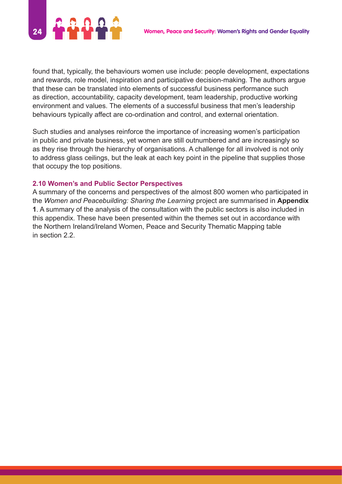

found that, typically, the behaviours women use include: people development, expectations and rewards, role model, inspiration and participative decision-making. The authors argue that these can be translated into elements of successful business performance such as direction, accountability, capacity development, team leadership, productive working environment and values. The elements of a successful business that men's leadership behaviours typically affect are co-ordination and control, and external orientation.

Such studies and analyses reinforce the importance of increasing women's participation in public and private business, yet women are still outnumbered and are increasingly so as they rise through the hierarchy of organisations. A challenge for all involved is not only to address glass ceilings, but the leak at each key point in the pipeline that supplies those that occupy the top positions.

#### **2.10 Women's and Public Sector Perspectives**

A summary of the concerns and perspectives of the almost 800 women who participated in the *Women and Peacebuilding: Sharing the Learning* project are summarised in **Appendix 1**. A summary of the analysis of the consultation with the public sectors is also included in this appendix. These have been presented within the themes set out in accordance with the Northern Ireland/Ireland Women, Peace and Security Thematic Mapping table in section 2.2.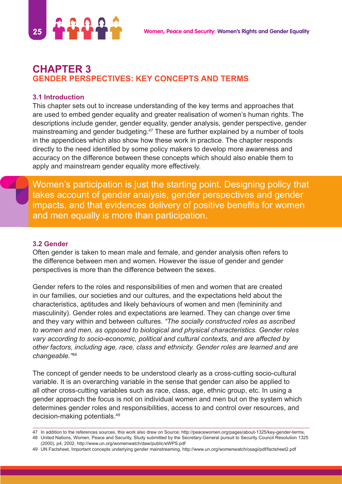

# **CHAPTER 3 GENDER PERSPECTIVES: KEY CONCEPTS AND TERMS**

#### **3.1 Introduction**

This chapter sets out to increase understanding of the key terms and approaches that are used to embed gender equality and greater realisation of women's human rights. The descriptions include gender, gender equality, gender analysis, gender perspective, gender mainstreaming and gender budgeting.<sup>47</sup> These are further explained by a number of tools in the appendices which also show how these work in practice. The chapter responds directly to the need identified by some policy makers to develop more awareness and accuracy on the difference between these concepts which should also enable them to apply and mainstream gender equality more effectively.

Women's participation is just the starting point. Designing policy that takes account of gender analysis, gender perspectives and gender impacts, and that evidences delivery of positive benefits for women and men equally is more than participation.

#### **3.2 Gender**

Often gender is taken to mean male and female, and gender analysis often refers to the difference between men and women. However the issue of gender and gender perspectives is more than the difference between the sexes.

Gender refers to the roles and responsibilities of men and women that are created in our families, our societies and our cultures, and the expectations held about the characteristics, aptitudes and likely behaviours of women and men (femininity and masculinity). Gender roles and expectations are learned. They can change over time and they vary within and between cultures. *"The socially constructed roles as ascribed to women and men, as opposed to biological and physical characteristics. Gender roles vary according to socio-economic, political and cultural contexts, and are affected by other factors, including age, race, class and ethnicity. Gender roles are learned and are changeable."*<sup>48</sup>

The concept of gender needs to be understood clearly as a cross-cutting socio-cultural variable. It is an overarching variable in the sense that gender can also be applied to all other cross-cutting variables such as race, class, age, ethnic group, etc. In using a gender approach the focus is not on individual women and men but on the system which determines gender roles and responsibilities, access to and control over resources, and decision-making potentials.49

<sup>47</sup> In addition to the references sources, this work also drew on Source: http://peacewomen.org/pages/about-1325/key-gender-terms, 48 United Nations, Women, Peace and Security, Study submitted by the Secretary-General pursuit to Security Council Resolution 1325

<sup>(2000),</sup> p4, 2002, http://www.un.org/womenwatch/daw/public/eWPS.pdf

<sup>49</sup> UN Factsheet, Important concepts underlying gender mainstreaming, http://www.un.org/womenwatch/osagi/pdf/factsheet2.pdf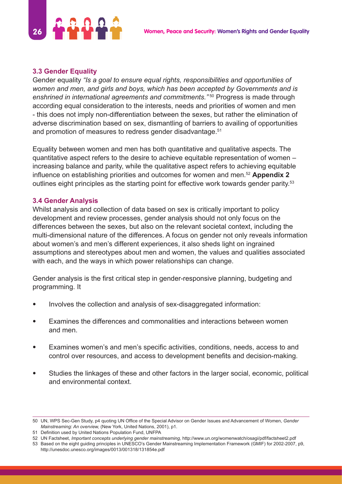

#### **3.3 Gender Equality**

Gender equality *"Is a goal to ensure equal rights, responsibilities and opportunities of women and men, and girls and boys, which has been accepted by Governments and is enshrined in international agreements and commitments."* 50 Progress is made through according equal consideration to the interests, needs and priorities of women and men - this does not imply non-differentiation between the sexes, but rather the elimination of adverse discrimination based on sex, dismantling of barriers to availing of opportunities and promotion of measures to redress gender disadvantage.<sup>51</sup>

Equality between women and men has both quantitative and qualitative aspects. The quantitative aspect refers to the desire to achieve equitable representation of women – increasing balance and parity, while the qualitative aspect refers to achieving equitable influence on establishing priorities and outcomes for women and men.<sup>52</sup> **Appendix 2** outlines eight principles as the starting point for effective work towards gender parity.<sup>53</sup>

#### **3.4 Gender Analysis**

Whilst analysis and collection of data based on sex is critically important to policy development and review processes, gender analysis should not only focus on the differences between the sexes, but also on the relevant societal context, including the multi-dimensional nature of the differences. A focus on gender not only reveals information about women's and men's different experiences, it also sheds light on ingrained assumptions and stereotypes about men and women, the values and qualities associated with each, and the ways in which power relationships can change.

Gender analysis is the first critical step in gender-responsive planning, budgeting and programming. It

- Involves the collection and analysis of sex-disaggregated information:
- Examines the differences and commonalities and interactions between women and men.
- Examines women's and men's specific activities, conditions, needs, access to and control over resources, and access to development benefits and decision-making.
- Studies the linkages of these and other factors in the larger social, economic, political and environmental context.

<sup>50</sup> UN, WPS Sec-Gen Study, p4 quoting UN Office of the Special Advisor on Gender Issues and Advancement of Women, *Gender Mainstreaming: An overview,* (New York, United Nations, 2001), p1.

<sup>51</sup> Definition used by United Nations Population Fund, UNFPA

<sup>52</sup> UN Factsheet, *Important concepts underlying gender mainstreaming,* http://www.un.org/womenwatch/osagi/pdf/factsheet2.pdf

<sup>53</sup> Based on the eight guiding principles in UNESCO's Gender Mainstreaming Implementation Framework (GMIF) for 2002-2007, p9, http://unesdoc.unesco.org/images/0013/001318/131854e.pdf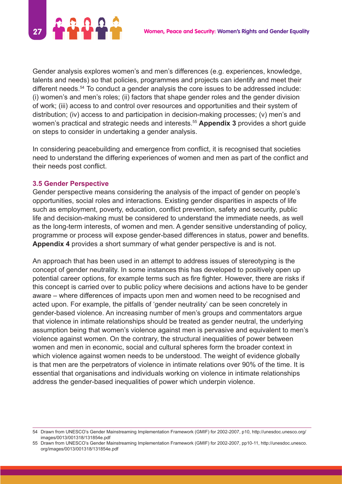

Gender analysis explores women's and men's differences (e.g. experiences, knowledge, talents and needs) so that policies, programmes and projects can identify and meet their different needs.<sup>54</sup> To conduct a gender analysis the core issues to be addressed include: (i) women's and men's roles; (ii) factors that shape gender roles and the gender division of work; (iii) access to and control over resources and opportunities and their system of distribution; (iv) access to and participation in decision-making processes; (v) men's and women's practical and strategic needs and interests.55 **Appendix 3** provides a short guide on steps to consider in undertaking a gender analysis.

In considering peacebuilding and emergence from conflict, it is recognised that societies need to understand the differing experiences of women and men as part of the conflict and their needs post conflict.

#### **3.5 Gender Perspective**

Gender perspective means considering the analysis of the impact of gender on people's opportunities, social roles and interactions. Existing gender disparities in aspects of life such as employment, poverty, education, conflict prevention, safety and security, public life and decision-making must be considered to understand the immediate needs, as well as the long-term interests, of women and men. A gender sensitive understanding of policy, programme or process will expose gender-based differences in status, power and benefits. **Appendix 4** provides a short summary of what gender perspective is and is not.

An approach that has been used in an attempt to address issues of stereotyping is the concept of gender neutrality. In some instances this has developed to positively open up potential career options, for example terms such as fire fighter. However, there are risks if this concept is carried over to public policy where decisions and actions have to be gender aware – where differences of impacts upon men and women need to be recognised and acted upon. For example, the pitfalls of 'gender neutrality' can be seen concretely in gender-based violence. An increasing number of men's groups and commentators argue that violence in intimate relationships should be treated as gender neutral, the underlying assumption being that women's violence against men is pervasive and equivalent to men's violence against women. On the contrary, the structural inequalities of power between women and men in economic, social and cultural spheres form the broader context in which violence against women needs to be understood. The weight of evidence globally is that men are the perpetrators of violence in intimate relations over 90% of the time. It is essential that organisations and individuals working on violence in intimate relationships address the gender-based inequalities of power which underpin violence.

<sup>54</sup> Drawn from UNESCO's Gender Mainstreaming Implementation Framework (GMIF) for 2002-2007, p10, http://unesdoc.unesco.org/ images/0013/001318/131854e.pdf

<sup>55</sup> Drawn from UNESCO's Gender Mainstreaming Implementation Framework (GMIF) for 2002-2007, pp10-11, http://unesdoc.unesco. org/images/0013/001318/131854e.pdf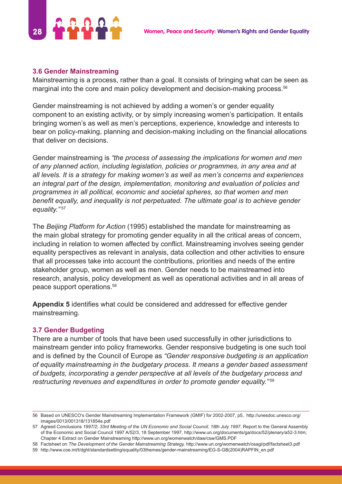

#### **3.6 Gender Mainstreaming**

Mainstreaming is a process, rather than a goal. It consists of bringing what can be seen as marginal into the core and main policy development and decision-making process.<sup>56</sup>

Gender mainstreaming is not achieved by adding a women's or gender equality component to an existing activity, or by simply increasing women's participation. It entails bringing women's as well as men's perceptions, experience, knowledge and interests to bear on policy-making, planning and decision-making including on the financial allocations that deliver on decisions.

Gender mainstreaming is *"the process of assessing the implications for women and men of any planned action, including legislation, policies or programmes, in any area and at all levels. It is a strategy for making women's as well as men's concerns and experiences an integral part of the design, implementation, monitoring and evaluation of policies and programmes in all political, economic and societal spheres, so that women and men benefit equally, and inequality is not perpetuated. The ultimate goal is to achieve gender equality."* <sup>57</sup>

The *Beijing Platform for Action* (1995) established the mandate for mainstreaming as the main global strategy for promoting gender equality in all the critical areas of concern, including in relation to women affected by conflict. Mainstreaming involves seeing gender equality perspectives as relevant in analysis, data collection and other activities to ensure that all processes take into account the contributions, priorities and needs of the entire stakeholder group, women as well as men. Gender needs to be mainstreamed into research, analysis, policy development as well as operational activities and in all areas of peace support operations.58

**Appendix 5** identifies what could be considered and addressed for effective gender mainstreaming.

## **3.7 Gender Budgeting**

There are a number of tools that have been used successfully in other jurisdictions to mainstream gender into policy frameworks. Gender responsive budgeting is one such tool and is defined by the Council of Europe as *"Gender responsive budgeting is an application of equality mainstreaming in the budgetary process. It means a gender based assessment of budgets, incorporating a gender perspective at all levels of the budgetary process and restructuring revenues and expenditures in order to promote gender equality."* <sup>59</sup>

<sup>56</sup> Based on UNESCO's Gender Mainstreaming Implementation Framework (GMIF) for 2002-2007, p5, http://unesdoc.unesco.org/ images/0013/001318/131854e.pdf

<sup>57</sup> Agreed Conclusions *1997/2, 33rd Meeting of the UN Economic and Social Council, 18th July 1997.* Report to the General Assembly of the Economic and Social Council 1997 A/52/3, 18 September 1997, http://www.un.org/documents/ga/docs/52/plenary/a52-3.htm; Chapter 4 Extract on Gender Mainstreaming http://www.un.org/womenwatch/daw/csw/GMS.PDF

<sup>58</sup> Factsheet on *The Development of the Gender Mainstreaming Strategy,* http://www.un.org/womenwatch/osagi/pdf/factsheet3.pdf

<sup>59</sup> http://www.coe.int/t/dghl/standardsetting/equality/03themes/gender-mainstreaming/EG-S-GB(2004)RAPFIN\_en.pdf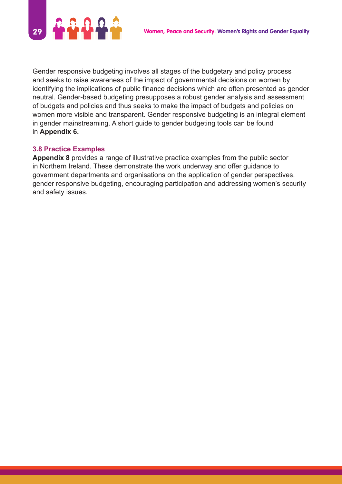

Gender responsive budgeting involves all stages of the budgetary and policy process and seeks to raise awareness of the impact of governmental decisions on women by identifying the implications of public finance decisions which are often presented as gender neutral. Gender-based budgeting presupposes a robust gender analysis and assessment of budgets and policies and thus seeks to make the impact of budgets and policies on women more visible and transparent. Gender responsive budgeting is an integral element in gender mainstreaming. A short guide to gender budgeting tools can be found in **Appendix 6.**

#### **3.8 Practice Examples**

**Appendix 8** provides a range of illustrative practice examples from the public sector in Northern Ireland. These demonstrate the work underway and offer guidance to government departments and organisations on the application of gender perspectives, gender responsive budgeting, encouraging participation and addressing women's security and safety issues.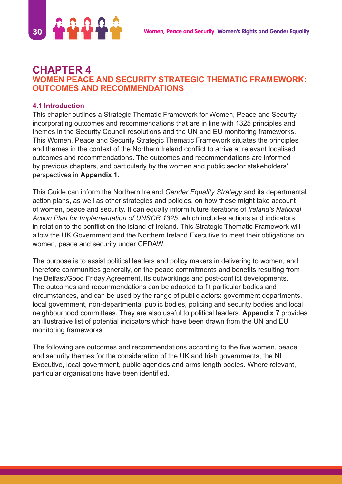

# **CHAPTER 4 WOMEN PEACE AND SECURITY STRATEGIC THEMATIC FRAMEWORK: OUTCOMES AND RECOMMENDATIONS**

## **4.1 Introduction**

This chapter outlines a Strategic Thematic Framework for Women, Peace and Security incorporating outcomes and recommendations that are in line with 1325 principles and themes in the Security Council resolutions and the UN and EU monitoring frameworks. This Women, Peace and Security Strategic Thematic Framework situates the principles and themes in the context of the Northern Ireland conflict to arrive at relevant localised outcomes and recommendations. The outcomes and recommendations are informed by previous chapters, and particularly by the women and public sector stakeholders' perspectives in **Appendix 1**.

This Guide can inform the Northern Ireland *Gender Equality Strategy* and its departmental action plans, as well as other strategies and policies, on how these might take account of women, peace and security. It can equally inform future iterations of *Ireland's National Action Plan for Implementation of UNSCR 1325*, which includes actions and indicators in relation to the conflict on the island of Ireland. This Strategic Thematic Framework will allow the UK Government and the Northern Ireland Executive to meet their obligations on women, peace and security under CEDAW.

The purpose is to assist political leaders and policy makers in delivering to women, and therefore communities generally, on the peace commitments and benefits resulting from the Belfast/Good Friday Agreement, its outworkings and post-conflict developments. The outcomes and recommendations can be adapted to fit particular bodies and circumstances, and can be used by the range of public actors: government departments, local government, non-departmental public bodies, policing and security bodies and local neighbourhood committees. They are also useful to political leaders. **Appendix 7** provides an illustrative list of potential indicators which have been drawn from the UN and EU monitoring frameworks.

The following are outcomes and recommendations according to the five women, peace and security themes for the consideration of the UK and Irish governments, the NI Executive, local government, public agencies and arms length bodies. Where relevant, particular organisations have been identified.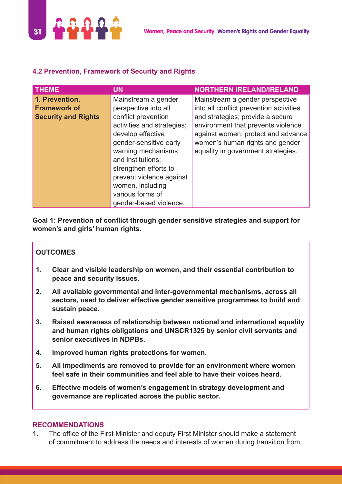

## **4.2 Prevention, Framework of Security and Rights**

| <b>THEME</b>                                                        | UN                                                                                                                                                                                                                                                                                                                | <b>NORTHERN IRELAND/IRELAND</b>                                                                                                                                                                                                                                     |
|---------------------------------------------------------------------|-------------------------------------------------------------------------------------------------------------------------------------------------------------------------------------------------------------------------------------------------------------------------------------------------------------------|---------------------------------------------------------------------------------------------------------------------------------------------------------------------------------------------------------------------------------------------------------------------|
| 1. Prevention,<br><b>Framework of</b><br><b>Security and Rights</b> | Mainstream a gender<br>perspective into all<br>conflict prevention<br>activities and strategies;<br>develop effective<br>gender-sensitive early<br>warning mechanisms<br>and institutions;<br>strengthen efforts to<br>prevent violence against<br>women, including<br>various forms of<br>gender-based violence. | Mainstream a gender perspective<br>into all conflict prevention activities<br>and strategies; provide a secure<br>environment that prevents violence<br>against women; protect and advance<br>women's human rights and gender<br>equality in government strategies. |

**Goal 1: Prevention of conflict through gender sensitive strategies and support for women's and girls' human rights.**

#### **OUTCOMES**

- **1. Clear and visible leadership on women, and their essential contribution to peace and security issues.**
- **2. All available governmental and inter-governmental mechanisms, across all sectors, used to deliver effective gender sensitive programmes to build and sustain peace.**
- **3. Raised awareness of relationship between national and international equality and human rights obligations and UNSCR1325 by senior civil servants and senior executives in NDPBs.**
- **4. Improved human rights protections for women.**
- **5. All impediments are removed to provide for an environment where women feel safe in their communities and feel able to have their voices heard.**
- **6. Effective models of women's engagement in strategy development and governance are replicated across the public sector.**

#### **RECOMMENDATIONS**

1. The office of the First Minister and deputy First Minister should make a statement of commitment to address the needs and interests of women during transition from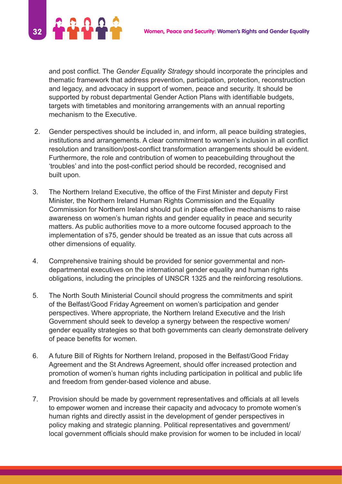

and post conflict. The *Gender Equality Strategy* should incorporate the principles and thematic framework that address prevention, participation, protection, reconstruction and legacy, and advocacy in support of women, peace and security. It should be supported by robust departmental Gender Action Plans with identifiable budgets, targets with timetables and monitoring arrangements with an annual reporting mechanism to the Executive.

- 2. Gender perspectives should be included in, and inform, all peace building strategies, institutions and arrangements. A clear commitment to women's inclusion in all conflict resolution and transition/post-conflict transformation arrangements should be evident. Furthermore, the role and contribution of women to peacebuilding throughout the 'troubles' and into the post-conflict period should be recorded, recognised and built upon.
- 3. The Northern Ireland Executive, the office of the First Minister and deputy First Minister, the Northern Ireland Human Rights Commission and the Equality Commission for Northern Ireland should put in place effective mechanisms to raise awareness on women's human rights and gender equality in peace and security matters. As public authorities move to a more outcome focused approach to the implementation of s75, gender should be treated as an issue that cuts across all other dimensions of equality.
- 4. Comprehensive training should be provided for senior governmental and nondepartmental executives on the international gender equality and human rights obligations, including the principles of UNSCR 1325 and the reinforcing resolutions.
- 5. The North South Ministerial Council should progress the commitments and spirit of the Belfast/Good Friday Agreement on women's participation and gender perspectives. Where appropriate, the Northern Ireland Executive and the Irish Government should seek to develop a synergy between the respective women/ gender equality strategies so that both governments can clearly demonstrate delivery of peace benefits for women.
- 6. A future Bill of Rights for Northern Ireland, proposed in the Belfast/Good Friday Agreement and the St Andrews Agreement, should offer increased protection and promotion of women's human rights including participation in political and public life and freedom from gender-based violence and abuse.
- 7. Provision should be made by government representatives and officials at all levels to empower women and increase their capacity and advocacy to promote women's human rights and directly assist in the development of gender perspectives in policy making and strategic planning. Political representatives and government/ local government officials should make provision for women to be included in local/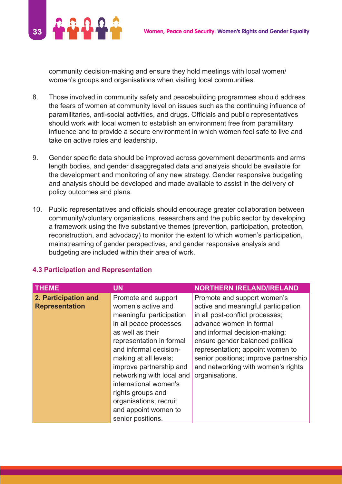

community decision-making and ensure they hold meetings with local women/ women's groups and organisations when visiting local communities.

- 8. Those involved in community safety and peacebuilding programmes should address the fears of women at community level on issues such as the continuing influence of paramilitaries, anti-social activities, and drugs. Officials and public representatives should work with local women to establish an environment free from paramilitary influence and to provide a secure environment in which women feel safe to live and take on active roles and leadership.
- 9. Gender specific data should be improved across government departments and arms length bodies, and gender disaggregated data and analysis should be available for the development and monitoring of any new strategy. Gender responsive budgeting and analysis should be developed and made available to assist in the delivery of policy outcomes and plans.
- 10. Public representatives and officials should encourage greater collaboration between community/voluntary organisations, researchers and the public sector by developing a framework using the five substantive themes (prevention, participation, protection, reconstruction, and advocacy) to monitor the extent to which women's participation, mainstreaming of gender perspectives, and gender responsive analysis and budgeting are included within their area of work.

| <b>THEME</b>                                  | <b>UN</b>                                                                                                                                                                                                                                                                                                                                                                       | <b>NORTHERN IRELAND/IRELAND</b>                                                                                                                                                                                                                                                                                                            |
|-----------------------------------------------|---------------------------------------------------------------------------------------------------------------------------------------------------------------------------------------------------------------------------------------------------------------------------------------------------------------------------------------------------------------------------------|--------------------------------------------------------------------------------------------------------------------------------------------------------------------------------------------------------------------------------------------------------------------------------------------------------------------------------------------|
| 2. Participation and<br><b>Representation</b> | Promote and support<br>women's active and<br>meaningful participation<br>in all peace processes<br>as well as their<br>representation in formal<br>and informal decision-<br>making at all levels;<br>improve partnership and<br>networking with local and<br>international women's<br>rights groups and<br>organisations; recruit<br>and appoint women to<br>senior positions. | Promote and support women's<br>active and meaningful participation<br>in all post-conflict processes;<br>advance women in formal<br>and informal decision-making;<br>ensure gender balanced political<br>representation; appoint women to<br>senior positions; improve partnership<br>and networking with women's rights<br>organisations. |

#### **4.3 Participation and Representation**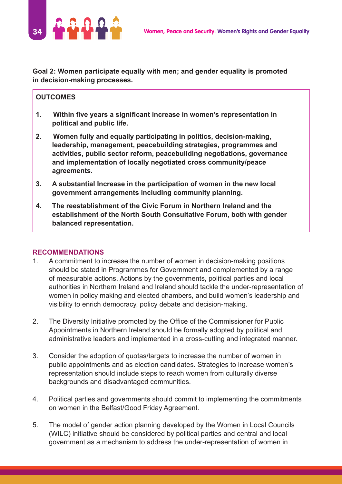

**Goal 2: Women participate equally with men; and gender equality is promoted in decision-making processes.**

#### **OUTCOMES**

- **1. Within five years a significant increase in women's representation in political and public life.**
- **2. Women fully and equally participating in politics, decision-making, leadership, management, peacebuilding strategies, programmes and activities, public sector reform, peacebuilding negotiations, governance and implementation of locally negotiated cross community/peace agreements.**
- **3. A substantial Increase in the participation of women in the new local government arrangements including community planning.**
- **4. The reestablishment of the Civic Forum in Northern Ireland and the establishment of the North South Consultative Forum, both with gender balanced representation.**

#### **RECOMMENDATIONS**

- 1. A commitment to increase the number of women in decision-making positions should be stated in Programmes for Government and complemented by a range of measurable actions. Actions by the governments, political parties and local authorities in Northern Ireland and Ireland should tackle the under-representation of women in policy making and elected chambers, and build women's leadership and visibility to enrich democracy, policy debate and decision-making.
- 2. The Diversity Initiative promoted by the Office of the Commissioner for Public Appointments in Northern Ireland should be formally adopted by political and administrative leaders and implemented in a cross-cutting and integrated manner.
- 3. Consider the adoption of quotas/targets to increase the number of women in public appointments and as election candidates. Strategies to increase women's representation should include steps to reach women from culturally diverse backgrounds and disadvantaged communities.
- 4. Political parties and governments should commit to implementing the commitments on women in the Belfast/Good Friday Agreement.
- 5. The model of gender action planning developed by the Women in Local Councils (WILC) initiative should be considered by political parties and central and local government as a mechanism to address the under-representation of women in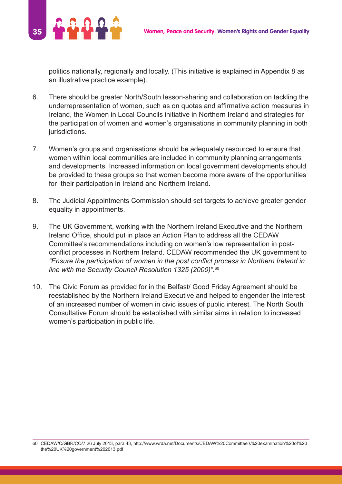

politics nationally, regionally and locally. (This initiative is explained in Appendix 8 as an illustrative practice example).

- 6. There should be greater North/South lesson-sharing and collaboration on tackling the underrepresentation of women, such as on quotas and affirmative action measures in Ireland, the Women in Local Councils initiative in Northern Ireland and strategies for the participation of women and women's organisations in community planning in both jurisdictions.
- 7. Women's groups and organisations should be adequately resourced to ensure that women within local communities are included in community planning arrangements and developments. Increased information on local government developments should be provided to these groups so that women become more aware of the opportunities for their participation in Ireland and Northern Ireland.
- 8. The Judicial Appointments Commission should set targets to achieve greater gender equality in appointments.
- 9. The UK Government, working with the Northern Ireland Executive and the Northern Ireland Office, should put in place an Action Plan to address all the CEDAW Committee's recommendations including on women's low representation in postconflict processes in Northern Ireland. CEDAW recommended the UK government to *"Ensure the participation of women in the post conflict process in Northern Ireland in line with the Security Council Resolution 1325 (2000)".*<sup>60</sup>
- 10. The Civic Forum as provided for in the Belfast/ Good Friday Agreement should be reestablished by the Northern Ireland Executive and helped to engender the interest of an increased number of women in civic issues of public interest. The North South Consultative Forum should be established with similar aims in relation to increased women's participation in public life.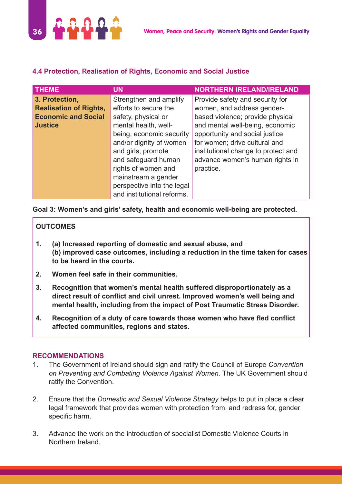

## **4.4 Protection, Realisation of Rights, Economic and Social Justice**

| <b>THEME</b>                  | UN                         | <b>NORTHERN IRELAND/IRELAND</b>     |
|-------------------------------|----------------------------|-------------------------------------|
| 3. Protection,                | Strengthen and amplify     | Provide safety and security for     |
| <b>Realisation of Rights,</b> | efforts to secure the      | women, and address gender-          |
| <b>Economic and Social</b>    | safety, physical or        | based violence; provide physical    |
| <b>Justice</b>                | mental health, well-       | and mental well-being, economic     |
|                               | being, economic security   | opportunity and social justice      |
|                               | and/or dignity of women    | for women; drive cultural and       |
|                               | and girls; promote         | institutional change to protect and |
|                               | and safeguard human        | advance women's human rights in     |
|                               | rights of women and        | practice.                           |
|                               | mainstream a gender        |                                     |
|                               | perspective into the legal |                                     |
|                               | and institutional reforms. |                                     |

**Goal 3: Women's and girls' safety, health and economic well-being are protected.**

## **OUTCOMES**

- **1. (a) Increased reporting of domestic and sexual abuse, and (b) improved case outcomes, including a reduction in the time taken for cases to be heard in the courts.**
- **2. Women feel safe in their communities.**
- **3. Recognition that women's mental health suffered disproportionately as a direct result of conflict and civil unrest. Improved women's well being and mental health, including from the impact of Post Traumatic Stress Disorder.**
- **4. Recognition of a duty of care towards those women who have fled conflict affected communities, regions and states.**

#### **RECOMMENDATIONS**

- 1. The Government of Ireland should sign and ratify the Council of Europe *Convention on Preventing and Combating Violence Against Women.* The UK Government should ratify the Convention.
- 2. Ensure that the *Domestic and Sexual Violence Strategy* helps to put in place a clear legal framework that provides women with protection from, and redress for, gender specific harm.
- 3. Advance the work on the introduction of specialist Domestic Violence Courts in Northern Ireland.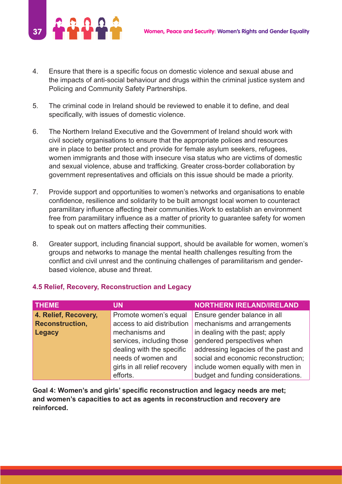

- 4. Ensure that there is a specific focus on domestic violence and sexual abuse and the impacts of anti-social behaviour and drugs within the criminal justice system and Policing and Community Safety Partnerships.
- 5. The criminal code in Ireland should be reviewed to enable it to define, and deal specifically, with issues of domestic violence.
- 6. The Northern Ireland Executive and the Government of Ireland should work with civil society organisations to ensure that the appropriate polices and resources are in place to better protect and provide for female asylum seekers, refugees, women immigrants and those with insecure visa status who are victims of domestic and sexual violence, abuse and trafficking. Greater cross-border collaboration by government representatives and officials on this issue should be made a priority.
- 7. Provide support and opportunities to women's networks and organisations to enable confidence, resilience and solidarity to be built amongst local women to counteract paramilitary influence affecting their communities.Work to establish an environment free from paramilitary influence as a matter of priority to guarantee safety for women to speak out on matters affecting their communities.
- 8. Greater support, including financial support, should be available for women, women's groups and networks to manage the mental health challenges resulting from the conflict and civil unrest and the continuing challenges of paramilitarism and genderbased violence, abuse and threat.

| <b>THEME</b>           | UN                           | <b>NORTHERN IRELAND/IRELAND</b>     |
|------------------------|------------------------------|-------------------------------------|
| 4. Relief, Recovery,   | Promote women's equal        | Ensure gender balance in all        |
| <b>Reconstruction,</b> | access to aid distribution   | mechanisms and arrangements         |
| Legacy                 | mechanisms and               | in dealing with the past; apply     |
|                        | services, including those    | gendered perspectives when          |
|                        | dealing with the specific    | addressing legacies of the past and |
|                        | needs of women and           | social and economic reconstruction; |
|                        | girls in all relief recovery | include women equally with men in   |
|                        | efforts.                     | budget and funding considerations.  |

#### **4.5 Relief, Recovery, Reconstruction and Legacy**

**Goal 4: Women's and girls' specific reconstruction and legacy needs are met; and women's capacities to act as agents in reconstruction and recovery are reinforced.**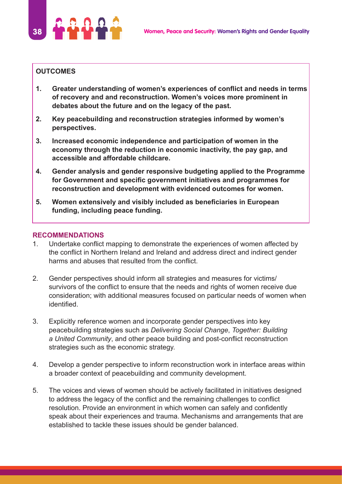

#### **OUTCOMES**

- **1. Greater understanding of women's experiences of conflict and needs in terms of recovery and and reconstruction. Women's voices more prominent in debates about the future and on the legacy of the past.**
- **2. Key peacebuilding and reconstruction strategies informed by women's perspectives.**
- **3. Increased economic independence and participation of women in the economy through the reduction in economic inactivity, the pay gap, and accessible and affordable childcare.**
- **4. Gender analysis and gender responsive budgeting applied to the Programme for Government and specific government initiatives and programmes for reconstruction and development with evidenced outcomes for women.**
- **5. Women extensively and visibly included as beneficiaries in European funding, including peace funding.**

#### **RECOMMENDATIONS**

- 1. Undertake conflict mapping to demonstrate the experiences of women affected by the conflict in Northern Ireland and Ireland and address direct and indirect gender harms and abuses that resulted from the conflict.
- 2. Gender perspectives should inform all strategies and measures for victims/ survivors of the conflict to ensure that the needs and rights of women receive due consideration; with additional measures focused on particular needs of women when identified.
- 3. Explicitly reference women and incorporate gender perspectives into key peacebuilding strategies such as *Delivering Social Change*, *Together: Building a United Community*, and other peace building and post-conflict reconstruction strategies such as the economic strategy.
- 4. Develop a gender perspective to inform reconstruction work in interface areas within a broader context of peacebuilding and community development.
- 5. The voices and views of women should be actively facilitated in initiatives designed to address the legacy of the conflict and the remaining challenges to conflict resolution. Provide an environment in which women can safely and confidently speak about their experiences and trauma. Mechanisms and arrangements that are established to tackle these issues should be gender balanced.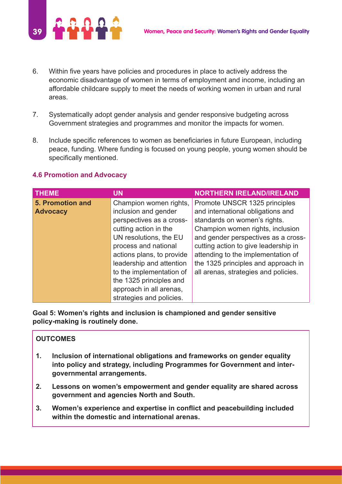

- 6. Within five years have policies and procedures in place to actively address the economic disadvantage of women in terms of employment and income, including an affordable childcare supply to meet the needs of working women in urban and rural areas.
- 7. Systematically adopt gender analysis and gender responsive budgeting across Government strategies and programmes and monitor the impacts for women.
- 8. Include specific references to women as beneficiaries in future European, including peace, funding. Where funding is focused on young people, young women should be specifically mentioned.

#### **4.6 Promotion and Advocacy**

| <b>THEME</b>            | <b>UN</b>                 | <b>NORTHERN IRELAND/IRELAND</b>      |
|-------------------------|---------------------------|--------------------------------------|
| <b>5. Promotion and</b> | Champion women rights,    | Promote UNSCR 1325 principles        |
| <b>Advocacy</b>         | inclusion and gender      | and international obligations and    |
|                         | perspectives as a cross-  | standards on women's rights.         |
|                         | cutting action in the     | Champion women rights, inclusion     |
|                         | UN resolutions, the EU    | and gender perspectives as a cross-  |
|                         | process and national      | cutting action to give leadership in |
|                         | actions plans, to provide | attending to the implementation of   |
|                         | leadership and attention  | the 1325 principles and approach in  |
|                         | to the implementation of  | all arenas, strategies and policies. |
|                         | the 1325 principles and   |                                      |
|                         | approach in all arenas,   |                                      |
|                         | strategies and policies.  |                                      |

**Goal 5: Women's rights and inclusion is championed and gender sensitive policy-making is routinely done.**

#### **OUTCOMES**

- **1. Inclusion of international obligations and frameworks on gender equality into policy and strategy, including Programmes for Government and intergovernmental arrangements.**
- **2. Lessons on women's empowerment and gender equality are shared across government and agencies North and South.**
- **3. Women's experience and expertise in conflict and peacebuilding included within the domestic and international arenas.**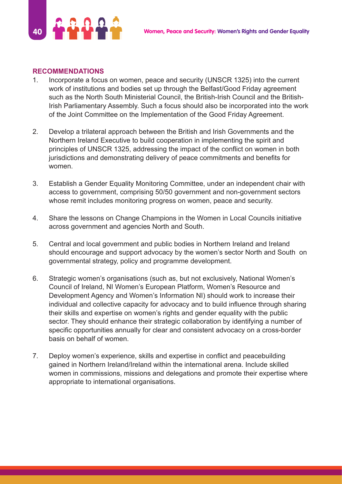

#### **RECOMMENDATIONS**

- 1. Incorporate a focus on women, peace and security (UNSCR 1325) into the current work of institutions and bodies set up through the Belfast/Good Friday agreement such as the North South Ministerial Council, the British-Irish Council and the British-Irish Parliamentary Assembly. Such a focus should also be incorporated into the work of the Joint Committee on the Implementation of the Good Friday Agreement.
- 2. Develop a trilateral approach between the British and Irish Governments and the Northern Ireland Executive to build cooperation in implementing the spirit and principles of UNSCR 1325, addressing the impact of the conflict on women in both jurisdictions and demonstrating delivery of peace commitments and benefits for women.
- 3. Establish a Gender Equality Monitoring Committee, under an independent chair with access to government, comprising 50/50 government and non-government sectors whose remit includes monitoring progress on women, peace and security.
- 4. Share the lessons on Change Champions in the Women in Local Councils initiative across government and agencies North and South.
- 5. Central and local government and public bodies in Northern Ireland and Ireland should encourage and support advocacy by the women's sector North and South on governmental strategy, policy and programme development.
- 6. Strategic women's organisations (such as, but not exclusively, National Women's Council of Ireland, NI Women's European Platform, Women's Resource and Development Agency and Women's Information NI) should work to increase their individual and collective capacity for advocacy and to build influence through sharing their skills and expertise on women's rights and gender equality with the public sector. They should enhance their strategic collaboration by identifying a number of specific opportunities annually for clear and consistent advocacy on a cross-border basis on behalf of women.
- 7. Deploy women's experience, skills and expertise in conflict and peacebuilding gained in Northern Ireland/Ireland within the international arena. Include skilled women in commissions, missions and delegations and promote their expertise where appropriate to international organisations.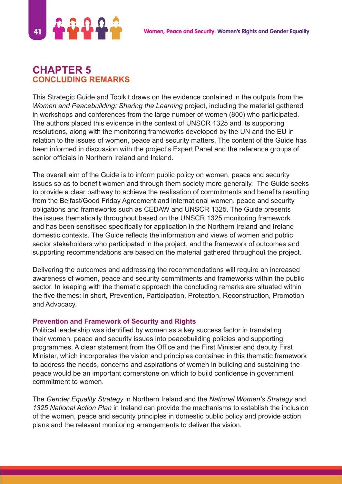

# **CHAPTER 5 CONCLUDING REMARKS**

This Strategic Guide and Toolkit draws on the evidence contained in the outputs from the *Women and Peacebuilding: Sharing the Learning* project, including the material gathered in workshops and conferences from the large number of women (800) who participated. The authors placed this evidence in the context of UNSCR 1325 and its supporting resolutions, along with the monitoring frameworks developed by the UN and the EU in relation to the issues of women, peace and security matters. The content of the Guide has been informed in discussion with the project's Expert Panel and the reference groups of senior officials in Northern Ireland and Ireland.

The overall aim of the Guide is to inform public policy on women, peace and security issues so as to benefit women and through them society more generally. The Guide seeks to provide a clear pathway to achieve the realisation of commitments and benefits resulting from the Belfast/Good Friday Agreement and international women, peace and security obligations and frameworks such as CEDAW and UNSCR 1325. The Guide presents the issues thematically throughout based on the UNSCR 1325 monitoring framework and has been sensitised specifically for application in the Northern Ireland and Ireland domestic contexts. The Guide reflects the information and views of women and public sector stakeholders who participated in the project, and the framework of outcomes and supporting recommendations are based on the material gathered throughout the project.

Delivering the outcomes and addressing the recommendations will require an increased awareness of women, peace and security commitments and frameworks within the public sector. In keeping with the thematic approach the concluding remarks are situated within the five themes: in short, Prevention, Participation, Protection, Reconstruction, Promotion and Advocacy.

#### **Prevention and Framework of Security and Rights**

Political leadership was identified by women as a key success factor in translating their women, peace and security issues into peacebuilding policies and supporting programmes. A clear statement from the Office and the First Minister and deputy First Minister, which incorporates the vision and principles contained in this thematic framework to address the needs, concerns and aspirations of women in building and sustaining the peace would be an important cornerstone on which to build confidence in government commitment to women.

The *Gender Equality Strategy* in Northern Ireland and the *National Women's Strategy* and *1325 National Action Plan* in Ireland can provide the mechanisms to establish the inclusion of the women, peace and security principles in domestic public policy and provide action plans and the relevant monitoring arrangements to deliver the vision.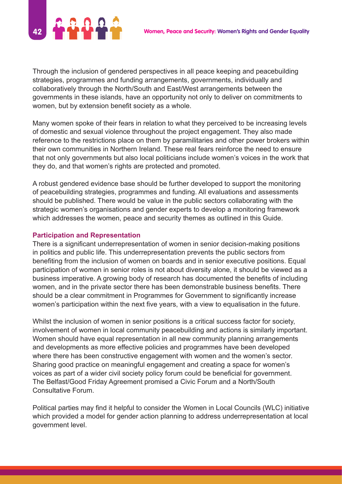

Through the inclusion of gendered perspectives in all peace keeping and peacebuilding strategies, programmes and funding arrangements, governments, individually and collaboratively through the North/South and East/West arrangements between the governments in these islands, have an opportunity not only to deliver on commitments to women, but by extension benefit society as a whole.

Many women spoke of their fears in relation to what they perceived to be increasing levels of domestic and sexual violence throughout the project engagement. They also made reference to the restrictions place on them by paramilitaries and other power brokers within their own communities in Northern Ireland. These real fears reinforce the need to ensure that not only governments but also local politicians include women's voices in the work that they do, and that women's rights are protected and promoted.

A robust gendered evidence base should be further developed to support the monitoring of peacebuilding strategies, programmes and funding. All evaluations and assessments should be published. There would be value in the public sectors collaborating with the strategic women's organisations and gender experts to develop a monitoring framework which addresses the women, peace and security themes as outlined in this Guide.

#### **Participation and Representation**

There is a significant underrepresentation of women in senior decision-making positions in politics and public life. This underrepresentation prevents the public sectors from benefiting from the inclusion of women on boards and in senior executive positions. Equal participation of women in senior roles is not about diversity alone, it should be viewed as a business imperative. A growing body of research has documented the benefits of including women, and in the private sector there has been demonstrable business benefits. There should be a clear commitment in Programmes for Government to significantly increase women's participation within the next five years, with a view to equalisation in the future.

Whilst the inclusion of women in senior positions is a critical success factor for society, involvement of women in local community peacebuilding and actions is similarly important. Women should have equal representation in all new community planning arrangements and developments as more effective policies and programmes have been developed where there has been constructive engagement with women and the women's sector. Sharing good practice on meaningful engagement and creating a space for women's voices as part of a wider civil society policy forum could be beneficial for government. The Belfast/Good Friday Agreement promised a Civic Forum and a North/South Consultative Forum.

Political parties may find it helpful to consider the Women in Local Councils (WLC) initiative which provided a model for gender action planning to address underrepresentation at local government level.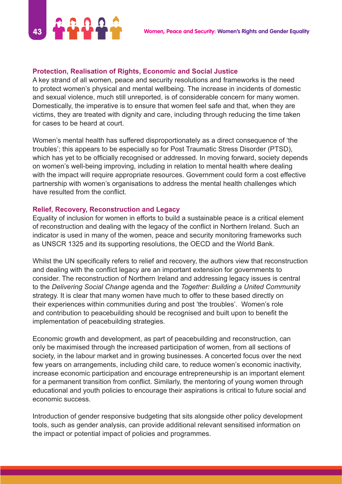

#### **Protection, Realisation of Rights, Economic and Social Justice**

A key strand of all women, peace and security resolutions and frameworks is the need to protect women's physical and mental wellbeing. The increase in incidents of domestic and sexual violence, much still unreported, is of considerable concern for many women. Domestically, the imperative is to ensure that women feel safe and that, when they are victims, they are treated with dignity and care, including through reducing the time taken for cases to be heard at court.

Women's mental health has suffered disproportionately as a direct consequence of 'the troubles'; this appears to be especially so for Post Traumatic Stress Disorder (PTSD), which has yet to be officially recognised or addressed. In moving forward, society depends on women's well-being improving, including in relation to mental health where dealing with the impact will require appropriate resources. Government could form a cost effective partnership with women's organisations to address the mental health challenges which have resulted from the conflict.

#### **Relief, Recovery, Reconstruction and Legacy**

Equality of inclusion for women in efforts to build a sustainable peace is a critical element of reconstruction and dealing with the legacy of the conflict in Northern Ireland. Such an indicator is used in many of the women, peace and security monitoring frameworks such as UNSCR 1325 and its supporting resolutions, the OECD and the World Bank.

Whilst the UN specifically refers to relief and recovery, the authors view that reconstruction and dealing with the conflict legacy are an important extension for governments to consider. The reconstruction of Northern Ireland and addressing legacy issues is central to the *Delivering Social Change* agenda and the *Together: Building a United Community* strategy. It is clear that many women have much to offer to these based directly on their experiences within communities during and post 'the troubles'. Women's role and contribution to peacebuilding should be recognised and built upon to benefit the implementation of peacebuilding strategies.

Economic growth and development, as part of peacebuilding and reconstruction, can only be maximised through the increased participation of women, from all sections of society, in the labour market and in growing businesses. A concerted focus over the next few years on arrangements, including child care, to reduce women's economic inactivity, increase economic participation and encourage entrepreneurship is an important element for a permanent transition from conflict. Similarly, the mentoring of young women through educational and youth policies to encourage their aspirations is critical to future social and economic success.

Introduction of gender responsive budgeting that sits alongside other policy development tools, such as gender analysis, can provide additional relevant sensitised information on the impact or potential impact of policies and programmes.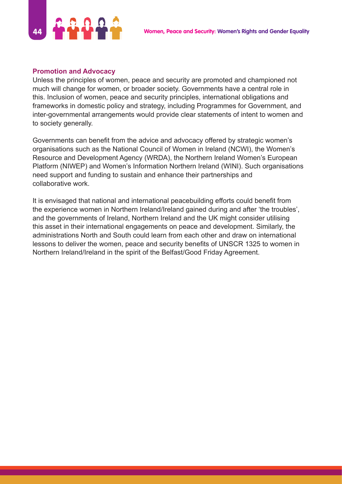

#### **Promotion and Advocacy**

Unless the principles of women, peace and security are promoted and championed not much will change for women, or broader society. Governments have a central role in this. Inclusion of women, peace and security principles, international obligations and frameworks in domestic policy and strategy, including Programmes for Government, and inter-governmental arrangements would provide clear statements of intent to women and to society generally.

Governments can benefit from the advice and advocacy offered by strategic women's organisations such as the National Council of Women in Ireland (NCWI), the Women's Resource and Development Agency (WRDA), the Northern Ireland Women's European Platform (NIWEP) and Women's Information Northern Ireland (WINI). Such organisations need support and funding to sustain and enhance their partnerships and collaborative work.

It is envisaged that national and international peacebuilding efforts could benefit from the experience women in Northern Ireland/Ireland gained during and after 'the troubles', and the governments of Ireland, Northern Ireland and the UK might consider utilising this asset in their international engagements on peace and development. Similarly, the administrations North and South could learn from each other and draw on international lessons to deliver the women, peace and security benefits of UNSCR 1325 to women in Northern Ireland/Ireland in the spirit of the Belfast/Good Friday Agreement.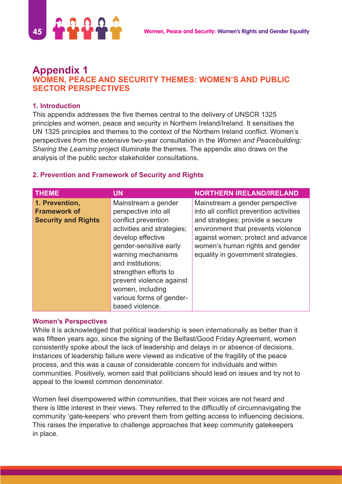

# **Appendix 1 WOMEN, PEACE AND SECURITY THEMES: WOMEN'S AND PUBLIC SECTOR PERSPECTIVES**

#### **1. Introduction**

This appendix addresses the five themes central to the delivery of UNSCR 1325 principles and women, peace and security in Northern Ireland/Ireland. It sensitises the UN 1325 principles and themes to the context of the Northern Ireland conflict. Women's perspectives from the extensive two-year consultation in the *Women and Peacebuilding: Sharing the Learning* project illuminate the themes. The appendix also draws on the analysis of the public sector stakeholder consultations.

#### **2. Prevention and Framework of Security and Rights**

| <b>THEME</b>                                                        | <b>UN</b>                                                                                                                                                                                                                                                                                                          | <b>NORTHERN IRELAND/IRELAND</b>                                                                                                                                                                                                                                     |
|---------------------------------------------------------------------|--------------------------------------------------------------------------------------------------------------------------------------------------------------------------------------------------------------------------------------------------------------------------------------------------------------------|---------------------------------------------------------------------------------------------------------------------------------------------------------------------------------------------------------------------------------------------------------------------|
| 1. Prevention,<br><b>Framework of</b><br><b>Security and Rights</b> | Mainstream a gender<br>perspective into all<br>conflict prevention<br>activities and strategies;<br>develop effective<br>gender-sensitive early<br>warning mechanisms<br>and institutions;<br>strengthen efforts to<br>prevent violence against<br>women, including<br>various forms of gender-<br>based violence. | Mainstream a gender perspective<br>into all conflict prevention activities<br>and strategies; provide a secure<br>environment that prevents violence<br>against women; protect and advance<br>women's human rights and gender<br>equality in government strategies. |

#### **Women's Perspectives**

While it is acknowledged that political leadership is seen internationally as better than it was fifteen years ago, since the signing of the Belfast/Good Friday Agreement, women consistently spoke about the lack of leadership and delays in or absence of decisions. Instances of leadership failure were viewed as indicative of the fragility of the peace process, and this was a cause of considerable concern for individuals and within communities. Positively, women said that politicians should lead on issues and try not to appeal to the lowest common denominator.

Women feel disempowered within communities, that their voices are not heard and there is little interest in their views. They referred to the difficultly of circumnavigating the community 'gate-keepers' who prevent them from getting access to influencing decisions. This raises the imperative to challenge approaches that keep community gatekeepers in place.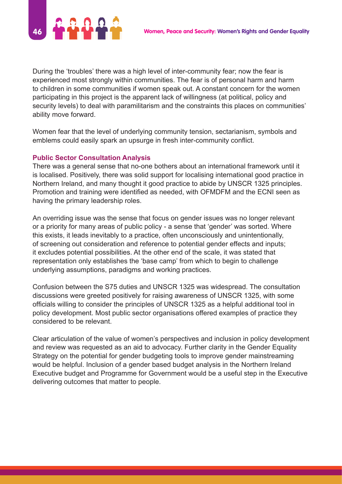

During the 'troubles' there was a high level of inter-community fear; now the fear is experienced most strongly within communities. The fear is of personal harm and harm to children in some communities if women speak out. A constant concern for the women participating in this project is the apparent lack of willingness (at political, policy and security levels) to deal with paramilitarism and the constraints this places on communities' ability move forward.

Women fear that the level of underlying community tension, sectarianism, symbols and emblems could easily spark an upsurge in fresh inter-community conflict.

#### **Public Sector Consultation Analysis**

There was a general sense that no-one bothers about an international framework until it is localised. Positively, there was solid support for localising international good practice in Northern Ireland, and many thought it good practice to abide by UNSCR 1325 principles. Promotion and training were identified as needed, with OFMDFM and the ECNI seen as having the primary leadership roles.

An overriding issue was the sense that focus on gender issues was no longer relevant or a priority for many areas of public policy - a sense that 'gender' was sorted. Where this exists, it leads inevitably to a practice, often unconsciously and unintentionally, of screening out consideration and reference to potential gender effects and inputs; it excludes potential possibilities. At the other end of the scale, it was stated that representation only establishes the 'base camp' from which to begin to challenge underlying assumptions, paradigms and working practices.

Confusion between the S75 duties and UNSCR 1325 was widespread. The consultation discussions were greeted positively for raising awareness of UNSCR 1325, with some officials willing to consider the principles of UNSCR 1325 as a helpful additional tool in policy development. Most public sector organisations offered examples of practice they considered to be relevant.

Clear articulation of the value of women's perspectives and inclusion in policy development and review was requested as an aid to advocacy. Further clarity in the Gender Equality Strategy on the potential for gender budgeting tools to improve gender mainstreaming would be helpful. Inclusion of a gender based budget analysis in the Northern Ireland Executive budget and Programme for Government would be a useful step in the Executive delivering outcomes that matter to people.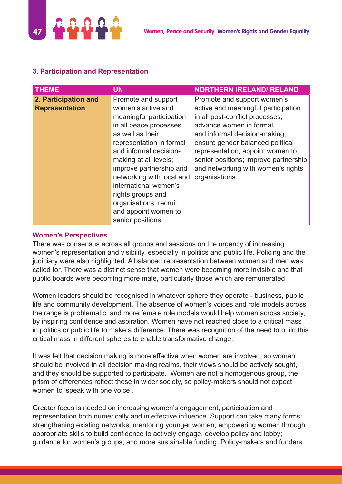

#### **Women's Perspectives**

There was consensus across all groups and sessions on the urgency of increasing women's representation and visibility, especially in politics and public life. Policing and the judiciary were also highlighted. A balanced representation between women and men was called for. There was a distinct sense that women were becoming more invisible and that public boards were becoming more male, particularly those which are remunerated.

Women leaders should be recognised in whatever sphere they operate - business, public life and community development. The absence of women's voices and role models across the range is problematic, and more female role models would help women across society, by inspiring confidence and aspiration. Women have not reached close to a critical mass in politics or public life to make a difference. There was recognition of the need to build this critical mass in different spheres to enable transformative change.

It was felt that decision making is more effective when women are involved, so women should be involved in all decision making realms, their views should be actively sought, and they should be supported to participate. Women are not a homogenous group, the prism of differences reflect those in wider society, so policy-makers should not expect women to 'speak with one voice'.

Greater focus is needed on increasing women's engagement, participation and representation both numerically and in effective influence. Support can take many forms: strengthening existing networks; mentoring younger women; empowering women through appropriate skills to build confidence to actively engage, develop policy and lobby; guidance for women's groups; and more sustainable funding. Policy-makers and funders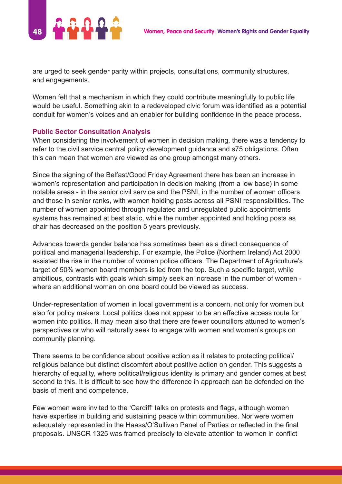

are urged to seek gender parity within projects, consultations, community structures, and engagements.

Women felt that a mechanism in which they could contribute meaningfully to public life would be useful. Something akin to a redeveloped civic forum was identified as a potential conduit for women's voices and an enabler for building confidence in the peace process.

#### **Public Sector Consultation Analysis**

When considering the involvement of women in decision making, there was a tendency to refer to the civil service central policy development guidance and s75 obligations. Often this can mean that women are viewed as one group amongst many others.

Since the signing of the Belfast/Good Friday Agreement there has been an increase in women's representation and participation in decision making (from a low base) in some notable areas - in the senior civil service and the PSNI, in the number of women officers and those in senior ranks, with women holding posts across all PSNI responsibilities. The number of women appointed through regulated and unregulated public appointments systems has remained at best static, while the number appointed and holding posts as chair has decreased on the position 5 years previously.

Advances towards gender balance has sometimes been as a direct consequence of political and managerial leadership. For example, the Police (Northern Ireland) Act 2000 assisted the rise in the number of women police officers. The Department of Agriculture's target of 50% women board members is led from the top. Such a specific target, while ambitious, contrasts with goals which simply seek an increase in the number of women where an additional woman on one board could be viewed as success.

Under-representation of women in local government is a concern, not only for women but also for policy makers. Local politics does not appear to be an effective access route for women into politics. It may mean also that there are fewer councillors attuned to women's perspectives or who will naturally seek to engage with women and women's groups on community planning.

There seems to be confidence about positive action as it relates to protecting political/ religious balance but distinct discomfort about positive action on gender. This suggests a hierarchy of equality, where political/religious identity is primary and gender comes at best second to this. It is difficult to see how the difference in approach can be defended on the basis of merit and competence.

Few women were invited to the 'Cardiff' talks on protests and flags, although women have expertise in building and sustaining peace within communities. Nor were women adequately represented in the Haass/O'Sullivan Panel of Parties or reflected in the final proposals. UNSCR 1325 was framed precisely to elevate attention to women in conflict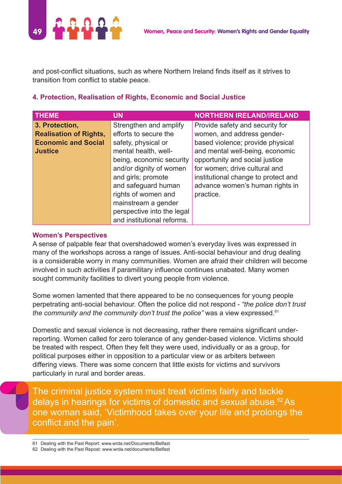

and post-conflict situations, such as where Northern Ireland finds itself as it strives to transition from conflict to stable peace.

#### **4. Protection, Realisation of Rights, Economic and Social Justice**

| <b>THEME</b>                  | <b>UN</b>                  | <b>NORTHERN IRELAND/IRELAND</b>     |
|-------------------------------|----------------------------|-------------------------------------|
| 3. Protection,                | Strengthen and amplify     | Provide safety and security for     |
| <b>Realisation of Rights,</b> | efforts to secure the      | women, and address gender-          |
| <b>Economic and Social</b>    | safety, physical or        | based violence; provide physical    |
| <b>Justice</b>                | mental health, well-       | and mental well-being, economic     |
|                               | being, economic security   | opportunity and social justice      |
|                               | and/or dignity of women    | for women; drive cultural and       |
|                               | and girls; promote         | institutional change to protect and |
|                               | and safeguard human        | advance women's human rights in     |
|                               | rights of women and        | practice.                           |
|                               | mainstream a gender        |                                     |
|                               | perspective into the legal |                                     |
|                               | and institutional reforms. |                                     |

#### **Women's Perspectives**

A sense of palpable fear that overshadowed women's everyday lives was expressed in many of the workshops across a range of issues. Anti-social behaviour and drug dealing is a considerable worry in many communities. Women are afraid their children will become involved in such activities if paramilitary influence continues unabated. Many women sought community facilities to divert young people from violence.

Some women lamented that there appeared to be no consequences for young people perpetrating anti-social behaviour. Often the police did not respond - *"the police don't trust the community and the community don't trust the police"* was a view expressed.<sup>61</sup>

Domestic and sexual violence is not decreasing, rather there remains significant underreporting. Women called for zero tolerance of any gender-based violence. Victims should be treated with respect. Often they felt they were used, individually or as a group, for political purposes either in opposition to a particular view or as arbiters between differing views. There was some concern that little exists for victims and survivors particularly in rural and border areas.

The criminal justice system must treat victims fairly and tackle delays in hearings for victims of domestic and sexual abuse.<sup>62</sup>As one woman said, 'Victimhood takes over your life and prolongs the conflict and the pain'.

<sup>61</sup> Dealing with the Past Report: www.wrda.net/Documents/Belfast 62 Dealing with the Past Repost: www.wrda.net/documents/Belfast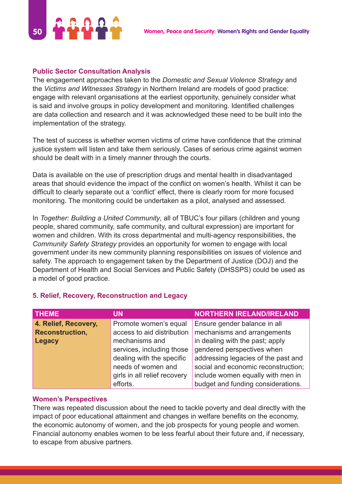

#### **Public Sector Consultation Analysis**

The engagement approaches taken to the *Domestic and Sexual Violence Strategy* and the *Victims and Witnesses Strategy* in Northern Ireland are models of good practice: engage with relevant organisations at the earliest opportunity, genuinely consider what is said and involve groups in policy development and monitoring. Identified challenges are data collection and research and it was acknowledged these need to be built into the implementation of the strategy.

The test of success is whether women victims of crime have confidence that the criminal justice system will listen and take them seriously. Cases of serious crime against women should be dealt with in a timely manner through the courts.

Data is available on the use of prescription drugs and mental health in disadvantaged areas that should evidence the impact of the conflict on women's health. Whilst it can be difficult to clearly separate out a 'conflict' effect, there is clearly room for more focused monitoring. The monitoring could be undertaken as a pilot, analysed and assessed.

In *Together: Building a United Community*, all of TBUC's four pillars (children and young people, shared community, safe community, and cultural expression) are important for women and children. With its cross departmental and multi-agency responsibilities, the *Community Safety Strategy* provides an opportunity for women to engage with local government under its new community planning responsibilities on issues of violence and safety. The approach to engagement taken by the Department of Justice (DOJ) and the Department of Health and Social Services and Public Safety (DHSSPS) could be used as a model of good practice.

| <b>THEME</b>           | UN                           | <b>NORTHERN IRELAND/IRELAND</b>     |
|------------------------|------------------------------|-------------------------------------|
| 4. Relief, Recovery,   | Promote women's equal        | Ensure gender balance in all        |
| <b>Reconstruction,</b> | access to aid distribution   | mechanisms and arrangements         |
| <b>Legacy</b>          | mechanisms and               | in dealing with the past; apply     |
|                        | services, including those    | gendered perspectives when          |
|                        | dealing with the specific    | addressing legacies of the past and |
|                        | needs of women and           | social and economic reconstruction; |
|                        | girls in all relief recovery | include women equally with men in   |
|                        | efforts.                     | budget and funding considerations.  |

#### **5. Relief, Recovery, Reconstruction and Legacy**

#### **Women's Perspectives**

There was repeated discussion about the need to tackle poverty and deal directly with the impact of poor educational attainment and changes in welfare benefits on the economy, the economic autonomy of women, and the job prospects for young people and women. Financial autonomy enables women to be less fearful about their future and, if necessary, to escape from abusive partners.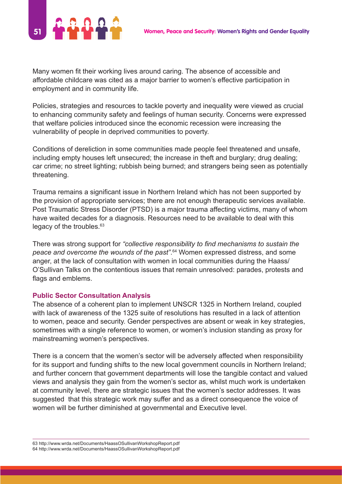

Many women fit their working lives around caring. The absence of accessible and affordable childcare was cited as a major barrier to women's effective participation in employment and in community life.

Policies, strategies and resources to tackle poverty and inequality were viewed as crucial to enhancing community safety and feelings of human security. Concerns were expressed that welfare policies introduced since the economic recession were increasing the vulnerability of people in deprived communities to poverty.

Conditions of dereliction in some communities made people feel threatened and unsafe, including empty houses left unsecured; the increase in theft and burglary; drug dealing; car crime; no street lighting; rubbish being burned; and strangers being seen as potentially threatening.

Trauma remains a significant issue in Northern Ireland which has not been supported by the provision of appropriate services; there are not enough therapeutic services available. Post Traumatic Stress Disorder (PTSD) is a major trauma affecting victims, many of whom have waited decades for a diagnosis. Resources need to be available to deal with this legacy of the troubles.<sup>63</sup>

There was strong support for *"collective responsibility to find mechanisms to sustain the peace and overcome the wounds of the past"*. <sup>64</sup> Women expressed distress, and some anger, at the lack of consultation with women in local communities during the Haass/ O'Sullivan Talks on the contentious issues that remain unresolved: parades, protests and flags and emblems.

#### **Public Sector Consultation Analysis**

The absence of a coherent plan to implement UNSCR 1325 in Northern Ireland, coupled with lack of awareness of the 1325 suite of resolutions has resulted in a lack of attention to women, peace and security. Gender perspectives are absent or weak in key strategies, sometimes with a single reference to women, or women's inclusion standing as proxy for mainstreaming women's perspectives.

There is a concern that the women's sector will be adversely affected when responsibility for its support and funding shifts to the new local government councils in Northern Ireland; and further concern that government departments will lose the tangible contact and valued views and analysis they gain from the women's sector as, whilst much work is undertaken at community level, there are strategic issues that the women's sector addresses. It was suggested that this strategic work may suffer and as a direct consequence the voice of women will be further diminished at governmental and Executive level.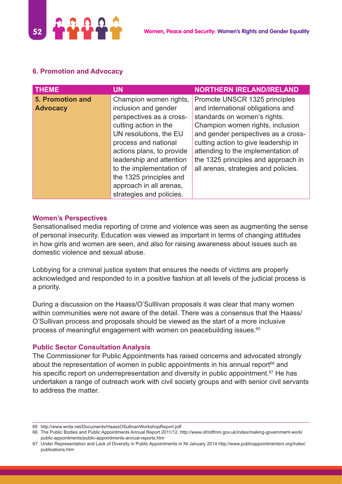

| <b>THEME</b>     | <b>UN</b>                 | <b>NORTHERN IRELAND/IRELAND</b>      |
|------------------|---------------------------|--------------------------------------|
| 5. Promotion and | Champion women rights,    | Promote UNSCR 1325 principles        |
| <b>Advocacy</b>  | inclusion and gender      | and international obligations and    |
|                  | perspectives as a cross-  | standards on women's rights.         |
|                  | cutting action in the     | Champion women rights, inclusion     |
|                  | UN resolutions, the EU    | and gender perspectives as a cross-  |
|                  | process and national      | cutting action to give leadership in |
|                  | actions plans, to provide | attending to the implementation of   |
|                  | leadership and attention  | the 1325 principles and approach in  |
|                  | to the implementation of  | all arenas, strategies and policies. |
|                  | the 1325 principles and   |                                      |
|                  | approach in all arenas,   |                                      |
|                  | strategies and policies.  |                                      |

#### **Women's Perspectives**

Sensationalised media reporting of crime and violence was seen as augmenting the sense of personal insecurity. Education was viewed as important in terms of changing attitudes in how girls and women are seen, and also for raising awareness about issues such as domestic violence and sexual abuse.

Lobbying for a criminal justice system that ensures the needs of victims are properly acknowledged and responded to in a positive fashion at all levels of the judicial process is a priority.

During a discussion on the Haass/O'Sulllivan proposals it was clear that many women within communities were not aware of the detail. There was a consensus that the Haass/ O'Sullivan process and proposals should be viewed as the start of a more inclusive process of meaningful engagement with women on peacebuilding issues.<sup>65</sup>

#### **Public Sector Consultation Analysis**

The Commissioner for Public Appointments has raised concerns and advocated strongly about the representation of women in public appointments in his annual report<sup>66</sup> and his specific report on underrepresentation and diversity in public appointment.<sup>67</sup> He has undertaken a range of outreach work with civil society groups and with senior civil servants to address the matter.

<sup>65</sup> http://www.wrda.net/Documents/HaassOSullivanWorkshopReport.pdf

<sup>66</sup> The Public Bodies and Public Appointments Annual Report 2011/12, http://www.ofmdfmni.gov.uk/index/making-government-work/ public-appointments/public-appointments-annual-reports.htm

<sup>67</sup> Under Representation and Lack of Diversity in Public Appointments in NI January 2014 http://www.publicappointmentsni.org/index/ publications.htm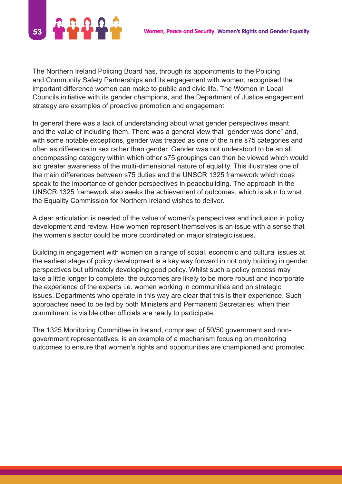

The Northern Ireland Policing Board has, through its appointments to the Policing and Community Safety Partnerships and its engagement with women, recognised the important difference women can make to public and civic life. The Women in Local Councils initiative with its gender champions, and the Department of Justice engagement strategy are examples of proactive promotion and engagement.

In general there was a lack of understanding about what gender perspectives meant and the value of including them. There was a general view that "gender was done" and, with some notable exceptions, gender was treated as one of the nine s75 categories and often as difference in sex rather than gender. Gender was not understood to be an all encompassing category within which other s75 groupings can then be viewed which would aid greater awareness of the multi-dimensional nature of equality. This illustrates one of the main differences between s75 duties and the UNSCR 1325 framework which does speak to the importance of gender perspectives in peacebuilding. The approach in the UNSCR 1325 framework also seeks the achievement of outcomes, which is akin to what the Equality Commission for Northern Ireland wishes to deliver.

A clear articulation is needed of the value of women's perspectives and inclusion in policy development and review. How women represent themselves is an issue with a sense that the women's sector could be more coordinated on major strategic issues.

Building in engagement with women on a range of social, economic and cultural issues at the earliest stage of policy development is a key way forward in not only building in gender perspectives but ultimately developing good policy. Whilst such a policy process may take a little longer to complete, the outcomes are likely to be more robust and incorporate the experience of the experts i.e. women working in communities and on strategic issues. Departments who operate in this way are clear that this is their experience. Such approaches need to be led by both Ministers and Permanent Secretaries; when their commitment is visible other officials are ready to participate.

The 1325 Monitoring Committee in Ireland, comprised of 50/50 government and nongovernment representatives, is an example of a mechanism focusing on monitoring outcomes to ensure that women's rights and opportunities are championed and promoted.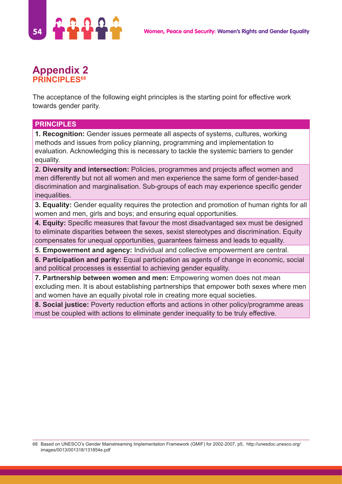

# **Appendix 2 PRINCIPLES68**

The acceptance of the following eight principles is the starting point for effective work towards gender parity.

#### **PRINCIPLES**

**1. Recognition:** Gender issues permeate all aspects of systems, cultures, working methods and issues from policy planning, programming and implementation to evaluation. Acknowledging this is necessary to tackle the systemic barriers to gender equality.

**2. Diversity and intersection:** Policies, programmes and projects affect women and men differently but not all women and men experience the same form of gender-based discrimination and marginalisation. Sub-groups of each may experience specific gender inequalities.

**3. Equality:** Gender equality requires the protection and promotion of human rights for all women and men, girls and boys; and ensuring equal opportunities.

**4. Equity:** Specific measures that favour the most disadvantaged sex must be designed to eliminate disparities between the sexes, sexist stereotypes and discrimination. Equity compensates for unequal opportunities, guarantees fairness and leads to equality.

**5. Empowerment and agency:** Individual and collective empowerment are central.

**6. Participation and parity:** Equal participation as agents of change in economic, social and political processes is essential to achieving gender equality.

**7. Partnership between women and men:** Empowering women does not mean excluding men. It is about establishing partnerships that empower both sexes where men and women have an equally pivotal role in creating more equal societies.

**8. Social justice:** Poverty reduction efforts and actions in other policy/programme areas must be coupled with actions to eliminate gender inequality to be truly effective.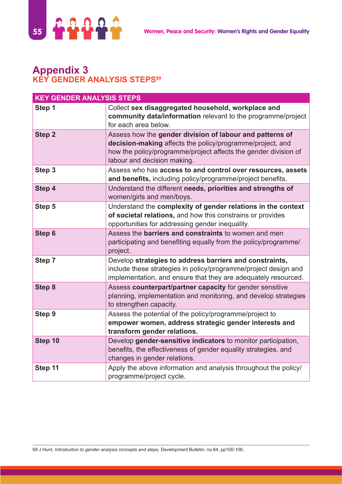

# **Appendix 3 KEY GENDER ANALYSIS STEPS69**

| <b>KEY GENDER ANALYSIS STEPS</b> |                                                                                                                                                                                                                         |  |
|----------------------------------|-------------------------------------------------------------------------------------------------------------------------------------------------------------------------------------------------------------------------|--|
| Step 1                           | Collect sex disaggregated household, workplace and<br>community data/information relevant to the programme/project<br>for each area below.                                                                              |  |
| Step <sub>2</sub>                | Assess how the gender division of labour and patterns of<br>decision-making affects the policy/programme/project, and<br>how the policy/programme/project affects the gender division of<br>labour and decision making. |  |
| Step 3                           | Assess who has access to and control over resources, assets<br>and benefits, including policy/programme/project benefits.                                                                                               |  |
| Step 4                           | Understand the different needs, priorities and strengths of<br>women/girls and men/boys.                                                                                                                                |  |
| Step 5                           | Understand the complexity of gender relations in the context<br>of societal relations, and how this constrains or provides<br>opportunities for addressing gender inequality.                                           |  |
| Step 6                           | Assess the <b>barriers and constraints</b> to women and men<br>participating and benefiting equally from the policy/programme/<br>project.                                                                              |  |
| Step 7                           | Develop strategies to address barriers and constraints,<br>include these strategies in policy/programme/project design and<br>implementation, and ensure that they are adequately resourced.                            |  |
| <b>Step 8</b>                    | Assess counterpart/partner capacity for gender sensitive<br>planning, implementation and monitoring, and develop strategies<br>to strengthen capacity.                                                                  |  |
| Step 9                           | Assess the potential of the policy/programme/project to<br>empower women, address strategic gender interests and<br>transform gender relations.                                                                         |  |
| Step 10                          | Develop gender-sensitive indicators to monitor participation,<br>benefits, the effectiveness of gender equality strategies, and<br>changes in gender relations.                                                         |  |
| Step 11                          | Apply the above information and analysis throughout the policy/<br>programme/project cycle.                                                                                                                             |  |

69 J Hunt, *Introduction to gender analysis concepts and steps,* Development Bulletin, no.64, pp100-106.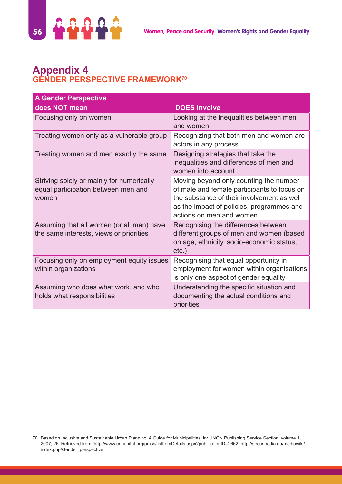

# **Appendix 4 GENDER PERSPECTIVE FRAMEWORK70**

| <b>A Gender Perspective</b>                                                               |                                                                                                                                                                                                              |
|-------------------------------------------------------------------------------------------|--------------------------------------------------------------------------------------------------------------------------------------------------------------------------------------------------------------|
| does NOT mean                                                                             | <b>DOES involve</b>                                                                                                                                                                                          |
| Focusing only on women                                                                    | Looking at the inequalities between men<br>and women                                                                                                                                                         |
| Treating women only as a vulnerable group                                                 | Recognizing that both men and women are<br>actors in any process                                                                                                                                             |
| Treating women and men exactly the same                                                   | Designing strategies that take the<br>inequalities and differences of men and<br>women into account                                                                                                          |
| Striving solely or mainly for numerically<br>equal participation between men and<br>women | Moving beyond only counting the number<br>of male and female participants to focus on<br>the substance of their involvement as well<br>as the impact of policies, programmes and<br>actions on men and women |
| Assuming that all women (or all men) have<br>the same interests, views or priorities      | Recognising the differences between<br>different groups of men and women (based<br>on age, ethnicity, socio-economic status,<br>$etc.$ )                                                                     |
| Focusing only on employment equity issues<br>within organizations                         | Recognising that equal opportunity in<br>employment for women within organisations<br>is only one aspect of gender equality                                                                                  |
| Assuming who does what work, and who<br>holds what responsibilities                       | Understanding the specific situation and<br>documenting the actual conditions and<br>priorities                                                                                                              |

<sup>70</sup> Based on Inclusive and Sustainable Urban Planning: A Guide for Municipalities, in: UNON Publishing Service Section, volume 1, 2007, 26. Retrieved from: http://www.unhabitat.org/pmss/listItemDetails.aspx?publicationID=2662; http://securipedia.eu/mediawiki/ index.php/Gender\_perspective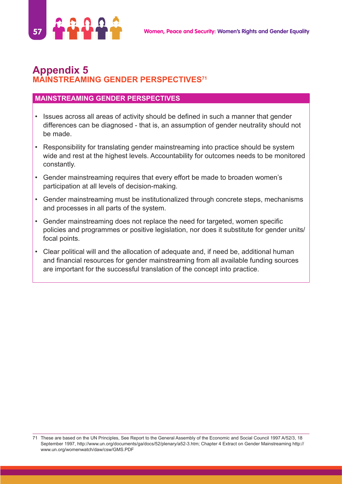

# **Appendix 5 MAINSTREAMING GENDER PERSPECTIVES71**

#### **MAINSTREAMING GENDER PERSPECTIVES**

- Issues across all areas of activity should be defined in such a manner that gender differences can be diagnosed - that is, an assumption of gender neutrality should not be made.
- Responsibility for translating gender mainstreaming into practice should be system wide and rest at the highest levels. Accountability for outcomes needs to be monitored constantly.
- Gender mainstreaming requires that every effort be made to broaden women's participation at all levels of decision-making.
- Gender mainstreaming must be institutionalized through concrete steps, mechanisms and processes in all parts of the system.
- Gender mainstreaming does not replace the need for targeted, women specific policies and programmes or positive legislation, nor does it substitute for gender units/ focal points.
- Clear political will and the allocation of adequate and, if need be, additional human and financial resources for gender mainstreaming from all available funding sources are important for the successful translation of the concept into practice.

<sup>71</sup> These are based on the UN Principles, See Report to the General Assembly of the Economic and Social Council 1997 A/52/3, 18 September 1997, http://www.un.org/documents/ga/docs/52/plenary/a52-3.htm; Chapter 4 Extract on Gender Mainstreaming http:// www.un.org/womenwatch/daw/csw/GMS.PDF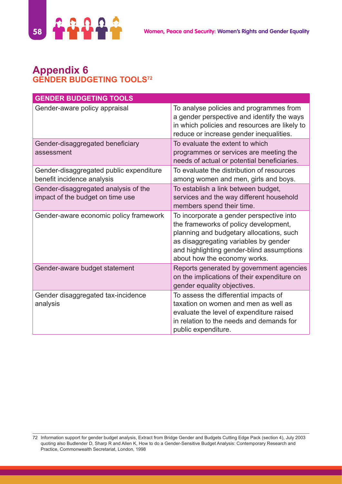

# **Appendix 6 GENDER BUDGETING TOOLS72**

| <b>GENDER BUDGETING TOOLS</b>                                            |                                                                                                                                                                                                                                                     |
|--------------------------------------------------------------------------|-----------------------------------------------------------------------------------------------------------------------------------------------------------------------------------------------------------------------------------------------------|
| Gender-aware policy appraisal                                            | To analyse policies and programmes from<br>a gender perspective and identify the ways<br>in which policies and resources are likely to<br>reduce or increase gender inequalities.                                                                   |
| Gender-disaggregated beneficiary<br>assessment                           | To evaluate the extent to which<br>programmes or services are meeting the<br>needs of actual or potential beneficiaries.                                                                                                                            |
| Gender-disaggregated public expenditure<br>benefit incidence analysis    | To evaluate the distribution of resources<br>among women and men, girls and boys.                                                                                                                                                                   |
| Gender-disaggregated analysis of the<br>impact of the budget on time use | To establish a link between budget,<br>services and the way different household<br>members spend their time.                                                                                                                                        |
| Gender-aware economic policy framework                                   | To incorporate a gender perspective into<br>the frameworks of policy development,<br>planning and budgetary allocations, such<br>as disaggregating variables by gender<br>and highlighting gender-blind assumptions<br>about how the economy works. |
| Gender-aware budget statement                                            | Reports generated by government agencies<br>on the implications of their expenditure on<br>gender equality objectives.                                                                                                                              |
| Gender disaggregated tax-incidence<br>analysis                           | To assess the differential impacts of<br>taxation on women and men as well as<br>evaluate the level of expenditure raised<br>in relation to the needs and demands for<br>public expenditure.                                                        |

<sup>72</sup> Information support for gender budget analysis, Extract from Bridge Gender and Budgets Cutting Edge Pack (section 4), July 2003 quoting also Budlender D, Sharp R and Allen K, How to do a Gender-Sensitive Budget Analysis: Contemporary Research and Practice, Commonwealth Secretariat, London, 1998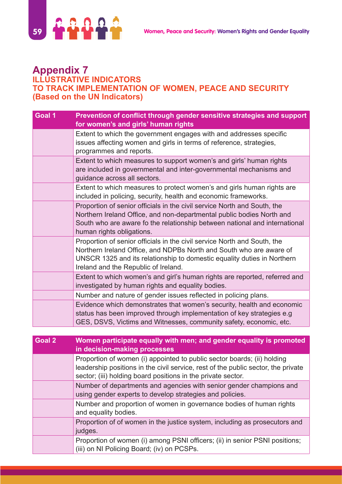

#### **Appendix 7 ILLUSTRATIVE INDICATORS TO TRACK IMPLEMENTATION OF WOMEN, PEACE AND SECURITY (Based on the UN Indicators)**

| Goal 1 | Prevention of conflict through gender sensitive strategies and support<br>for women's and girls' human rights                                                                                                                                                      |
|--------|--------------------------------------------------------------------------------------------------------------------------------------------------------------------------------------------------------------------------------------------------------------------|
|        | Extent to which the government engages with and addresses specific<br>issues affecting women and girls in terms of reference, strategies,<br>programmes and reports.                                                                                               |
|        | Extent to which measures to support women's and girls' human rights<br>are included in governmental and inter-governmental mechanisms and<br>guidance across all sectors.                                                                                          |
|        | Extent to which measures to protect women's and girls human rights are<br>included in policing, security, health and economic frameworks.                                                                                                                          |
|        | Proportion of senior officials in the civil service North and South, the<br>Northern Ireland Office, and non-departmental public bodies North and<br>South who are aware fo the relationship between national and international<br>human rights obligations.       |
|        | Proportion of senior officials in the civil service North and South, the<br>Northern Ireland Office, and NDPBs North and South who are aware of<br>UNSCR 1325 and its relationship to domestic equality duties in Northern<br>Ireland and the Republic of Ireland. |
|        | Extent to which women's and girl's human rights are reported, referred and<br>investigated by human rights and equality bodies.                                                                                                                                    |
|        | Number and nature of gender issues reflected in policing plans.                                                                                                                                                                                                    |
|        | Evidence which demonstrates that women's security, health and economic<br>status has been improved through implementation of key strategies e.g<br>GES, DSVS, Victims and Witnesses, community safety, economic, etc.                                              |

| Goal 2 | Women participate equally with men; and gender equality is promoted<br>in decision-making processes                                                                                                                          |
|--------|------------------------------------------------------------------------------------------------------------------------------------------------------------------------------------------------------------------------------|
|        | Proportion of women (i) appointed to public sector boards; (ii) holding<br>leadership positions in the civil service, rest of the public sector, the private<br>sector; (iii) holding board positions in the private sector. |
|        | Number of departments and agencies with senior gender champions and<br>using gender experts to develop strategies and policies.                                                                                              |
|        | Number and proportion of women in governance bodies of human rights<br>and equality bodies.                                                                                                                                  |
|        | Proportion of of women in the justice system, including as prosecutors and<br>judges.                                                                                                                                        |
|        | Proportion of women (i) among PSNI officers; (ii) in senior PSNI positions;<br>(iii) on NI Policing Board; (iv) on PCSPs.                                                                                                    |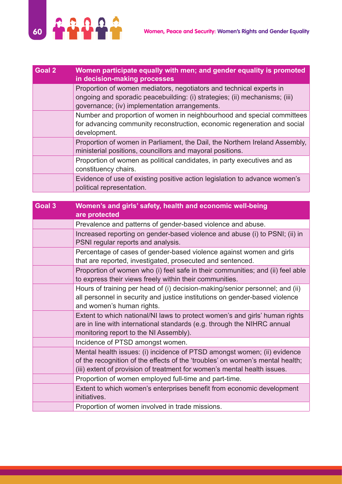

| Goal 2 | Women participate equally with men; and gender equality is promoted<br>in decision-making processes                                                                                                |
|--------|----------------------------------------------------------------------------------------------------------------------------------------------------------------------------------------------------|
|        | Proportion of women mediators, negotiators and technical experts in<br>ongoing and sporadic peacebuilding: (i) strategies; (ii) mechanisms; (iii)<br>governance; (iv) implementation arrangements. |
|        | Number and proportion of women in neighbourhood and special committees<br>for advancing community reconstruction, economic regeneration and social<br>development.                                 |
|        | Proportion of women in Parliament, the Dail, the Northern Ireland Assembly,<br>ministerial positions, councillors and mayoral positions.                                                           |
|        | Proportion of women as political candidates, in party executives and as<br>constituency chairs.                                                                                                    |
|        | Evidence of use of existing positive action legislation to advance women's<br>political representation.                                                                                            |

| Goal 3 | Women's and girls' safety, health and economic well-being<br>are protected                                                                                                                                                            |
|--------|---------------------------------------------------------------------------------------------------------------------------------------------------------------------------------------------------------------------------------------|
|        | Prevalence and patterns of gender-based violence and abuse.                                                                                                                                                                           |
|        | Increased reporting on gender-based violence and abuse (i) to PSNI; (ii) in<br>PSNI regular reports and analysis.                                                                                                                     |
|        | Percentage of cases of gender-based violence against women and girls<br>that are reported, investigated, prosecuted and sentenced.                                                                                                    |
|        | Proportion of women who (i) feel safe in their communities; and (ii) feel able<br>to express their views freely within their communities.                                                                                             |
|        | Hours of training per head of (i) decision-making/senior personnel; and (ii)<br>all personnel in security and justice institutions on gender-based violence<br>and women's human rights.                                              |
|        | Extent to which national/NI laws to protect women's and girls' human rights<br>are in line with international standards (e.g. through the NIHRC annual<br>monitoring report to the NI Assembly).                                      |
|        | Incidence of PTSD amongst women.                                                                                                                                                                                                      |
|        | Mental health issues: (i) incidence of PTSD amongst women; (ii) evidence<br>of the recognition of the effects of the 'troubles' on women's mental health;<br>(iii) extent of provision of treatment for women's mental health issues. |
|        | Proportion of women employed full-time and part-time.                                                                                                                                                                                 |
|        | Extent to which women's enterprises benefit from economic development<br>initiatives.                                                                                                                                                 |
|        | Proportion of women involved in trade missions.                                                                                                                                                                                       |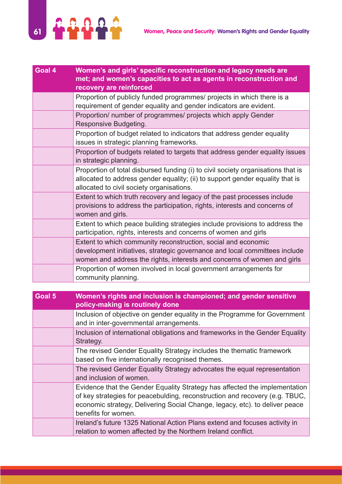

| Goal 4 | Women's and girls' specific reconstruction and legacy needs are<br>met; and women's capacities to act as agents in reconstruction and<br>recovery are reinforced                                                       |
|--------|------------------------------------------------------------------------------------------------------------------------------------------------------------------------------------------------------------------------|
|        | Proportion of publicly funded programmes/ projects in which there is a<br>requirement of gender equality and gender indicators are evident.                                                                            |
|        | Proportion/ number of programmes/ projects which apply Gender<br>Responsive Budgeting.                                                                                                                                 |
|        | Proportion of budget related to indicators that address gender equality<br>issues in strategic planning frameworks.                                                                                                    |
|        | Proportion of budgets related to targets that address gender equality issues<br>in strategic planning.                                                                                                                 |
|        | Proportion of total disbursed funding (i) to civil society organisations that is<br>allocated to address gender equality; (ii) to support gender equality that is<br>allocated to civil society organisations.         |
|        | Extent to which truth recovery and legacy of the past processes include<br>provisions to address the participation, rights, interests and concerns of<br>women and girls.                                              |
|        | Extent to which peace building strategies include provisions to address the<br>participation, rights, interests and concerns of women and girls                                                                        |
|        | Extent to which community reconstruction, social and economic<br>development initiatives, strategic governance and local committees include<br>women and address the rights, interests and concerns of women and girls |
|        | Proportion of women involved in local government arrangements for<br>community planning.                                                                                                                               |

| Goal 5 | Women's rights and inclusion is championed; and gender sensitive<br>policy-making is routinely done                                                                                                                                                             |
|--------|-----------------------------------------------------------------------------------------------------------------------------------------------------------------------------------------------------------------------------------------------------------------|
|        | Inclusion of objective on gender equality in the Programme for Government<br>and in inter-governmental arrangements.                                                                                                                                            |
|        | Inclusion of international obligations and frameworks in the Gender Equality<br>Strategy.                                                                                                                                                                       |
|        | The revised Gender Equality Strategy includes the thematic framework<br>based on five internationally recognised themes.                                                                                                                                        |
|        | The revised Gender Equality Strategy advocates the equal representation<br>and inclusion of women.                                                                                                                                                              |
|        | Evidence that the Gender Equality Strategy has affected the implementation<br>of key strategies for peacebulding, reconstruction and recovery (e.g. TBUC,<br>economic strategy, Delivering Social Change, legacy, etc), to deliver peace<br>benefits for women. |
|        | Ireland's future 1325 National Action Plans extend and focuses activity in<br>relation to women affected by the Northern Ireland conflict.                                                                                                                      |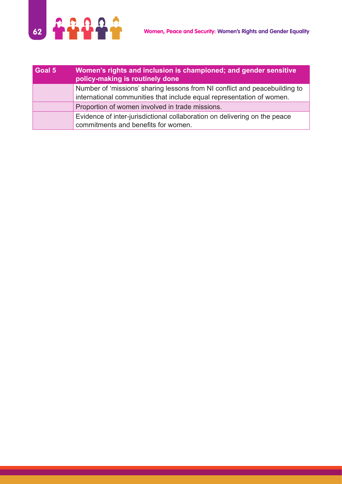

| Goal 5 | Women's rights and inclusion is championed; and gender sensitive<br>policy-making is routinely done                                                 |
|--------|-----------------------------------------------------------------------------------------------------------------------------------------------------|
|        | Number of 'missions' sharing lessons from NI conflict and peacebuilding to<br>international communities that include equal representation of women. |
|        | Proportion of women involved in trade missions.                                                                                                     |
|        | Evidence of inter-jurisdictional collaboration on delivering on the peace<br>commitments and benefits for women.                                    |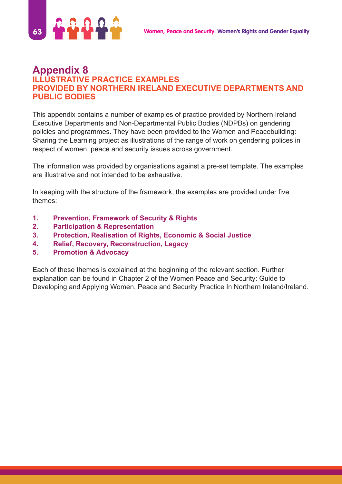

### **Appendix 8 ILLUSTRATIVE PRACTICE EXAMPLES PROVIDED BY NORTHERN IRELAND EXECUTIVE DEPARTMENTS AND PUBLIC BODIES**

This appendix contains a number of examples of practice provided by Northern Ireland Executive Departments and Non-Departmental Public Bodies (NDPBs) on gendering policies and programmes. They have been provided to the Women and Peacebuilding: Sharing the Learning project as illustrations of the range of work on gendering polices in respect of women, peace and security issues across government.

The information was provided by organisations against a pre-set template. The examples are illustrative and not intended to be exhaustive.

In keeping with the structure of the framework, the examples are provided under five themes:

- **1. Prevention, Framework of Security & Rights**
- **2. Participation & Representation**
- **3. Protection, Realisation of Rights, Economic & Social Justice**
- **4. Relief, Recovery, Reconstruction, Legacy**
- **5. Promotion & Advocacy**

Each of these themes is explained at the beginning of the relevant section. Further explanation can be found in Chapter 2 of the Women Peace and Security: Guide to Developing and Applying Women, Peace and Security Practice In Northern Ireland/Ireland.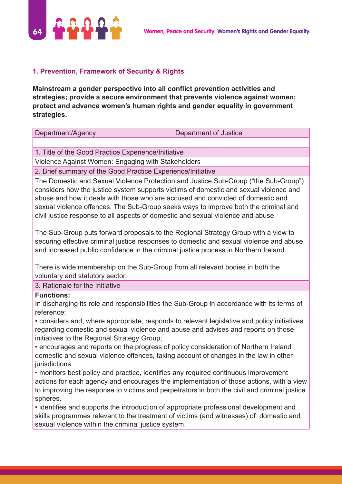

#### **1. Prevention, Framework of Security & Rights**

**Mainstream a gender perspective into all conflict prevention activities and strategies; provide a secure environment that prevents violence against women; protect and advance women's human rights and gender equality in government strategies.**

| Department/Agency                                                                                                                                                            | Department of Justice |
|------------------------------------------------------------------------------------------------------------------------------------------------------------------------------|-----------------------|
|                                                                                                                                                                              |                       |
| 1. Title of the Good Practice Experience/Initiative                                                                                                                          |                       |
| Violence Against Women: Engaging with Stakeholders                                                                                                                           |                       |
| 2. Brief summary of the Good Practice Experience/Initiative                                                                                                                  |                       |
| The Domestic and Sexual Violence Protection and Justice Sub-Group ("the Sub-Group")<br>considers how the justice system supports victims of demostic and sexual violence and |                       |

considers how the justice system supports victims of domestic and sexual violence and abuse and how it deals with those who are accused and convicted of domestic and sexual violence offences. The Sub-Group seeks ways to improve both the criminal and civil justice response to all aspects of domestic and sexual violence and abuse.

The Sub-Group puts forward proposals to the Regional Strategy Group with a view to securing effective criminal justice responses to domestic and sexual violence and abuse, and increased public confidence in the criminal justice process in Northern Ireland.

There is wide membership on the Sub-Group from all relevant bodies in both the voluntary and statutory sector.

#### 3. Rationale for the Initiative

#### **Functions:**

In discharging its role and responsibilities the Sub-Group in accordance with its terms of reference:

• considers and, where appropriate, responds to relevant legislative and policy initiatives regarding domestic and sexual violence and abuse and advises and reports on those initiatives to the Regional Strategy Group;

• encourages and reports on the progress of policy consideration of Northern Ireland domestic and sexual violence offences, taking account of changes in the law in other jurisdictions.

• monitors best policy and practice, identifies any required continuous improvement actions for each agency and encourages the implementation of those actions, with a view to improving the response to victims and perpetrators in both the civil and criminal justice spheres.

• identifies and supports the introduction of appropriate professional development and skills programmes relevant to the treatment of victims (and witnesses) of domestic and sexual violence within the criminal justice system.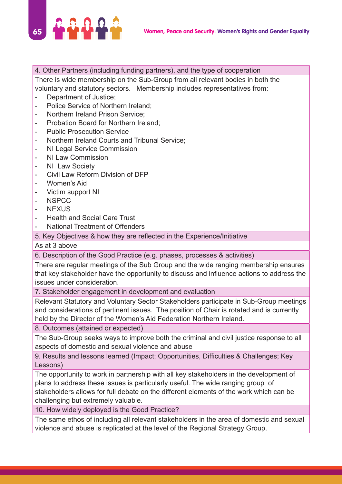

## 4. Other Partners (including funding partners), and the type of cooperation

There is wide membership on the Sub-Group from all relevant bodies in both the voluntary and statutory sectors. Membership includes representatives from:

- Department of Justice;
- Police Service of Northern Ireland;
- Northern Ireland Prison Service;
- Probation Board for Northern Ireland;
- Public Prosecution Service
- Northern Ireland Courts and Tribunal Service;
- NI Legal Service Commission
- NI Law Commission
- NI Law Society
- Civil Law Reform Division of DFP
- Women's Aid
- Victim support NI
- NSPCC
- NEXUS
- Health and Social Care Trust
- National Treatment of Offenders

5. Key Objectives & how they are reflected in the Experience/Initiative

As at 3 above

6. Description of the Good Practice (e.g. phases, processes & activities)

There are regular meetings of the Sub Group and the wide ranging membership ensures that key stakeholder have the opportunity to discuss and influence actions to address the issues under consideration.

7. Stakeholder engagement in development and evaluation

Relevant Statutory and Voluntary Sector Stakeholders participate in Sub-Group meetings and considerations of pertinent issues. The position of Chair is rotated and is currently held by the Director of the Women's Aid Federation Northern Ireland.

8. Outcomes (attained or expected)

The Sub-Group seeks ways to improve both the criminal and civil justice response to all aspects of domestic and sexual violence and abuse

9. Results and lessons learned (Impact; Opportunities, Difficulties & Challenges; Key Lessons)

The opportunity to work in partnership with all key stakeholders in the development of plans to address these issues is particularly useful. The wide ranging group of stakeholders allows for full debate on the different elements of the work which can be challenging but extremely valuable.

10. How widely deployed is the Good Practice?

The same ethos of including all relevant stakeholders in the area of domestic and sexual violence and abuse is replicated at the level of the Regional Strategy Group.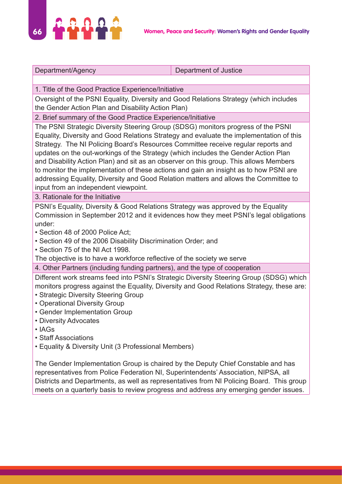

| Department/Agency | Department of Justice |
|-------------------|-----------------------|
|                   |                       |

1. Title of the Good Practice Experience/Initiative

Oversight of the PSNI Equality, Diversity and Good Relations Strategy (which includes the Gender Action Plan and Disability Action Plan)

2. Brief summary of the Good Practice Experience/Initiative

The PSNI Strategic Diversity Steering Group (SDSG) monitors progress of the PSNI Equality, Diversity and Good Relations Strategy and evaluate the implementation of this Strategy. The NI Policing Board's Resources Committee receive regular reports and updates on the out-workings of the Strategy (which includes the Gender Action Plan and Disability Action Plan) and sit as an observer on this group. This allows Members to monitor the implementation of these actions and gain an insight as to how PSNI are addressing Equality, Diversity and Good Relation matters and allows the Committee to input from an independent viewpoint.

3. Rationale for the Initiative

PSNI's Equality, Diversity & Good Relations Strategy was approved by the Equality Commission in September 2012 and it evidences how they meet PSNI's legal obligations under:

- Section 48 of 2000 Police Act;
- Section 49 of the 2006 Disability Discrimination Order; and
- Section 75 of the NI Act 1998.

The objective is to have a workforce reflective of the society we serve

4. Other Partners (including funding partners), and the type of cooperation

Different work streams feed into PSNI's Strategic Diversity Steering Group (SDSG) which monitors progress against the Equality, Diversity and Good Relations Strategy, these are:

- Strategic Diversity Steering Group
- Operational Diversity Group
- Gender Implementation Group
- Diversity Advocates
- IAGs
- Staff Associations
- Equality & Diversity Unit (3 Professional Members)

The Gender Implementation Group is chaired by the Deputy Chief Constable and has representatives from Police Federation NI, Superintendents' Association, NIPSA, all Districts and Departments, as well as representatives from NI Policing Board. This group meets on a quarterly basis to review progress and address any emerging gender issues.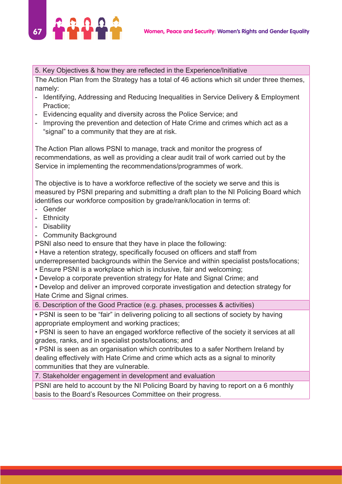

#### 5. Key Objectives & how they are reflected in the Experience/Initiative

The Action Plan from the Strategy has a total of 46 actions which sit under three themes, namely:

- Identifying, Addressing and Reducing Inequalities in Service Delivery & Employment Practice;
- Evidencing equality and diversity across the Police Service; and
- Improving the prevention and detection of Hate Crime and crimes which act as a "signal" to a community that they are at risk.

The Action Plan allows PSNI to manage, track and monitor the progress of recommendations, as well as providing a clear audit trail of work carried out by the Service in implementing the recommendations/programmes of work.

The objective is to have a workforce reflective of the society we serve and this is measured by PSNI preparing and submitting a draft plan to the NI Policing Board which identifies our workforce composition by grade/rank/location in terms of:

- Gender
- Ethnicity
- Disability
- Community Background

PSNI also need to ensure that they have in place the following:

• Have a retention strategy, specifically focused on officers and staff from

underrepresented backgrounds within the Service and within specialist posts/locations;

- Ensure PSNI is a workplace which is inclusive, fair and welcoming;
- Develop a corporate prevention strategy for Hate and Signal Crime; and

• Develop and deliver an improved corporate investigation and detection strategy for Hate Crime and Signal crimes.

6. Description of the Good Practice (e.g. phases, processes & activities)

• PSNI is seen to be "fair" in delivering policing to all sections of society by having appropriate employment and working practices;

• PSNI is seen to have an engaged workforce reflective of the society it services at all grades, ranks, and in specialist posts/locations; and

• PSNI is seen as an organisation which contributes to a safer Northern Ireland by dealing effectively with Hate Crime and crime which acts as a signal to minority communities that they are vulnerable.

7. Stakeholder engagement in development and evaluation

PSNI are held to account by the NI Policing Board by having to report on a 6 monthly basis to the Board's Resources Committee on their progress.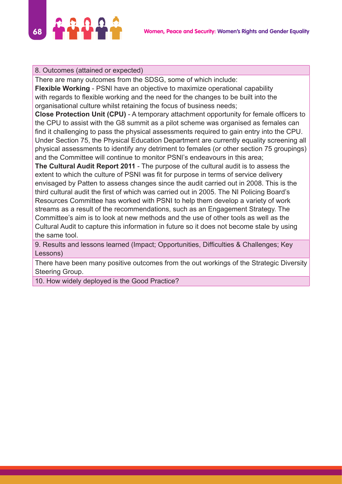

#### 8. Outcomes (attained or expected)

There are many outcomes from the SDSG, some of which include:

**Flexible Working** - PSNI have an objective to maximize operational capability with regards to flexible working and the need for the changes to be built into the organisational culture whilst retaining the focus of business needs;

**Close Protection Unit (CPU)** - A temporary attachment opportunity for female officers to the CPU to assist with the G8 summit as a pilot scheme was organised as females can find it challenging to pass the physical assessments required to gain entry into the CPU. Under Section 75, the Physical Education Department are currently equality screening all physical assessments to identify any detriment to females (or other section 75 groupings) and the Committee will continue to monitor PSNI's endeavours in this area;

**The Cultural Audit Report 2011** - The purpose of the cultural audit is to assess the extent to which the culture of PSNI was fit for purpose in terms of service delivery envisaged by Patten to assess changes since the audit carried out in 2008. This is the third cultural audit the first of which was carried out in 2005. The NI Policing Board's Resources Committee has worked with PSNI to help them develop a variety of work streams as a result of the recommendations, such as an Engagement Strategy. The Committee's aim is to look at new methods and the use of other tools as well as the Cultural Audit to capture this information in future so it does not become stale by using the same tool.

9. Results and lessons learned (Impact; Opportunities, Difficulties & Challenges; Key Lessons)

There have been many positive outcomes from the out workings of the Strategic Diversity Steering Group.

10. How widely deployed is the Good Practice?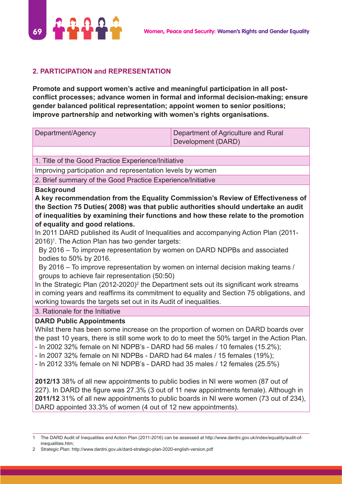

#### **2. PARTICIPATION and REPRESENTATION**

**Promote and support women's active and meaningful participation in all postconflict processes; advance women in formal and informal decision-making; ensure gender balanced political representation; appoint women to senior positions; improve partnership and networking with women's rights organisations.**

| Department/Agency                                                                                                                                                                                                                                                                                                                                                                                                                                              | Department of Agriculture and Rural<br>Development (DARD) |
|----------------------------------------------------------------------------------------------------------------------------------------------------------------------------------------------------------------------------------------------------------------------------------------------------------------------------------------------------------------------------------------------------------------------------------------------------------------|-----------------------------------------------------------|
|                                                                                                                                                                                                                                                                                                                                                                                                                                                                |                                                           |
| 1. Title of the Good Practice Experience/Initiative                                                                                                                                                                                                                                                                                                                                                                                                            |                                                           |
| Improving participation and representation levels by women                                                                                                                                                                                                                                                                                                                                                                                                     |                                                           |
| 2. Brief summary of the Good Practice Experience/Initiative                                                                                                                                                                                                                                                                                                                                                                                                    |                                                           |
| <b>Background</b><br>A key recommendation from the Equality Commission's Review of Effectiveness of<br>the Section 75 Duties(2008) was that public authorities should undertake an audit<br>of inequalities by examining their functions and how these relate to the promotion<br>of equality and good relations.                                                                                                                                              |                                                           |
| In 2011 DARD published its Audit of Inequalities and accompanying Action Plan (2011-<br>2016) <sup>1</sup> . The Action Plan has two gender targets:                                                                                                                                                                                                                                                                                                           |                                                           |
| By 2016 - To improve representation by women on DARD NDPBs and associated<br>bodies to 50% by 2016.                                                                                                                                                                                                                                                                                                                                                            |                                                           |
| By 2016 – To improve representation by women on internal decision making teams /<br>groups to achieve fair representation (50:50)                                                                                                                                                                                                                                                                                                                              |                                                           |
| In the Strategic Plan (2012-2020) <sup>2</sup> the Department sets out its significant work streams<br>in coming years and reaffirms its commitment to equality and Section 75 obligations, and<br>working towards the targets set out in its Audit of inequalities.                                                                                                                                                                                           |                                                           |
| 3. Rationale for the Initiative                                                                                                                                                                                                                                                                                                                                                                                                                                |                                                           |
| <b>DARD Public Appointments</b><br>Whilst there has been some increase on the proportion of women on DARD boards over<br>the past 10 years, there is still some work to do to meet the 50% target in the Action Plan.<br>- In 2002 32% female on NI NDPB's - DARD had 56 males / 10 females (15.2%);<br>- In 2007 32% female on NI NDPBs - DARD had 64 males / 15 females (19%);<br>- In 2012 33% female on NI NDPB's - DARD had 35 males / 12 females (25.5%) |                                                           |
| 2012/13 38% of all new appointments to public bodies in NI were women (87 out of<br>227). In DARD the figure was 27.3% (3 out of 11 new appointments female). Although in<br>2011/12 31% of all new appointments to public boards in NI were women (73 out of 234),<br>DARD appointed 33.3% of women (4 out of 12 new appointments).                                                                                                                           |                                                           |

<sup>1</sup> The DARD Audit of Inequalities and Action Plan (2011-2016) can be assessed at http://www.dardni.gov.uk/index/equality/audit-ofinequalities.htm;

<sup>2</sup> Strategic Plan: http://www.dardni.gov.uk/dard-strategic-plan-2020-english-version.pdf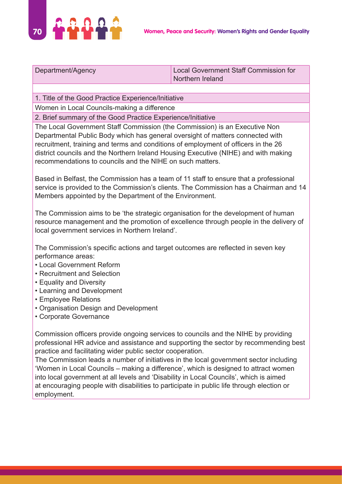

| Department/Agency | Local Government Staff Commission for |
|-------------------|---------------------------------------|
|                   | Northern Ireland                      |

1. Title of the Good Practice Experience/Initiative

Women in Local Councils-making a difference

2. Brief summary of the Good Practice Experience/Initiative

The Local Government Staff Commission (the Commission) is an Executive Non Departmental Public Body which has general oversight of matters connected with recruitment, training and terms and conditions of employment of officers in the 26 district councils and the Northern Ireland Housing Executive (NIHE) and with making recommendations to councils and the NIHE on such matters.

Based in Belfast, the Commission has a team of 11 staff to ensure that a professional service is provided to the Commission's clients. The Commission has a Chairman and 14 Members appointed by the Department of the Environment.

The Commission aims to be 'the strategic organisation for the development of human resource management and the promotion of excellence through people in the delivery of local government services in Northern Ireland'.

The Commission's specific actions and target outcomes are reflected in seven key performance areas:

- Local Government Reform
- Recruitment and Selection
- Equality and Diversity
- Learning and Development
- Employee Relations
- Organisation Design and Development
- Corporate Governance

Commission officers provide ongoing services to councils and the NIHE by providing professional HR advice and assistance and supporting the sector by recommending best practice and facilitating wider public sector cooperation.

The Commission leads a number of initiatives in the local government sector including 'Women in Local Councils – making a difference', which is designed to attract women into local government at all levels and 'Disability in Local Councils', which is aimed at encouraging people with disabilities to participate in public life through election or employment.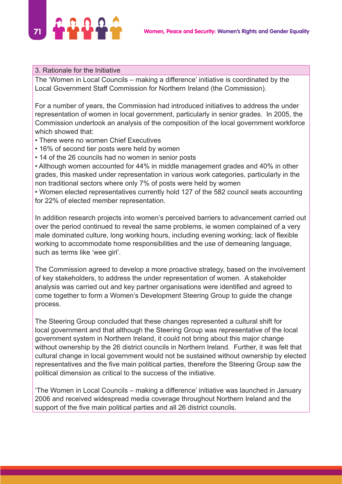# **71 March 2018 Women, Peace and Security: Women's Rights and Gender Equality**

#### 3. Rationale for the Initiative

The 'Women in Local Councils – making a difference' initiative is coordinated by the Local Government Staff Commission for Northern Ireland (the Commission).

For a number of years, the Commission had introduced initiatives to address the under representation of women in local government, particularly in senior grades. In 2005, the Commission undertook an analysis of the composition of the local government workforce which showed that:

- There were no women Chief Executives
- 16% of second tier posts were held by women
- 14 of the 26 councils had no women in senior posts

• Although women accounted for 44% in middle management grades and 40% in other grades, this masked under representation in various work categories, particularly in the non traditional sectors where only 7% of posts were held by women

• Women elected representatives currently hold 127 of the 582 council seats accounting for 22% of elected member representation.

In addition research projects into women's perceived barriers to advancement carried out over the period continued to reveal the same problems, ie women complained of a very male dominated culture, long working hours, including evening working; lack of flexible working to accommodate home responsibilities and the use of demeaning language, such as terms like 'wee girl'.

The Commission agreed to develop a more proactive strategy, based on the involvement of key stakeholders, to address the under representation of women. A stakeholder analysis was carried out and key partner organisations were identified and agreed to come together to form a Women's Development Steering Group to guide the change process.

The Steering Group concluded that these changes represented a cultural shift for local government and that although the Steering Group was representative of the local government system in Northern Ireland, it could not bring about this major change without ownership by the 26 district councils in Northern Ireland. Further, it was felt that cultural change in local government would not be sustained without ownership by elected representatives and the five main political parties, therefore the Steering Group saw the political dimension as critical to the success of the initiative.

'The Women in Local Councils – making a difference' initiative was launched in January 2006 and received widespread media coverage throughout Northern Ireland and the support of the five main political parties and all 26 district councils.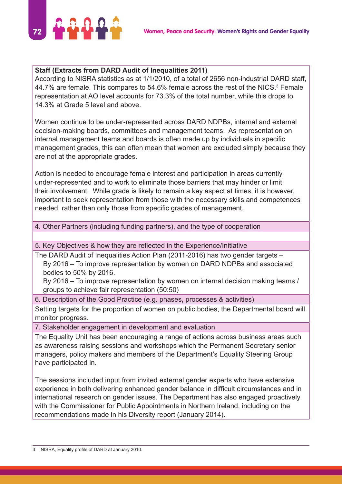

#### **Staff (Extracts from DARD Audit of Inequalities 2011)**

According to NISRA statistics as at 1/1/2010, of a total of 2656 non-industrial DARD staff, 44.7% are female. This compares to 54.6% female across the rest of the NICS. $3$  Female representation at AO level accounts for 73.3% of the total number, while this drops to 14.3% at Grade 5 level and above.

Women continue to be under-represented across DARD NDPBs, internal and external decision-making boards, committees and management teams. As representation on internal management teams and boards is often made up by individuals in specific management grades, this can often mean that women are excluded simply because they are not at the appropriate grades.

Action is needed to encourage female interest and participation in areas currently under-represented and to work to eliminate those barriers that may hinder or limit their involvement. While grade is likely to remain a key aspect at times, it is however, important to seek representation from those with the necessary skills and competences needed, rather than only those from specific grades of management.

#### 4. Other Partners (including funding partners), and the type of cooperation

5. Key Objectives & how they are reflected in the Experience/Initiative

The DARD Audit of Inequalities Action Plan (2011-2016) has two gender targets – By 2016 – To improve representation by women on DARD NDPBs and associated bodies to 50% by 2016.

By 2016 – To improve representation by women on internal decision making teams / groups to achieve fair representation (50:50)

6. Description of the Good Practice (e.g. phases, processes & activities)

Setting targets for the proportion of women on public bodies, the Departmental board will monitor progress.

7. Stakeholder engagement in development and evaluation

The Equality Unit has been encouraging a range of actions across business areas such as awareness raising sessions and workshops which the Permanent Secretary senior managers, policy makers and members of the Department's Equality Steering Group have participated in.

The sessions included input from invited external gender experts who have extensive experience in both delivering enhanced gender balance in difficult circumstances and in international research on gender issues. The Department has also engaged proactively with the Commissioner for Public Appointments in Northern Ireland, including on the recommendations made in his Diversity report (January 2014).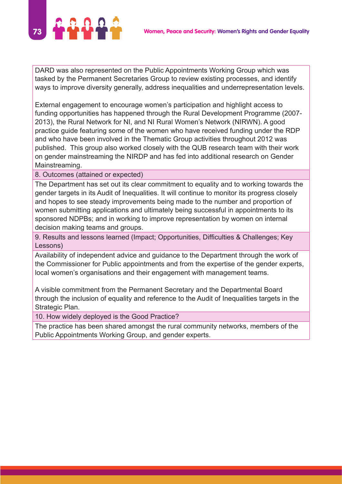

DARD was also represented on the Public Appointments Working Group which was tasked by the Permanent Secretaries Group to review existing processes, and identify ways to improve diversity generally, address inequalities and underrepresentation levels.

External engagement to encourage women's participation and highlight access to funding opportunities has happened through the Rural Development Programme (2007- 2013), the Rural Network for NI, and NI Rural Women's Network (NIRWN). A good practice guide featuring some of the women who have received funding under the RDP and who have been involved in the Thematic Group activities throughout 2012 was published. This group also worked closely with the QUB research team with their work on gender mainstreaming the NIRDP and has fed into additional research on Gender Mainstreaming.

8. Outcomes (attained or expected)

The Department has set out its clear commitment to equality and to working towards the gender targets in its Audit of Inequalities. It will continue to monitor its progress closely and hopes to see steady improvements being made to the number and proportion of women submitting applications and ultimately being successful in appointments to its sponsored NDPBs; and in working to improve representation by women on internal decision making teams and groups.

9. Results and lessons learned (Impact; Opportunities, Difficulties & Challenges; Key Lessons)

Availability of independent advice and guidance to the Department through the work of the Commissioner for Public appointments and from the expertise of the gender experts, local women's organisations and their engagement with management teams.

A visible commitment from the Permanent Secretary and the Departmental Board through the inclusion of equality and reference to the Audit of Inequalities targets in the Strategic Plan.

10. How widely deployed is the Good Practice?

The practice has been shared amongst the rural community networks, members of the Public Appointments Working Group, and gender experts.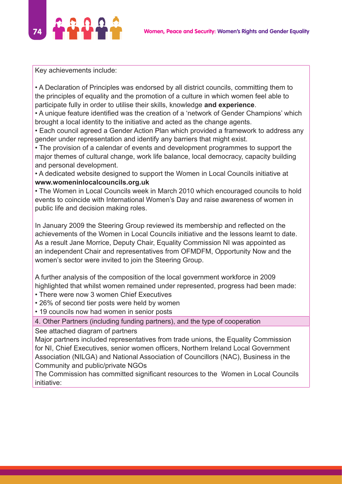

Key achievements include:

• A Declaration of Principles was endorsed by all district councils, committing them to the principles of equality and the promotion of a culture in which women feel able to participate fully in order to utilise their skills, knowledge **and experience**.

• A unique feature identified was the creation of a 'network of Gender Champions' which brought a local identity to the initiative and acted as the change agents.

• Each council agreed a Gender Action Plan which provided a framework to address any gender under representation and identify any barriers that might exist.

• The provision of a calendar of events and development programmes to support the major themes of cultural change, work life balance, local democracy, capacity building and personal development.

• A dedicated website designed to support the Women in Local Councils initiative at **www.womeninlocalcouncils.org.uk**

• The Women in Local Councils week in March 2010 which encouraged councils to hold events to coincide with International Women's Day and raise awareness of women in public life and decision making roles.

In January 2009 the Steering Group reviewed its membership and reflected on the achievements of the Women in Local Councils initiative and the lessons learnt to date. As a result Jane Morrice, Deputy Chair, Equality Commission NI was appointed as an independent Chair and representatives from OFMDFM, Opportunity Now and the women's sector were invited to join the Steering Group.

A further analysis of the composition of the local government workforce in 2009 highlighted that whilst women remained under represented, progress had been made:

- There were now 3 women Chief Executives
- 26% of second tier posts were held by women
- 19 councils now had women in senior posts

4. Other Partners (including funding partners), and the type of cooperation

See attached diagram of partners

Major partners included representatives from trade unions, the Equality Commission for NI, Chief Executives, senior women officers, Northern Ireland Local Government Association (NILGA) and National Association of Councillors (NAC), Business in the Community and public/private NGOs

The Commission has committed significant resources to the Women in Local Councils initiative: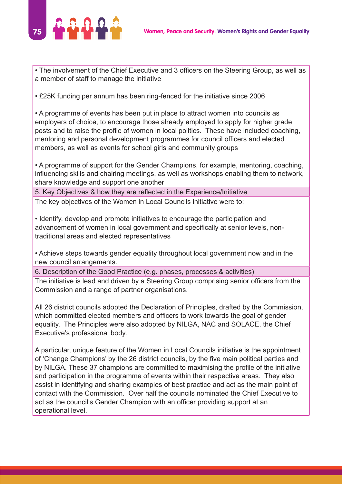

• The involvement of the Chief Executive and 3 officers on the Steering Group, as well as a member of staff to manage the initiative

• £25K funding per annum has been ring-fenced for the initiative since 2006

• A programme of events has been put in place to attract women into councils as employers of choice, to encourage those already employed to apply for higher grade posts and to raise the profile of women in local politics. These have included coaching, mentoring and personal development programmes for council officers and elected members, as well as events for school girls and community groups

• A programme of support for the Gender Champions, for example, mentoring, coaching, influencing skills and chairing meetings, as well as workshops enabling them to network, share knowledge and support one another

5. Key Objectives & how they are reflected in the Experience/Initiative

The key objectives of the Women in Local Councils initiative were to:

• Identify, develop and promote initiatives to encourage the participation and advancement of women in local government and specifically at senior levels, nontraditional areas and elected representatives

• Achieve steps towards gender equality throughout local government now and in the new council arrangements.

6. Description of the Good Practice (e.g. phases, processes & activities)

The initiative is lead and driven by a Steering Group comprising senior officers from the Commission and a range of partner organisations.

All 26 district councils adopted the Declaration of Principles, drafted by the Commission, which committed elected members and officers to work towards the goal of gender equality. The Principles were also adopted by NILGA, NAC and SOLACE, the Chief Executive's professional body.

A particular, unique feature of the Women in Local Councils initiative is the appointment of 'Change Champions' by the 26 district councils, by the five main political parties and by NILGA. These 37 champions are committed to maximising the profile of the initiative and participation in the programme of events within their respective areas. They also assist in identifying and sharing examples of best practice and act as the main point of contact with the Commission. Over half the councils nominated the Chief Executive to act as the council's Gender Champion with an officer providing support at an operational level.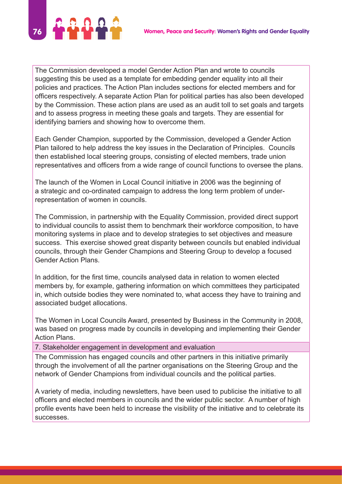

The Commission developed a model Gender Action Plan and wrote to councils suggesting this be used as a template for embedding gender equality into all their policies and practices. The Action Plan includes sections for elected members and for officers respectively. A separate Action Plan for political parties has also been developed by the Commission. These action plans are used as an audit toll to set goals and targets and to assess progress in meeting these goals and targets. They are essential for identifying barriers and showing how to overcome them.

Each Gender Champion, supported by the Commission, developed a Gender Action Plan tailored to help address the key issues in the Declaration of Principles. Councils then established local steering groups, consisting of elected members, trade union representatives and officers from a wide range of council functions to oversee the plans.

The launch of the Women in Local Council initiative in 2006 was the beginning of a strategic and co-ordinated campaign to address the long term problem of underrepresentation of women in councils.

The Commission, in partnership with the Equality Commission, provided direct support to individual councils to assist them to benchmark their workforce composition, to have monitoring systems in place and to develop strategies to set objectives and measure success. This exercise showed great disparity between councils but enabled individual councils, through their Gender Champions and Steering Group to develop a focused Gender Action Plans.

In addition, for the first time, councils analysed data in relation to women elected members by, for example, gathering information on which committees they participated in, which outside bodies they were nominated to, what access they have to training and associated budget allocations.

The Women in Local Councils Award, presented by Business in the Community in 2008, was based on progress made by councils in developing and implementing their Gender Action Plans.

7. Stakeholder engagement in development and evaluation

The Commission has engaged councils and other partners in this initiative primarily through the involvement of all the partner organisations on the Steering Group and the network of Gender Champions from individual councils and the political parties.

A variety of media, including newsletters, have been used to publicise the initiative to all officers and elected members in councils and the wider public sector. A number of high profile events have been held to increase the visibility of the initiative and to celebrate its successes.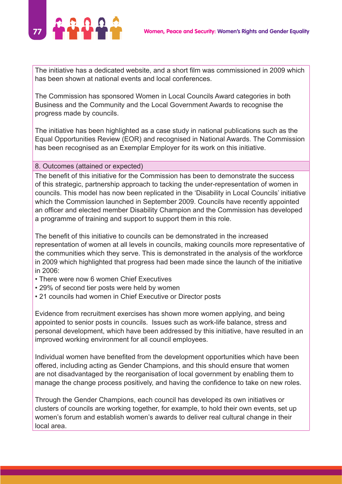

The initiative has a dedicated website, and a short film was commissioned in 2009 which has been shown at national events and local conferences.

The Commission has sponsored Women in Local Councils Award categories in both Business and the Community and the Local Government Awards to recognise the progress made by councils.

The initiative has been highlighted as a case study in national publications such as the Equal Opportunities Review (EOR) and recognised in National Awards. The Commission has been recognised as an Exemplar Employer for its work on this initiative.

#### 8. Outcomes (attained or expected)

The benefit of this initiative for the Commission has been to demonstrate the success of this strategic, partnership approach to tacking the under-representation of women in councils. This model has now been replicated in the 'Disability in Local Councils' initiative which the Commission launched in September 2009. Councils have recently appointed an officer and elected member Disability Champion and the Commission has developed a programme of training and support to support them in this role.

The benefit of this initiative to councils can be demonstrated in the increased representation of women at all levels in councils, making councils more representative of the communities which they serve. This is demonstrated in the analysis of the workforce in 2009 which highlighted that progress had been made since the launch of the initiative in 2006:

- There were now 6 women Chief Executives
- 29% of second tier posts were held by women
- 21 councils had women in Chief Executive or Director posts

Evidence from recruitment exercises has shown more women applying, and being appointed to senior posts in councils. Issues such as work-life balance, stress and personal development, which have been addressed by this initiative, have resulted in an improved working environment for all council employees.

Individual women have benefited from the development opportunities which have been offered, including acting as Gender Champions, and this should ensure that women are not disadvantaged by the reorganisation of local government by enabling them to manage the change process positively, and having the confidence to take on new roles.

Through the Gender Champions, each council has developed its own initiatives or clusters of councils are working together, for example, to hold their own events, set up women's forum and establish women's awards to deliver real cultural change in their local area.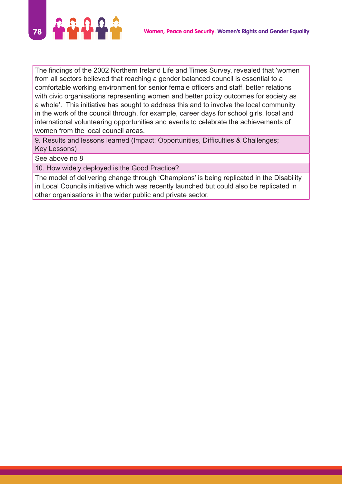

The findings of the 2002 Northern Ireland Life and Times Survey, revealed that 'women from all sectors believed that reaching a gender balanced council is essential to a comfortable working environment for senior female officers and staff, better relations with civic organisations representing women and better policy outcomes for society as a whole'. This initiative has sought to address this and to involve the local community in the work of the council through, for example, career days for school girls, local and international volunteering opportunities and events to celebrate the achievements of women from the local council areas.

9. Results and lessons learned (Impact; Opportunities, Difficulties & Challenges; Key Lessons)

See above no 8

10. How widely deployed is the Good Practice?

The model of delivering change through 'Champions' is being replicated in the Disability in Local Councils initiative which was recently launched but could also be replicated in other organisations in the wider public and private sector.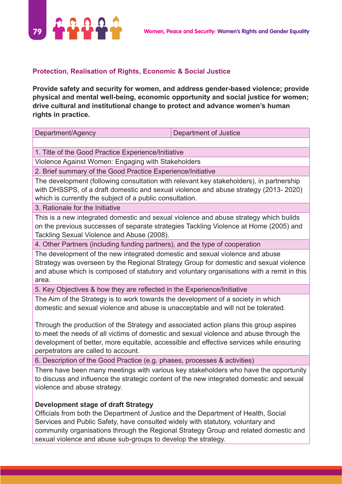

#### **Protection, Realisation of Rights, Economic & Social Justice**

**Provide safety and security for women, and address gender-based violence; provide physical and mental well-being, economic opportunity and social justice for women; drive cultural and institutional change to protect and advance women's human rights in practice.**

| Department/Agency                                                                                                                                                                                                                                                                                                 | Department of Justice |  |
|-------------------------------------------------------------------------------------------------------------------------------------------------------------------------------------------------------------------------------------------------------------------------------------------------------------------|-----------------------|--|
|                                                                                                                                                                                                                                                                                                                   |                       |  |
| 1. Title of the Good Practice Experience/Initiative                                                                                                                                                                                                                                                               |                       |  |
| Violence Against Women: Engaging with Stakeholders                                                                                                                                                                                                                                                                |                       |  |
| 2. Brief summary of the Good Practice Experience/Initiative                                                                                                                                                                                                                                                       |                       |  |
| The development (following consultation with relevant key stakeholders), in partnership<br>with DHSSPS, of a draft domestic and sexual violence and abuse strategy (2013-2020)<br>which is currently the subject of a public consultation.                                                                        |                       |  |
| 3. Rationale for the Initiative                                                                                                                                                                                                                                                                                   |                       |  |
| This is a new integrated domestic and sexual violence and abuse strategy which builds<br>on the previous successes of separate strategies Tackling Violence at Home (2005) and<br>Tackling Sexual Violence and Abuse (2008).                                                                                      |                       |  |
| 4. Other Partners (including funding partners), and the type of cooperation                                                                                                                                                                                                                                       |                       |  |
| The development of the new integrated domestic and sexual violence and abuse<br>Strategy was overseen by the Regional Strategy Group for domestic and sexual violence<br>and abuse which is composed of statutory and voluntary organisations with a remit in this<br>area.                                       |                       |  |
| 5. Key Objectives & how they are reflected in the Experience/Initiative                                                                                                                                                                                                                                           |                       |  |
| The Aim of the Strategy is to work towards the development of a society in which<br>domestic and sexual violence and abuse is unacceptable and will not be tolerated.                                                                                                                                             |                       |  |
| Through the production of the Strategy and associated action plans this group aspires<br>to meet the needs of all victims of domestic and sexual violence and abuse through the<br>development of better, more equitable, accessible and effective services while ensuring<br>perpetrators are called to account. |                       |  |
| 6. Description of the Good Practice (e.g. phases, processes & activities)                                                                                                                                                                                                                                         |                       |  |
| There have been many meetings with various key stakeholders who have the opportunity<br>to discuss and influence the strategic content of the new integrated domestic and sexual<br>violence and abuse strategy.                                                                                                  |                       |  |

#### **Development stage of draft Strategy**

Officials from both the Department of Justice and the Department of Health, Social Services and Public Safety, have consulted widely with statutory, voluntary and community organisations through the Regional Strategy Group and related domestic and sexual violence and abuse sub-groups to develop the strategy.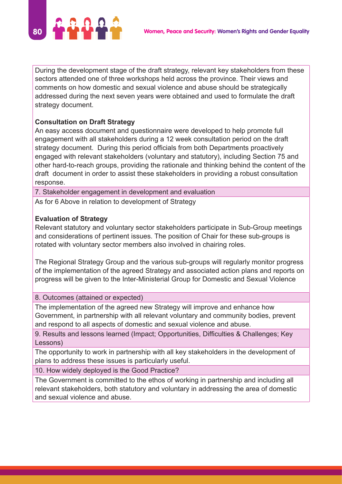

During the development stage of the draft strategy, relevant key stakeholders from these sectors attended one of three workshops held across the province. Their views and comments on how domestic and sexual violence and abuse should be strategically addressed during the next seven years were obtained and used to formulate the draft strategy document.

## **Consultation on Draft Strategy**

An easy access document and questionnaire were developed to help promote full engagement with all stakeholders during a 12 week consultation period on the draft strategy document. During this period officials from both Departments proactively engaged with relevant stakeholders (voluntary and statutory), including Section 75 and other hard-to-reach groups, providing the rationale and thinking behind the content of the draft document in order to assist these stakeholders in providing a robust consultation response.

7. Stakeholder engagement in development and evaluation

As for 6 Above in relation to development of Strategy

## **Evaluation of Strategy**

Relevant statutory and voluntary sector stakeholders participate in Sub-Group meetings and considerations of pertinent issues. The position of Chair for these sub-groups is rotated with voluntary sector members also involved in chairing roles.

The Regional Strategy Group and the various sub-groups will regularly monitor progress of the implementation of the agreed Strategy and associated action plans and reports on progress will be given to the Inter-Ministerial Group for Domestic and Sexual Violence

8. Outcomes (attained or expected)

The implementation of the agreed new Strategy will improve and enhance how Government, in partnership with all relevant voluntary and community bodies, prevent and respond to all aspects of domestic and sexual violence and abuse.

9. Results and lessons learned (Impact; Opportunities, Difficulties & Challenges; Key Lessons)

The opportunity to work in partnership with all key stakeholders in the development of plans to address these issues is particularly useful.

10. How widely deployed is the Good Practice?

The Government is committed to the ethos of working in partnership and including all relevant stakeholders, both statutory and voluntary in addressing the area of domestic and sexual violence and abuse.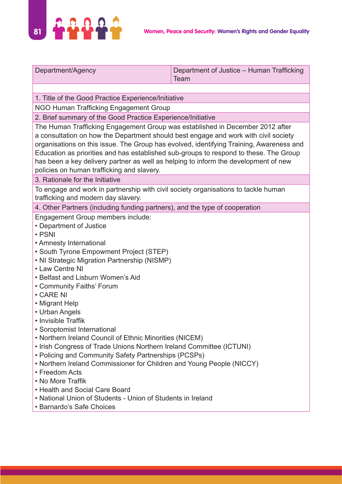

| Department/Agency                                                                                                                                                                                                                                                                                                                                                                                                                                                                                                                                                                                                                                                                                                                                                                                                                       | Department of Justice - Human Trafficking<br>Team |  |
|-----------------------------------------------------------------------------------------------------------------------------------------------------------------------------------------------------------------------------------------------------------------------------------------------------------------------------------------------------------------------------------------------------------------------------------------------------------------------------------------------------------------------------------------------------------------------------------------------------------------------------------------------------------------------------------------------------------------------------------------------------------------------------------------------------------------------------------------|---------------------------------------------------|--|
|                                                                                                                                                                                                                                                                                                                                                                                                                                                                                                                                                                                                                                                                                                                                                                                                                                         |                                                   |  |
| 1. Title of the Good Practice Experience/Initiative                                                                                                                                                                                                                                                                                                                                                                                                                                                                                                                                                                                                                                                                                                                                                                                     |                                                   |  |
| NGO Human Trafficking Engagement Group                                                                                                                                                                                                                                                                                                                                                                                                                                                                                                                                                                                                                                                                                                                                                                                                  |                                                   |  |
| 2. Brief summary of the Good Practice Experience/Initiative                                                                                                                                                                                                                                                                                                                                                                                                                                                                                                                                                                                                                                                                                                                                                                             |                                                   |  |
| The Human Trafficking Engagement Group was established in December 2012 after<br>a consultation on how the Department should best engage and work with civil society<br>organisations on this issue. The Group has evolved, identifying Training, Awareness and<br>Education as priorities and has established sub-groups to respond to these. The Group<br>has been a key delivery partner as well as helping to inform the development of new<br>policies on human trafficking and slavery.                                                                                                                                                                                                                                                                                                                                           |                                                   |  |
| 3. Rationale for the Initiative                                                                                                                                                                                                                                                                                                                                                                                                                                                                                                                                                                                                                                                                                                                                                                                                         |                                                   |  |
| To engage and work in partnership with civil society organisations to tackle human<br>trafficking and modern day slavery.                                                                                                                                                                                                                                                                                                                                                                                                                                                                                                                                                                                                                                                                                                               |                                                   |  |
| 4. Other Partners (including funding partners), and the type of cooperation                                                                                                                                                                                                                                                                                                                                                                                                                                                                                                                                                                                                                                                                                                                                                             |                                                   |  |
| Engagement Group members include:<br>• Department of Justice<br>• PSNI<br>• Amnesty International<br>• South Tyrone Empowment Project (STEP)<br>• NI Strategic Migration Partnership (NISMP)<br>• Law Centre NI<br>• Belfast and Lisburn Women's Aid<br>• Community Faiths' Forum<br>$\cdot$ CARE NI<br>• Migrant Help<br>• Urban Angels<br>• Invisible Traffik<br>• Soroptomist International<br>• Northern Ireland Council of Ethnic Minorities (NICEM)<br>. Irish Congress of Trade Unions Northern Ireland Committee (ICTUNI)<br>• Policing and Community Safety Partnerships (PCSPs)<br>• Northern Ireland Commissioner for Children and Young People (NICCY)<br>• Freedom Acts<br>• No More Traffik<br>• Health and Social Care Board<br>• National Union of Students - Union of Students in Ireland<br>• Barnardo's Safe Choices |                                                   |  |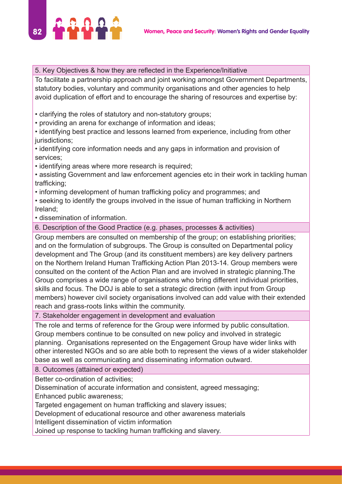

#### 5. Key Objectives & how they are reflected in the Experience/Initiative

To facilitate a partnership approach and joint working amongst Government Departments, statutory bodies, voluntary and community organisations and other agencies to help avoid duplication of effort and to encourage the sharing of resources and expertise by:

- clarifying the roles of statutory and non-statutory groups;
- providing an arena for exchange of information and ideas;
- identifying best practice and lessons learned from experience, including from other jurisdictions;
- identifying core information needs and any gaps in information and provision of services;
- identifying areas where more research is required;
- assisting Government and law enforcement agencies etc in their work in tackling human trafficking;
- informing development of human trafficking policy and programmes; and
- seeking to identify the groups involved in the issue of human trafficking in Northern Ireland;
- dissemination of information.
- 6. Description of the Good Practice (e.g. phases, processes & activities)

Group members are consulted on membership of the group; on establishing priorities; and on the formulation of subgroups. The Group is consulted on Departmental policy development and The Group (and its constituent members) are key delivery partners on the Northern Ireland Human Trafficking Action Plan 2013-14. Group members were consulted on the content of the Action Plan and are involved in strategic planning.The Group comprises a wide range of organisations who bring different individual priorities, skills and focus. The DOJ is able to set a strategic direction (with input from Group members) however civil society organisations involved can add value with their extended reach and grass-roots links within the community.

7. Stakeholder engagement in development and evaluation

The role and terms of reference for the Group were informed by public consultation. Group members continue to be consulted on new policy and involved in strategic planning. Organisations represented on the Engagement Group have wider links with other interested NGOs and so are able both to represent the views of a wider stakeholder base as well as communicating and disseminating information outward.

8. Outcomes (attained or expected)

Better co-ordination of activities;

Dissemination of accurate information and consistent, agreed messaging;

Enhanced public awareness;

Targeted engagement on human trafficking and slavery issues;

Development of educational resource and other awareness materials

Intelligent dissemination of victim information

Joined up response to tackling human trafficking and slavery.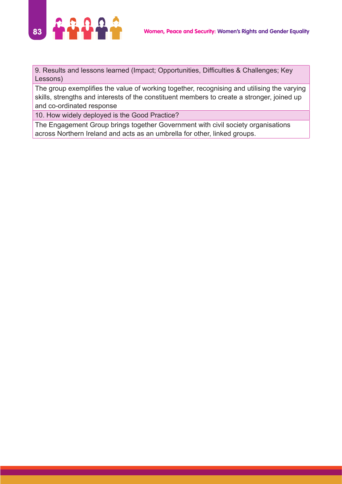

9. Results and lessons learned (Impact; Opportunities, Difficulties & Challenges; Key Lessons)

The group exemplifies the value of working together, recognising and utilising the varying skills, strengths and interests of the constituent members to create a stronger, joined up and co-ordinated response

10. How widely deployed is the Good Practice?

The Engagement Group brings together Government with civil society organisations across Northern Ireland and acts as an umbrella for other, linked groups.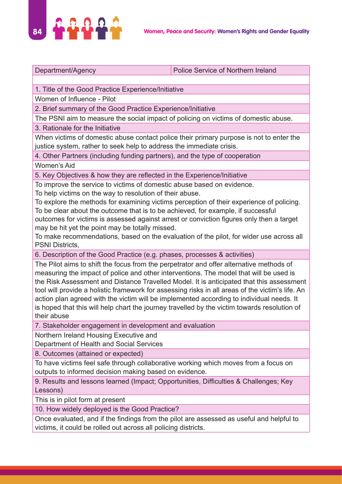

Department/Agency **Police Service of Northern Ireland** 

1. Title of the Good Practice Experience/Initiative

Women of Influence - Pilot

2. Brief summary of the Good Practice Experience/Initiative

The PSNI aim to measure the social impact of policing on victims of domestic abuse.

3. Rationale for the Initiative

When victims of domestic abuse contact police their primary purpose is not to enter the justice system, rather to seek help to address the immediate crisis.

4. Other Partners (including funding partners), and the type of cooperation

Women's Aid

5. Key Objectives & how they are reflected in the Experience/Initiative

To improve the service to victims of domestic abuse based on evidence.

To help victims on the way to resolution of their abuse.

To explore the methods for examining victims perception of their experience of policing. To be clear about the outcome that is to be achieved, for example, if successful outcomes for victims is assessed against arrest or conviction figures only then a target

may be hit yet the point may be totally missed. To make recommendations, based on the evaluation of the pilot, for wider use across all

PSNI Districts,

6. Description of the Good Practice (e.g. phases, processes & activities)

The Pilot aims to shift the focus from the perpetrator and offer alternative methods of measuring the impact of police and other interventions. The model that will be used is the Risk Assessment and Distance Travelled Model. It is anticipated that this assessment tool will provide a holistic framework for assessing risks in all areas of the victim's life. An action plan agreed with the victim will be implemented according to individual needs. It is hoped that this will help chart the journey travelled by the victim towards resolution of their abuse

7. Stakeholder engagement in development and evaluation

Northern Ireland Housing Executive and

Department of Health and Social Services

8. Outcomes (attained or expected)

To have victims feel safe through collaborative working which moves from a focus on outputs to informed decision making based on evidence.

9. Results and lessons learned (Impact; Opportunities, Difficulties & Challenges; Key Lessons)

This is in pilot form at present

10. How widely deployed is the Good Practice?

Once evaluated, and if the findings from the pilot are assessed as useful and helpful to victims, it could be rolled out across all policing districts.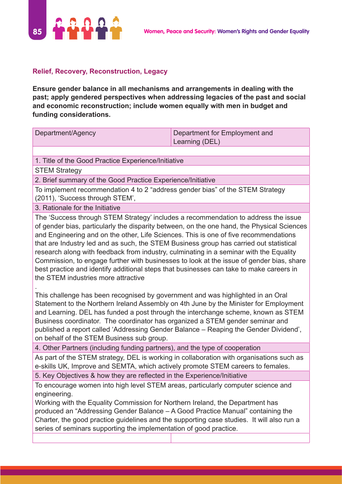

### **Relief, Recovery, Reconstruction, Legacy**

**Ensure gender balance in all mechanisms and arrangements in dealing with the past; apply gendered perspectives when addressing legacies of the past and social and economic reconstruction; include women equally with men in budget and funding considerations.**

| Department/Agency | Department for Employment and |
|-------------------|-------------------------------|
|                   | Learning (DEL)                |

1. Title of the Good Practice Experience/Initiative

**STEM Strategy** 

.

2. Brief summary of the Good Practice Experience/Initiative

To implement recommendation 4 to 2 "address gender bias" of the STEM Strategy (2011), 'Success through STEM',

3. Rationale for the Initiative

The 'Success through STEM Strategy' includes a recommendation to address the issue of gender bias, particularly the disparity between, on the one hand, the Physical Sciences and Engineering and on the other, Life Sciences. This is one of five recommendations that are Industry led and as such, the STEM Business group has carried out statistical research along with feedback from industry, culminating in a seminar with the Equality Commission, to engage further with businesses to look at the issue of gender bias, share best practice and identify additional steps that businesses can take to make careers in the STEM industries more attractive

This challenge has been recognised by government and was highlighted in an Oral Statement to the Northern Ireland Assembly on 4th June by the Minister for Employment and Learning. DEL has funded a post through the interchange scheme, known as STEM Business coordinator. The coordinator has organized a STEM gender seminar and published a report called 'Addressing Gender Balance – Reaping the Gender Dividend', on behalf of the STEM Business sub group.

4. Other Partners (including funding partners), and the type of cooperation

As part of the STEM strategy, DEL is working in collaboration with organisations such as e-skills UK, Improve and SEMTA, which actively promote STEM careers to females.

5. Key Objectives & how they are reflected in the Experience/Initiative

To encourage women into high level STEM areas, particularly computer science and engineering.

Working with the Equality Commission for Northern Ireland, the Department has produced an "Addressing Gender Balance – A Good Practice Manual" containing the Charter, the good practice guidelines and the supporting case studies. It will also run a series of seminars supporting the implementation of good practice.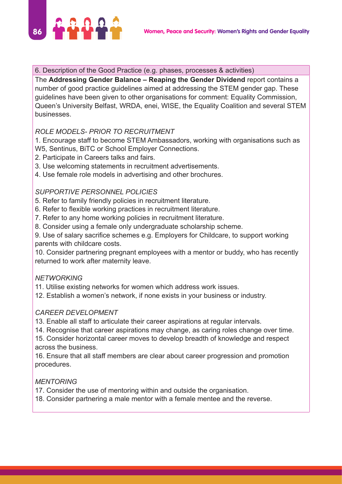

#### 6. Description of the Good Practice (e.g. phases, processes & activities)

The **Addressing Gender Balance – Reaping the Gender Dividend** report contains a number of good practice guidelines aimed at addressing the STEM gender gap. These guidelines have been given to other organisations for comment: Equality Commission, Queen's University Belfast, WRDA, enei, WISE, the Equality Coalition and several STEM businesses.

## *ROLE MODELS- PRIOR TO RECRUITMENT*

1. Encourage staff to become STEM Ambassadors, working with organisations such as W5, Sentinus, BiTC or School Employer Connections.

- 2. Participate in Careers talks and fairs.
- 3. Use welcoming statements in recruitment advertisements.
- 4. Use female role models in advertising and other brochures.

## *SUPPORTIVE PERSONNEL POLICIES*

- 5. Refer to family friendly policies in recruitment literature.
- 6. Refer to flexible working practices in recruitment literature.
- 7. Refer to any home working policies in recruitment literature.
- 8. Consider using a female only undergraduate scholarship scheme.

9. Use of salary sacrifice schemes e.g. Employers for Childcare, to support working parents with childcare costs.

10. Consider partnering pregnant employees with a mentor or buddy, who has recently returned to work after maternity leave.

## *NETWORKING*

11. Utilise existing networks for women which address work issues.

12. Establish a women's network, if none exists in your business or industry.

## *CAREER DEVELOPMENT*

13. Enable all staff to articulate their career aspirations at regular intervals.

14. Recognise that career aspirations may change, as caring roles change over time.

15. Consider horizontal career moves to develop breadth of knowledge and respect across the business.

16. Ensure that all staff members are clear about career progression and promotion procedures.

## *MENTORING*

17. Consider the use of mentoring within and outside the organisation.

18. Consider partnering a male mentor with a female mentee and the reverse.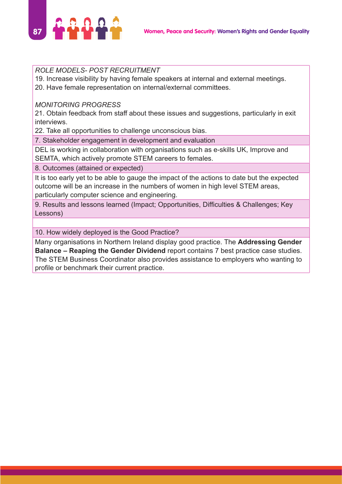

#### *ROLE MODELS- POST RECRUITMENT*

19. Increase visibility by having female speakers at internal and external meetings. 20. Have female representation on internal/external committees.

### *MONITORING PROGRESS*

21. Obtain feedback from staff about these issues and suggestions, particularly in exit interviews.

22. Take all opportunities to challenge unconscious bias.

7. Stakeholder engagement in development and evaluation

DEL is working in collaboration with organisations such as e-skills UK, Improve and SEMTA, which actively promote STEM careers to females.

8. Outcomes (attained or expected)

It is too early yet to be able to gauge the impact of the actions to date but the expected outcome will be an increase in the numbers of women in high level STEM areas, particularly computer science and engineering.

9. Results and lessons learned (Impact; Opportunities, Difficulties & Challenges; Key Lessons)

10. How widely deployed is the Good Practice?

Many organisations in Northern Ireland display good practice. The **Addressing Gender Balance – Reaping the Gender Dividend** report contains 7 best practice case studies. The STEM Business Coordinator also provides assistance to employers who wanting to profile or benchmark their current practice.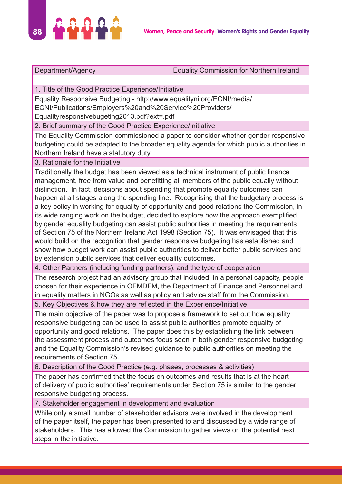

Department/Agency **Equality Commission for Northern Ireland** 

1. Title of the Good Practice Experience/Initiative

Equality Responsive Budgeting - http://www.equalityni.org/ECNI/media/ ECNI/Publications/Employers%20and%20Service%20Providers/

Equalityresponsivebugeting2013.pdf?ext=.pdf

2. Brief summary of the Good Practice Experience/Initiative

The Equality Commission commissioned a paper to consider whether gender responsive budgeting could be adapted to the broader equality agenda for which public authorities in Northern Ireland have a statutory duty.

#### 3. Rationale for the Initiative

Traditionally the budget has been viewed as a technical instrument of public finance management, free from value and benefitting all members of the public equally without distinction. In fact, decisions about spending that promote equality outcomes can happen at all stages along the spending line. Recognising that the budgetary process is a key policy in working for equality of opportunity and good relations the Commission, in its wide ranging work on the budget, decided to explore how the approach exemplified by gender equality budgeting can assist public authorities in meeting the requirements of Section 75 of the Northern Ireland Act 1998 (Section 75). It was envisaged that this would build on the recognition that gender responsive budgeting has established and show how budget work can assist public authorities to deliver better public services and by extension public services that deliver equality outcomes.

4. Other Partners (including funding partners), and the type of cooperation

The research project had an advisory group that included, in a personal capacity, people chosen for their experience in OFMDFM, the Department of Finance and Personnel and in equality matters in NGOs as well as policy and advice staff from the Commission.

5. Key Objectives & how they are reflected in the Experience/Initiative

The main objective of the paper was to propose a framework to set out how equality responsive budgeting can be used to assist public authorities promote equality of opportunity and good relations. The paper does this by establishing the link between the assessment process and outcomes focus seen in both gender responsive budgeting and the Equality Commission's revised guidance to public authorities on meeting the requirements of Section 75.

6. Description of the Good Practice (e.g. phases, processes & activities)

The paper has confirmed that the focus on outcomes and results that is at the heart of delivery of public authorities' requirements under Section 75 is similar to the gender responsive budgeting process.

7. Stakeholder engagement in development and evaluation

While only a small number of stakeholder advisors were involved in the development of the paper itself, the paper has been presented to and discussed by a wide range of stakeholders. This has allowed the Commission to gather views on the potential next steps in the initiative.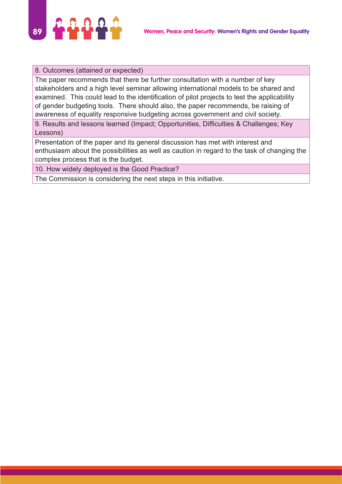

#### 8. Outcomes (attained or expected)

The paper recommends that there be further consultation with a number of key stakeholders and a high level seminar allowing international models to be shared and examined. This could lead to the identification of pilot projects to test the applicability of gender budgeting tools. There should also, the paper recommends, be raising of awareness of equality responsive budgeting across government and civil society.

9. Results and lessons learned (Impact; Opportunities, Difficulties & Challenges; Key Lessons)

Presentation of the paper and its general discussion has met with interest and enthusiasm about the possibilities as well as caution in regard to the task of changing the complex process that is the budget.

10. How widely deployed is the Good Practice?

The Commission is considering the next steps in this initiative.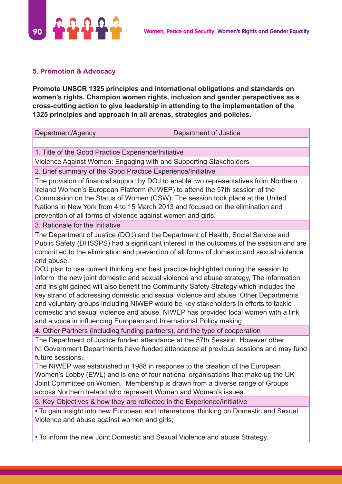

# **5. Promotion & Advocacy**

**Promote UNSCR 1325 principles and international obligations and standards on women's rights. Champion women rights, inclusion and gender perspectives as a cross-cutting action to give leadership in attending to the implementation of the 1325 principles and approach in all arenas, strategies and policies.**

Department/Agency Department of Justice 1. Title of the Good Practice Experience/Initiative Violence Against Women: Engaging with and Supporting Stakeholders 2. Brief summary of the Good Practice Experience/Initiative The provision of financial support by DOJ to enable two representatives from Northern Ireland Women's European Platform (NIWEP) to attend the 57th session of the Commission on the Status of Women (CSW). The session took place at the United Nations in New York from 4 to 15 March 2013 and focused on the elimination and prevention of all forms of violence against women and girls. 3. Rationale for the Initiative The Department of Justice (DOJ) and the Department of Health, Social Service and Public Safety (DHSSPS) had a significant interest in the outcomes of the session and are committed to the elimination and prevention of all forms of domestic and sexual violence and abuse. DOJ plan to use current thinking and best practice highlighted during the session to inform the new joint domestic and sexual violence and abuse strategy, The information and insight gained will also benefit the Community Safety Strategy which includes the key strand of addressing domestic and sexual violence and abuse. Other Departments and voluntary groups including NIWEP would be key stakeholders in efforts to tackle domestic and sexual violence and abuse. NIWEP has provided local women with a link and a voice in influencing European and International Policy making. 4. Other Partners (including funding partners), and the type of cooperation The Department of Justice funded attendance at the 57th Session. However other NI Government Departments have funded attendance at previous sessions and may fund future sessions. The NIWEP was established in 1988 in response to the creation of the European Women's Lobby (EWL) and is one of four national organisations that make up the UK Joint Committee on Women. Membership is drawn from a diverse range of Groups across Northern Ireland who represent Women and Women's issues. 5. Key Objectives & how they are reflected in the Experience/Initiative • To gain insight into new European and International thinking on Domestic and Sexual Violence and abuse against women and girls; • To inform the new Joint Domestic and Sexual Violence and abuse Strategy.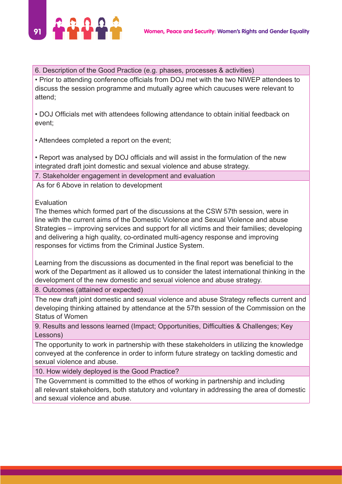

6. Description of the Good Practice (e.g. phases, processes & activities)

• Prior to attending conference officials from DOJ met with the two NIWEP attendees to discuss the session programme and mutually agree which caucuses were relevant to attend;

• DOJ Officials met with attendees following attendance to obtain initial feedback on event;

• Attendees completed a report on the event;

• Report was analysed by DOJ officials and will assist in the formulation of the new integrated draft joint domestic and sexual violence and abuse strategy.

7. Stakeholder engagement in development and evaluation

As for 6 Above in relation to development

**Evaluation** 

The themes which formed part of the discussions at the CSW 57th session, were in line with the current aims of the Domestic Violence and Sexual Violence and abuse Strategies – improving services and support for all victims and their families; developing and delivering a high quality, co-ordinated multi-agency response and improving responses for victims from the Criminal Justice System.

Learning from the discussions as documented in the final report was beneficial to the work of the Department as it allowed us to consider the latest international thinking in the development of the new domestic and sexual violence and abuse strategy.

8. Outcomes (attained or expected)

The new draft joint domestic and sexual violence and abuse Strategy reflects current and developing thinking attained by attendance at the 57th session of the Commission on the Status of Women

9. Results and lessons learned (Impact; Opportunities, Difficulties & Challenges; Key Lessons)

The opportunity to work in partnership with these stakeholders in utilizing the knowledge conveyed at the conference in order to inform future strategy on tackling domestic and sexual violence and abuse.

10. How widely deployed is the Good Practice?

The Government is committed to the ethos of working in partnership and including all relevant stakeholders, both statutory and voluntary in addressing the area of domestic and sexual violence and abuse.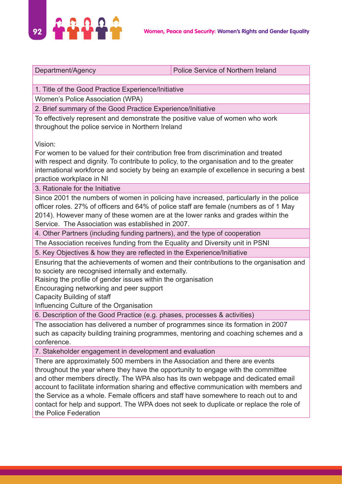

Department/Agency **Police Service of Northern Ireland** 

1. Title of the Good Practice Experience/Initiative

Women's Police Association (WPA)

2. Brief summary of the Good Practice Experience/Initiative

To effectively represent and demonstrate the positive value of women who work throughout the police service in Northern Ireland

Vision:

For women to be valued for their contribution free from discrimination and treated with respect and dignity. To contribute to policy, to the organisation and to the greater international workforce and society by being an example of excellence in securing a best practice workplace in NI

3. Rationale for the Initiative

Since 2001 the numbers of women in policing have increased, particularly in the police officer roles. 27% of officers and 64% of police staff are female (numbers as of 1 May 2014). However many of these women are at the lower ranks and grades within the Service. The Association was established in 2007.

4. Other Partners (including funding partners), and the type of cooperation

The Association receives funding from the Equality and Diversity unit in PSNI

5. Key Objectives & how they are reflected in the Experience/Initiative

Ensuring that the achievements of women and their contributions to the organisation and to society are recognised internally and externally.

Raising the profile of gender issues within the organisation

Encouraging networking and peer support

Capacity Building of staff

Influencing Culture of the Organisation

6. Description of the Good Practice (e.g. phases, processes & activities)

The association has delivered a number of programmes since its formation in 2007 such as capacity building training programmes, mentoring and coaching schemes and a conference.

7. Stakeholder engagement in development and evaluation

There are approximately 500 members in the Association and there are events throughout the year where they have the opportunity to engage with the committee and other members directly. The WPA also has its own webpage and dedicated email account to facilitate information sharing and effective communication with members and the Service as a whole. Female officers and staff have somewhere to reach out to and contact for help and support. The WPA does not seek to duplicate or replace the role of the Police Federation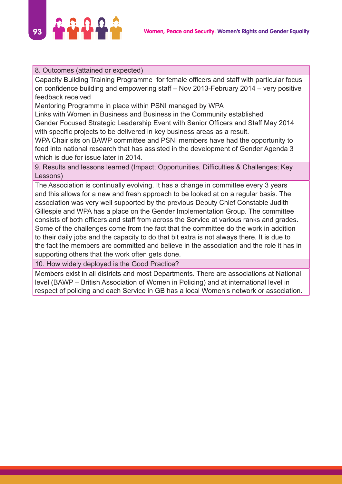

#### 8. Outcomes (attained or expected)

Capacity Building Training Programme for female officers and staff with particular focus on confidence building and empowering staff – Nov 2013-February 2014 – very positive feedback received

Mentoring Programme in place within PSNI managed by WPA

Links with Women in Business and Business in the Community established Gender Focused Strategic Leadership Event with Senior Officers and Staff May 2014 with specific projects to be delivered in key business areas as a result.

WPA Chair sits on BAWP committee and PSNI members have had the opportunity to feed into national research that has assisted in the development of Gender Agenda 3 which is due for issue later in 2014.

9. Results and lessons learned (Impact; Opportunities, Difficulties & Challenges; Key Lessons)

The Association is continually evolving. It has a change in committee every 3 years and this allows for a new and fresh approach to be looked at on a regular basis. The association was very well supported by the previous Deputy Chief Constable Judith Gillespie and WPA has a place on the Gender Implementation Group. The committee consists of both officers and staff from across the Service at various ranks and grades. Some of the challenges come from the fact that the committee do the work in addition to their daily jobs and the capacity to do that bit extra is not always there. It is due to the fact the members are committed and believe in the association and the role it has in supporting others that the work often gets done.

10. How widely deployed is the Good Practice?

Members exist in all districts and most Departments. There are associations at National level (BAWP – British Association of Women in Policing) and at international level in respect of policing and each Service in GB has a local Women's network or association.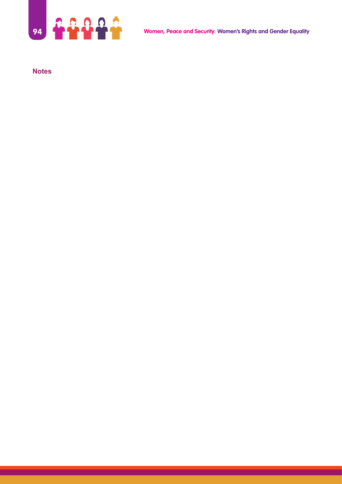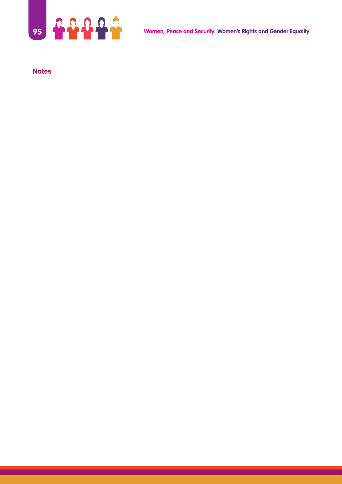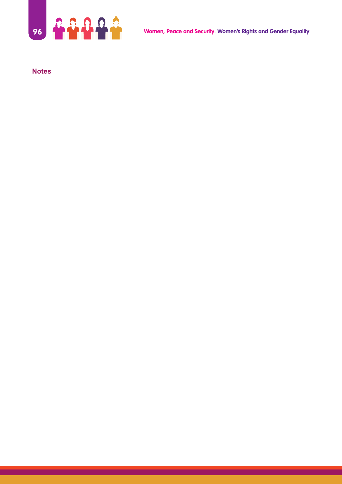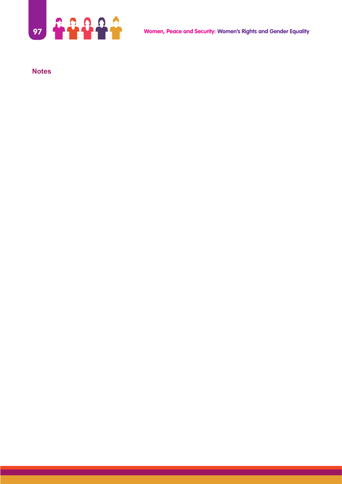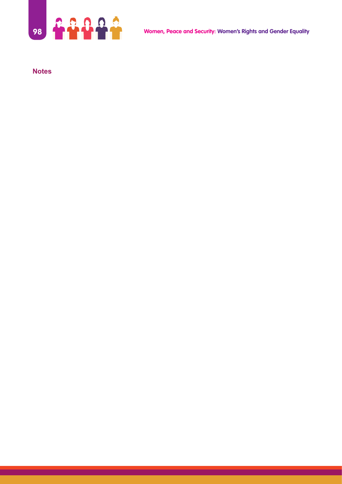